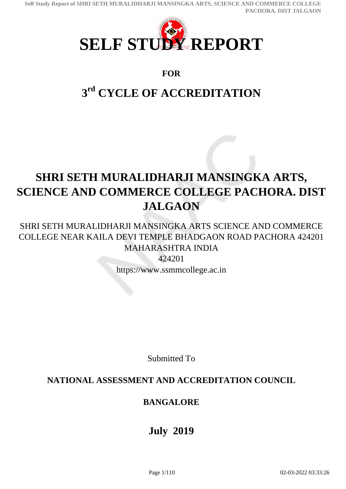<span id="page-0-0"></span>

## **FOR**

# **3 rd CYCLE OF ACCREDITATION**

# **SHRI SETH MURALIDHARJI MANSINGKA ARTS, SCIENCE AND COMMERCE COLLEGE PACHORA. DIST JALGAON**

SHRI SETH MURALIDHARJI MANSINGKA ARTS SCIENCE AND COMMERCE COLLEGE NEAR KAILA DEVI TEMPLE BHADGAON ROAD PACHORA 424201 MAHARASHTRA INDIA 424201

https://www.ssmmcollege.ac.in

Submitted To

## **NATIONAL ASSESSMENT AND ACCREDITATION COUNCIL**

## **BANGALORE**

**July 2019**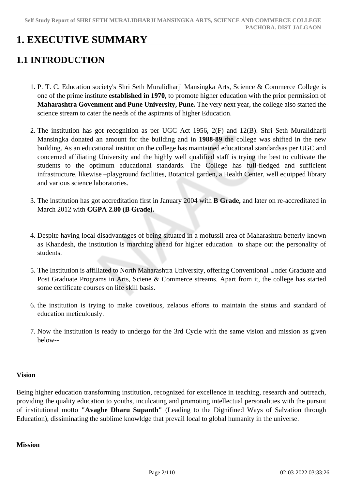## **1. EXECUTIVE SUMMARY**

## **1.1 INTRODUCTION**

- 1. P. T. C. Education society's Shri Seth Muralidharji Mansingka Arts, Science & Commerce College is one of the prime institute **established in 1970,** to promote higher education with the prior permission of **Maharashtra Govenment and Pune University, Pune.** The very next year, the college also started the science stream to cater the needs of the aspirants of higher Education.
- 2. The institution has got recognition as per UGC Act 1956, 2(F) and 12(B). Shri Seth Muralidharji Mansingka donated an amount for the building and in **1988-89** the college was shifted in the new building. As an educational institution the college has maintained educational standardsas per UGC and concerned affiliating University and the highly well qualified staff is trying the best to cultivate the students to the optimum educational standards. The College has full-fledged and sufficient infrastructure, likewise –playground facilities, Botanical garden, a Health Center, well equipped library and various science laboratories.
- 3. The institution has got accreditation first in January 2004 with **B Grade,** and later on re-accreditated in March 2012 with **CGPA 2.80 (B Grade).**
- 4. Despite having local disadvantages of being situated in a mofussil area of Maharashtra betterly known as Khandesh, the institution is marching ahead for higher education to shape out the personality of students.
- 5. The Institution is affiliated to North Maharashtra University, offering Conventional Under Graduate and Post Graduate Programs in Arts, Sciene & Commerce streams. Apart from it, the college has started some certificate courses on life skill basis.
- 6. the institution is trying to make covetious, zelaous efforts to maintain the status and standard of education meticulously.
- 7. Now the institution is ready to undergo for the 3rd Cycle with the same vision and mission as given below--

### **Vision**

Being higher education transforming institution, recognized for excellence in teaching, research and outreach, providing the quality education to youths, inculcating and promoting intellectual personalities with the pursuit of institutional motto **"Avaghe Dharu Supanth"** (Leading to the Dignifined Ways of Salvation through Education), dissiminating the sublime knowldge that prevail local to global humanity in the universe.

### **Mission**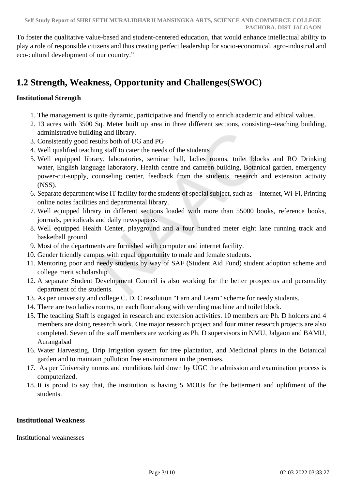To foster the qualitative value-based and student-centered education, that would enhance intellectual ability to play a role of responsible citizens and thus creating perfect leadership for socio-economical, agro-industrial and eco-cultural development of our country."

## **1.2 Strength, Weakness, Opportunity and Challenges(SWOC)**

## **Institutional Strength**

- 1. The management is quite dynamic, participative and friendly to enrich academic and ethical values.
- 2. 13 acres with 3500 Sq. Meter built up area in three different sections, consisting--teaching building, administrative building and library.
- 3. Consistently good results both of UG and PG
- 4. Well qualified teaching staff to cater the needs of the students
- 5. Well equipped library, laboratories, seminar hall, ladies rooms, toilet blocks and RO Drinking water, English language laboratory, Health centre and canteen building, Botanical garden, emergency power-cut-supply, counseling center, feedback from the students, research and extension activity (NSS).
- 6. Separate department wise IT facility for the students of special subject, such as—internet, Wi-Fi, Printing online notes facilities and departmental library.
- 7. Well equipped library in different sections loaded with more than 55000 books, reference books, journals, periodicals and daily newspapers.
- 8. Well equipped Health Center, playground and a four hundred meter eight lane running track and basketball ground.
- 9. Most of the departments are furnished with computer and internet facility.
- 10. Gender friendly campus with equal opportunity to male and female students.
- 11. Mentoring poor and needy students by way of SAF (Student Aid Fund) student adoption scheme and college merit scholarship
- 12. A separate Student Development Council is also working for the better prospectus and personality department of the students.
- 13. As per university and college C. D. C resolution "Earn and Learn" scheme for needy students.
- 14. There are two ladies rooms, on each floor along with vending machine and toilet block.
- 15. The teaching Staff is engaged in research and extension activities. 10 members are Ph. D holders and 4 members are doing research work. One major research project and four miner research projects are also completed. Seven of the staff members are working as Ph. D supervisors in NMU, Jalgaon and BAMU, Aurangabad
- 16. Water Harvesting, Drip Irrigation system for tree plantation, and Medicinal plants in the Botanical garden and to maintain pollution free environment in the premises.
- 17. As per University norms and conditions laid down by UGC the admission and examination process is computerized.
- 18. It is proud to say that, the institution is having 5 MOUs for the betterment and upliftment of the students.

### **Institutional Weakness**

Institutional weaknesses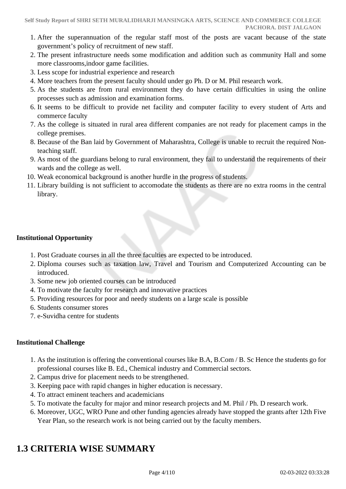- 1. After the superannuation of the regular staff most of the posts are vacant because of the state government's policy of recruitment of new staff.
- 2. The present infrastructure needs some modification and addition such as community Hall and some more classrooms,indoor game facilities.
- 3. Less scope for industrial experience and research
- 4. More teachers from the present faculty should under go Ph. D or M. Phil research work.
- 5. As the students are from rural environment they do have certain difficulties in using the online processes such as admission and examination forms.
- 6. It seems to be difficult to provide net facility and computer facility to every student of Arts and commerce faculty
- 7. As the college is situated in rural area different companies are not ready for placement camps in the college premises.
- 8. Because of the Ban laid by Government of Maharashtra, College is unable to recruit the required Nonteaching staff.
- 9. As most of the guardians belong to rural environment, they fail to understand the requirements of their wards and the college as well.
- 10. Weak economical background is another hurdle in the progress of students.
- 11. Library building is not sufficient to accomodate the students as there are no extra rooms in the central library.

### **Institutional Opportunity**

- 1. Post Graduate courses in all the three faculties are expected to be introduced.
- 2. Diploma courses such as taxation law, Travel and Tourism and Computerized Accounting can be **introduced**
- 3. Some new job oriented courses can be introduced
- 4. To motivate the faculty for research and innovative practices
- 5. Providing resources for poor and needy students on a large scale is possible
- 6. Students consumer stores
- 7. e-Suvidha centre for students

## **Institutional Challenge**

- 1. As the institution is offering the conventional courses like B.A, B.Com / B. Sc Hence the students go for professional courses like B. Ed., Chemical industry and Commercial sectors.
- 2. Campus drive for placement needs to be strengthened.
- 3. Keeping pace with rapid changes in higher education is necessary.
- 4. To attract eminent teachers and academicians
- 5. To motivate the faculty for major and minor research projects and M. Phil / Ph. D research work.
- 6. Moreover, UGC, WRO Pune and other funding agencies already have stopped the grants after 12th Five Year Plan, so the research work is not being carried out by the faculty members.

## **1.3 CRITERIA WISE SUMMARY**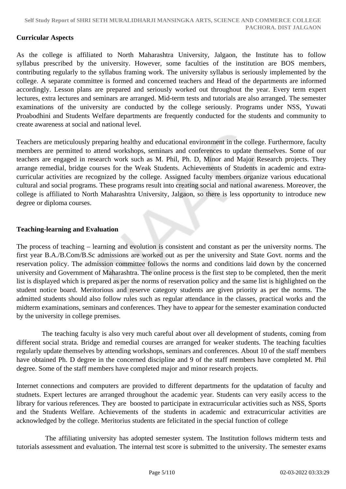### **Curricular Aspects**

As the college is affiliated to North Maharashtra University, Jalgaon, the Institute has to follow syllabus prescribed by the university. However, some faculties of the institution are BOS members, contributing regularly to the syllabus framing work. The university syllabus is seriously implemented by the college. A separate committee is formed and concerned teachers and Head of the departments are informed accordingly. Lesson plans are prepared and seriously worked out throughout the year. Every term expert lectures, extra lectures and seminars are arranged. Mid-term tests and tutorials are also arranged. The semester examinations of the university are conducted by the college seriously. Programs under NSS, Yuwati Proabodhini and Students Welfare departments are frequently conducted for the students and community to create awareness at social and national level.

Teachers are meticulously preparing healthy and educational environment in the college. Furthermore, faculty members are permitted to attend workshops, seminars and conferences to update themselves. Some of our teachers are engaged in research work such as M. Phil, Ph. D, Minor and Major Research projects. They arrange remedial, bridge courses for the Weak Students. Achievements of Students in academic and extracurricular activities are recognized by the college. Assigned faculty members organize various educational cultural and social programs. These programs result into creating social and national awareness. Moreover, the college is affiliated to North Maharashtra University, Jalgaon, so there is less opportunity to introduce new degree or diploma courses.

### **Teaching-learning and Evaluation**

The process of teaching – learning and evolution is consistent and constant as per the university norms. The first year B.A./B.Com/B.Sc admissions are worked out as per the university and State Govt. norms and the reservation policy. The admission committee follows the norms and conditions laid down by the concerned university and Government of Maharashtra. The online process is the first step to be completed, then the merit list is displayed which is prepared as per the norms of reservation policy and the same list is highlighted on the student notice board. Meritorious and reserve category students are given priority as per the norms. The admitted students should also follow rules such as regular attendance in the classes, practical works and the midterm examinations, seminars and conferences. They have to appear for the semester examination conducted by the university in college premises.

 The teaching faculty is also very much careful about over all development of students, coming from different social strata. Bridge and remedial courses are arranged for weaker students. The teaching faculties regularly update themselves by attending workshops, seminars and conferences. About 10 of the staff members have obtained Ph. D degree in the concerned discipline and 9 of the staff members have completed M. Phil degree. Some of the staff members have completed major and minor research projects.

Internet connections and computers are provided to different departments for the updatation of faculty and studnets. Expert lectures are arranged throughout the academic year. Students can very easily access to the library for various references. They are boosted to participate in extracurricular activities such as NSS, Sports and the Students Welfare. Achievements of the students in academic and extracurricular activities are acknowledged by the college. Meritorius students are felicitated in the special function of college

 The affiliating university has adopted semester system. The Institution follows midterm tests and tutorials assessment and evaluation. The internal test score is submitted to the university. The semester exams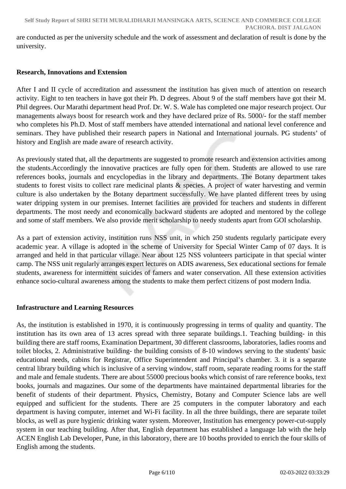are conducted as per the university schedule and the work of assessment and declaration of result is done by the university.

### **Research, Innovations and Extension**

After I and II cycle of accreditation and assessment the institution has given much of attention on research activity. Eight to ten teachers in have got their Ph. D degrees. About 9 of the staff members have got their M. Phil degrees. Our Marathi department head Prof. Dr. W. S. Wale has completed one major research project. Our managements always boost for research work and they have declared prize of Rs. 5000/- for the staff member who completes his Ph.D. Most of staff members have attended international and national level conference and seminars. They have published their research papers in National and International journals. PG students' of history and English are made aware of research activity.

As previously stated that, all the departments are suggested to promote research and extension activities among the students.Accordingly the innovative practices are fully open for them. Students are allowed to use rare references books, journals and encyclopedias in the library and departments. The Botany department takes students to forest visits to collect rare medicinal plants & species. A project of water harvesting and vermin culture is also undertaken by the Botany department successfully. We have planted different trees by using water dripping system in our premises. Internet facilities are provided for teachers and students in different departments. The most needy and economically backward students are adopted and mentored by the college and some of staff members. We also provide merit scholarship to needy students apart from GOI scholarship.

As a part of extension activity, institution runs NSS unit, in which 250 students regularly participate every academic year. A village is adopted in the scheme of University for Special Winter Camp of 07 days. It is arranged and held in that particular village. Near about 125 NSS volunteers participate in that special winter camp. The NSS unit regularly arranges expert lectures on ADIS awareness, Sex educational sections for female students, awareness for intermittent suicides of famers and water conservation. All these extension activities enhance socio-cultural awareness among the students to make them perfect citizens of post modern India.

### **Infrastructure and Learning Resources**

As, the institution is established in 1970, it is continuously progressing in terms of quality and quantity. The institution has its own area of 13 acres spread with three separate buildings.1. Teaching building- in this building there are staff rooms, Examination Department, 30 different classrooms, laboratories, ladies rooms and toilet blocks, 2. Administrative building- the building consists of 8-10 windows serving to the students' basic educational needs, cabins for Registrar, Office Superintendent and Principal's chamber. 3. it is a separate central library building which is inclusive of a serving window, staff room, separate reading rooms for the staff and male and female students. There are about 55000 precious books which consist of rare reference books, text books, journals and magazines. Our some of the departments have maintained departmental libraries for the benefit of students of their department. Physics, Chemistry, Botany and Computer Science labs are well equipped and sufficient for the students. There are 25 computers in the computer laboratory and each department is having computer, internet and Wi-Fi facility. In all the three buildings, there are separate toilet blocks, as well as pure hygienic drinking water system. Moreover, Institution has emergency power-cut-supply system in our teaching building. After that, English department has established a language lab with the help ACEN English Lab Developer, Pune, in this laboratory, there are 10 booths provided to enrich the four skills of English among the students.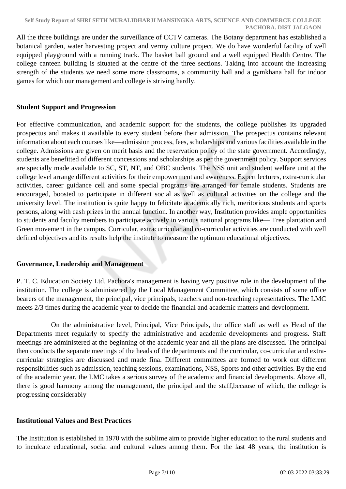All the three buildings are under the surveillance of CCTV cameras. The Botany department has established a botanical garden, water harvesting project and vermy culture project. We do have wonderful facility of well equipped playground with a running track. The basket ball ground and a well equipped Health Centre. The college canteen building is situated at the centre of the three sections. Taking into account the increasing strength of the students we need some more classrooms, a community hall and a gymkhana hall for indoor games for which our management and college is striving hardly.

### **Student Support and Progression**

For effective communication, and academic support for the students, the college publishes its upgraded prospectus and makes it available to every student before their admission. The prospectus contains relevant information about each courses like—admission process, fees, scholarships and various facilities available in the college. Admissions are given on merit basis and the reservation policy of the state government. Accordingly, students are benefitted of different concessions and scholarships as per the government policy. Support services are specially made available to SC, ST, NT, and OBC students. The NSS unit and student welfare unit at the college level arrange different activities for their empowerment and awareness. Expert lectures, extra-curricular activities, career guidance cell and some special programs are arranged for female students. Students are encouraged, boosted to participate in different social as well as cultural activities on the college and the university level. The institution is quite happy to felicitate academically rich, meritorious students and sports persons, along with cash prizes in the annual function. In another way, Institution provides ample opportunities to students and faculty members to participate actively in various national programs like— Tree plantation and Green movement in the campus. Curricular, extracurricular and co-curricular activities are conducted with well defined objectives and its results help the institute to measure the optimum educational objectives.

### **Governance, Leadership and Management**

P. T. C. Education Society Ltd. Pachora's management is having very positive role in the development of the institution. The college is administered by the Local Management Committee, which consists of some office bearers of the management, the principal, vice principals, teachers and non-teaching representatives. The LMC meets 2/3 times during the academic year to decide the financial and academic matters and development.

 On the administrative level, Principal, Vice Principals, the office staff as well as Head of the Departments meet regularly to specify the administrative and academic developments and progress. Staff meetings are administered at the beginning of the academic year and all the plans are discussed. The principal then conducts the separate meetings of the heads of the departments and the curricular, co-curricular and extracurricular strategies are discussed and made fina. Different committees are formed to work out different responsibilities such as admission, teaching sessions, examinations, NSS, Sports and other activities. By the end of the academic year, the LMC takes a serious survey of the academic and financial developments. Above all, there is good harmony among the management, the principal and the staff,because of which, the college is progressing considerably

## **Institutional Values and Best Practices**

The Institution is established in 1970 with the sublime aim to provide higher education to the rural students and to inculcate educational, social and cultural values among them. For the last 48 years, the institution is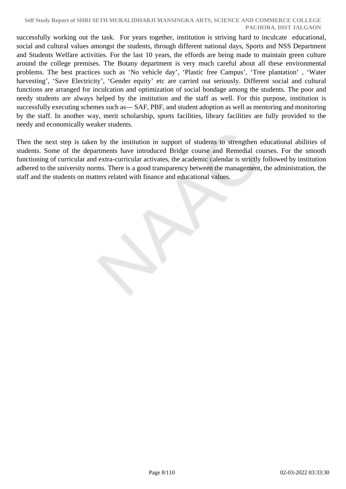#### **Self Study Report of SHRI SETH MURALIDHARJI MANSINGKA ARTS, SCIENCE AND COMMERCE COLLEGE PACHORA. DIST JALGAON**

successfully working out the task. For years together, institution is striving hard to inculcate educational, social and cultural values amongst the students, through different national days, Sports and NSS Department and Students Welfare activities. For the last 10 years, the effords are being made to maintain green culture around the college premises. The Botany department is very much careful about all these environmental problems. The best practices such as 'No vehicle day', 'Plastic free Campus', 'Tree plantation' , 'Water harvesting', 'Save Electricity', 'Gender equity' etc are carried out seriously. Different social and cultural functions are arranged for inculcation and optimization of social bondage among the students. The poor and needy students are always helped by the institution and the staff as well. For this purpose, institution is successfully executing schemes such as— SAF, PBF, and student adoption as well as mentoring and monitoring by the staff. In another way, merit scholarship, sports facilities, library facilities are fully provided to the needy and economically weaker students.

Then the next step is taken by the institution in support of students to strengthen educational abilities of students. Some of the departments have introduced Bridge course and Remedial courses. For the smooth functioning of curricular and extra-curricular activates, the academic calendar is strictly followed by institution adhered to the university norms. There is a good transparency between the management, the administration, the staff and the students on matters related with finance and educational values.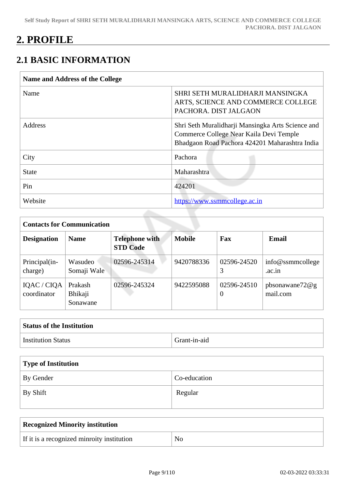## **2. PROFILE**

## **2.1 BASIC INFORMATION**

| Name and Address of the College |                                                                                                                                                |
|---------------------------------|------------------------------------------------------------------------------------------------------------------------------------------------|
| Name                            | SHRI SETH MURALIDHARJI MANSINGKA<br>ARTS, SCIENCE AND COMMERCE COLLEGE<br>PACHORA. DIST JALGAON                                                |
| Address                         | Shri Seth Muralidharji Mansingka Arts Science and<br>Commerce College Near Kaila Devi Temple<br>Bhadgaon Road Pachora 424201 Maharashtra India |
| City                            | Pachora                                                                                                                                        |
| <b>State</b>                    | Maharashtra                                                                                                                                    |
| Pin                             | 424201                                                                                                                                         |
| Website                         | https://www.ssmmcollege.ac.in                                                                                                                  |

| <b>Contacts for Communication</b> |                                |                                          |               |                         |                               |  |  |  |  |
|-----------------------------------|--------------------------------|------------------------------------------|---------------|-------------------------|-------------------------------|--|--|--|--|
| <b>Designation</b>                | <b>Name</b>                    | <b>Telephone with</b><br><b>STD Code</b> | <b>Mobile</b> | Fax                     | <b>Email</b>                  |  |  |  |  |
| Principal(in-<br>charge)          | Wasudeo<br>Somaji Wale         | 02596-245314                             | 9420788336    | 02596-24520<br>3        | $info@smm$ college<br>.ac.in  |  |  |  |  |
| IQAC / CIQA<br>coordinator        | Prakash<br>Bhikaji<br>Sonawane | 02596-245324                             | 9422595088    | 02596-24510<br>$\theta$ | pbsonawane72 $@g$<br>mail.com |  |  |  |  |

| <b>Status of the Institution</b> |              |
|----------------------------------|--------------|
| Institution Status               | Grant-in-aid |

| Type of Institution |              |  |  |  |  |
|---------------------|--------------|--|--|--|--|
| By Gender           | Co-education |  |  |  |  |
| By Shift            | Regular      |  |  |  |  |

| <b>Recognized Minority institution</b>     |                |
|--------------------------------------------|----------------|
| If it is a recognized minroity institution | $\overline{N}$ |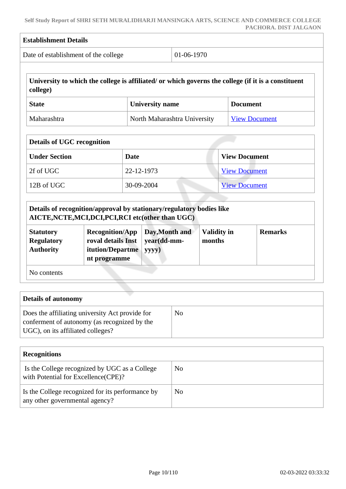| Date of establishment of the college                                     |  |                                                                                  | 01-06-1970                                         |                                                                                                                      |                                                                                                                                                                                                                                                                                |  |
|--------------------------------------------------------------------------|--|----------------------------------------------------------------------------------|----------------------------------------------------|----------------------------------------------------------------------------------------------------------------------|--------------------------------------------------------------------------------------------------------------------------------------------------------------------------------------------------------------------------------------------------------------------------------|--|
|                                                                          |  |                                                                                  |                                                    |                                                                                                                      |                                                                                                                                                                                                                                                                                |  |
|                                                                          |  |                                                                                  |                                                    |                                                                                                                      |                                                                                                                                                                                                                                                                                |  |
|                                                                          |  |                                                                                  |                                                    |                                                                                                                      | <b>View Document</b>                                                                                                                                                                                                                                                           |  |
| <b>Details of UGC recognition</b><br><b>Under Section</b><br><b>Date</b> |  |                                                                                  | <b>View Document</b>                               |                                                                                                                      |                                                                                                                                                                                                                                                                                |  |
|                                                                          |  |                                                                                  |                                                    |                                                                                                                      |                                                                                                                                                                                                                                                                                |  |
|                                                                          |  |                                                                                  |                                                    |                                                                                                                      |                                                                                                                                                                                                                                                                                |  |
|                                                                          |  |                                                                                  |                                                    |                                                                                                                      |                                                                                                                                                                                                                                                                                |  |
|                                                                          |  | yyyy)                                                                            |                                                    |                                                                                                                      | <b>Remarks</b>                                                                                                                                                                                                                                                                 |  |
|                                                                          |  | <b>Recognition/App</b><br>roval details Inst<br>itution/Departme<br>nt programme | <b>University name</b><br>22-12-1973<br>30-09-2004 | North Maharashtra University<br>AICTE, NCTE, MCI, DCI, PCI, RCI etc(other than UGC)<br>Day, Month and<br>year(dd-mm- | University to which the college is affiliated/ or which governs the college (if it is a constituent<br><b>Document</b><br><b>View Document</b><br><b>View Document</b><br>Details of recognition/approval by stationary/regulatory bodies like<br><b>Validity in</b><br>months |  |

| Details of autonomy                                                                                                                  |    |  |  |  |
|--------------------------------------------------------------------------------------------------------------------------------------|----|--|--|--|
| Does the affiliating university Act provide for<br>conferment of autonomy (as recognized by the<br>UGC), on its affiliated colleges? | No |  |  |  |

| <b>Recognitions</b>                                                                  |    |
|--------------------------------------------------------------------------------------|----|
| Is the College recognized by UGC as a College<br>with Potential for Excellence(CPE)? | No |
| Is the College recognized for its performance by<br>any other governmental agency?   | No |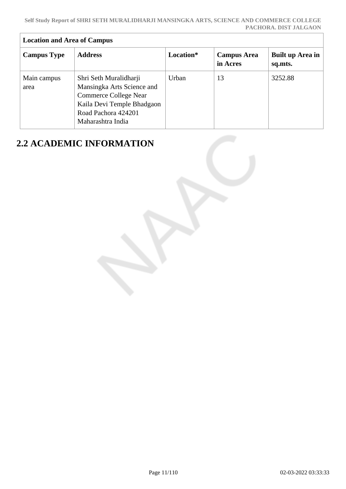| <b>Location and Area of Campus</b> |                                                                                                                                                         |           |                                |                             |  |  |  |
|------------------------------------|---------------------------------------------------------------------------------------------------------------------------------------------------------|-----------|--------------------------------|-----------------------------|--|--|--|
| <b>Campus Type</b>                 | <b>Address</b>                                                                                                                                          | Location* | <b>Campus Area</b><br>in Acres | Built up Area in<br>sq.mts. |  |  |  |
| Main campus<br>area                | Shri Seth Muralidharji<br>Mansingka Arts Science and<br>Commerce College Near<br>Kaila Devi Temple Bhadgaon<br>Road Pachora 424201<br>Maharashtra India | Urban     | 13                             | 3252.88                     |  |  |  |

## **2.2 ACADEMIC INFORMATION**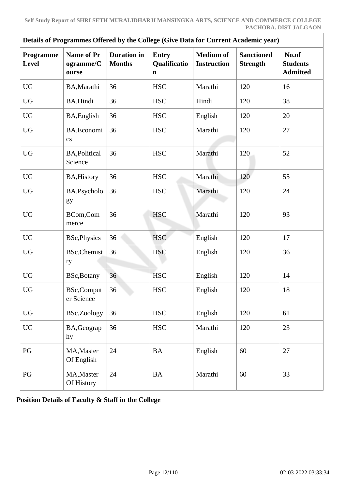| Details of Programmes Offered by the College (Give Data for Current Academic year) |                                         |                                     |                                   |                                        |                                      |                                             |  |
|------------------------------------------------------------------------------------|-----------------------------------------|-------------------------------------|-----------------------------------|----------------------------------------|--------------------------------------|---------------------------------------------|--|
| Programme<br>Level                                                                 | <b>Name of Pr</b><br>ogramme/C<br>ourse | <b>Duration</b> in<br><b>Months</b> | <b>Entry</b><br>Qualificatio<br>n | <b>Medium of</b><br><b>Instruction</b> | <b>Sanctioned</b><br><b>Strength</b> | No.of<br><b>Students</b><br><b>Admitted</b> |  |
| <b>UG</b>                                                                          | BA, Marathi                             | 36                                  | <b>HSC</b>                        | Marathi                                | 120                                  | 16                                          |  |
| <b>UG</b>                                                                          | BA, Hindi                               | 36                                  | <b>HSC</b>                        | Hindi                                  | 120                                  | 38                                          |  |
| <b>UG</b>                                                                          | BA, English                             | 36                                  | <b>HSC</b>                        | English                                | 120                                  | 20                                          |  |
| <b>UG</b>                                                                          | BA, Economi<br>$\mathbf{c}\mathbf{s}$   | 36                                  | <b>HSC</b>                        | Marathi                                | 120                                  | 27                                          |  |
| <b>UG</b>                                                                          | <b>BA, Political</b><br>Science         | 36                                  | <b>HSC</b>                        | Marathi                                | 120                                  | 52                                          |  |
| <b>UG</b>                                                                          | <b>BA, History</b>                      | 36                                  | <b>HSC</b>                        | Marathi                                | 120                                  | 55                                          |  |
| <b>UG</b>                                                                          | BA, Psycholo<br>gy                      | 36                                  | <b>HSC</b>                        | Marathi                                | 120                                  | 24                                          |  |
| <b>UG</b>                                                                          | BCom,Com<br>merce                       | 36                                  | <b>HSC</b>                        | Marathi                                | 120                                  | 93                                          |  |
| <b>UG</b>                                                                          | <b>BSc, Physics</b>                     | 36                                  | <b>HSC</b>                        | English                                | 120                                  | 17                                          |  |
| <b>UG</b>                                                                          | <b>BSc, Chemist</b><br>ry               | 36                                  | <b>HSC</b>                        | English                                | 120                                  | 36                                          |  |
| <b>UG</b>                                                                          | <b>BSc, Botany</b>                      | 36                                  | <b>HSC</b>                        | English                                | 120                                  | 14                                          |  |
| <b>UG</b>                                                                          | <b>BSc,Comput</b><br>er Science         | 36                                  | <b>HSC</b>                        | English                                | 120                                  | 18                                          |  |
| <b>UG</b>                                                                          | BSc,Zoology                             | 36                                  | <b>HSC</b>                        | English                                | 120                                  | 61                                          |  |
| UG                                                                                 | BA, Geograp<br>hy                       | 36                                  | <b>HSC</b>                        | Marathi                                | 120                                  | 23                                          |  |
| PG                                                                                 | MA, Master<br>Of English                | 24                                  | <b>BA</b>                         | English                                | 60                                   | 27                                          |  |
| PG                                                                                 | MA, Master<br>Of History                | 24                                  | <b>BA</b>                         | Marathi                                | 60                                   | 33                                          |  |

**Position Details of Faculty & Staff in the College**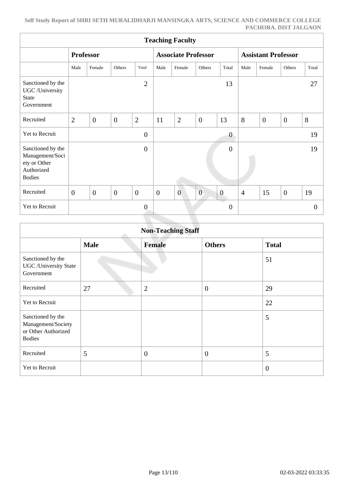| <b>Teaching Faculty</b>                                                             |                  |                  |                |                |                            |                |                |                            |                |                |                |          |
|-------------------------------------------------------------------------------------|------------------|------------------|----------------|----------------|----------------------------|----------------|----------------|----------------------------|----------------|----------------|----------------|----------|
|                                                                                     | <b>Professor</b> |                  |                |                | <b>Associate Professor</b> |                |                | <b>Assistant Professor</b> |                |                |                |          |
|                                                                                     | Male             | Female           | Others         | Total          | Male                       | Female         | Others         | Total                      | Male           | Female         | Others         | Total    |
| Sanctioned by the<br>UGC /University<br><b>State</b><br>Government                  |                  |                  |                | $\overline{2}$ |                            |                |                | 13                         |                |                |                | 27       |
| Recruited                                                                           | $\overline{2}$   | $\overline{0}$   | $\overline{0}$ | $\overline{2}$ | 11                         | $\overline{2}$ | $\overline{0}$ | 13                         | 8              | $\overline{0}$ | $\overline{0}$ | 8        |
| Yet to Recruit                                                                      |                  |                  |                | $\overline{0}$ |                            |                |                | $\theta$                   |                |                |                | 19       |
| Sanctioned by the<br>Management/Soci<br>ety or Other<br>Authorized<br><b>Bodies</b> |                  |                  |                | $\overline{0}$ |                            |                |                | $\boldsymbol{0}$           |                |                |                | 19       |
| Recruited                                                                           | $\boldsymbol{0}$ | $\boldsymbol{0}$ | $\mathbf{0}$   | $\overline{0}$ | $\boldsymbol{0}$           | $\overline{0}$ | $\overline{0}$ | $\boldsymbol{0}$           | $\overline{4}$ | 15             | $\overline{0}$ | 19       |
| Yet to Recruit                                                                      |                  |                  |                | $\overline{0}$ |                            |                |                | L.<br>$\boldsymbol{0}$     |                |                |                | $\theta$ |

| <b>Non-Teaching Staff</b>                                                       |             |                |                  |                |  |  |
|---------------------------------------------------------------------------------|-------------|----------------|------------------|----------------|--|--|
|                                                                                 | <b>Male</b> | <b>Female</b>  | <b>Others</b>    | <b>Total</b>   |  |  |
| Sanctioned by the<br><b>UGC</b> / University State<br>Government                |             |                |                  | 51             |  |  |
| Recruited                                                                       | 27          | $\overline{2}$ | $\boldsymbol{0}$ | 29             |  |  |
| <b>Yet to Recruit</b>                                                           |             |                |                  | 22             |  |  |
| Sanctioned by the<br>Management/Society<br>or Other Authorized<br><b>Bodies</b> |             |                |                  | 5              |  |  |
| Recruited                                                                       | 5           | $\overline{0}$ | $\overline{0}$   | 5              |  |  |
| Yet to Recruit                                                                  |             |                |                  | $\overline{0}$ |  |  |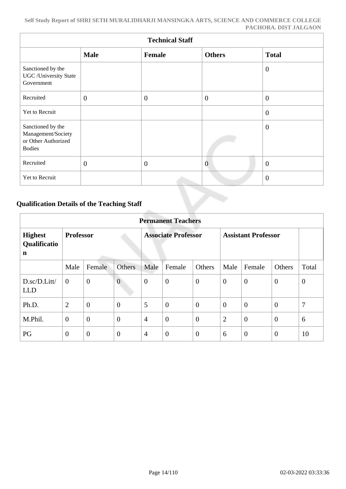| <b>Technical Staff</b>                                                          |                |                |                |                |  |  |  |  |  |
|---------------------------------------------------------------------------------|----------------|----------------|----------------|----------------|--|--|--|--|--|
|                                                                                 | <b>Male</b>    | Female         | <b>Others</b>  | <b>Total</b>   |  |  |  |  |  |
| Sanctioned by the<br><b>UGC</b> / University State<br>Government                |                |                |                | $\overline{0}$ |  |  |  |  |  |
| Recruited                                                                       | $\overline{0}$ | $\overline{0}$ | $\overline{0}$ | $\theta$       |  |  |  |  |  |
| Yet to Recruit                                                                  |                |                |                | $\theta$       |  |  |  |  |  |
| Sanctioned by the<br>Management/Society<br>or Other Authorized<br><b>Bodies</b> |                |                |                | $\theta$       |  |  |  |  |  |
| Recruited                                                                       | $\overline{0}$ | $\overline{0}$ | $\overline{0}$ | $\theta$       |  |  |  |  |  |
| Yet to Recruit                                                                  |                |                |                | $\overline{0}$ |  |  |  |  |  |

## **Qualification Details of the Teaching Staff**

|                                     | <b>Permanent Teachers</b> |                |                  |                            |                  |                |                            |                |                |              |
|-------------------------------------|---------------------------|----------------|------------------|----------------------------|------------------|----------------|----------------------------|----------------|----------------|--------------|
| <b>Highest</b><br>Qualificatio<br>n | <b>Professor</b>          |                |                  | <b>Associate Professor</b> |                  |                | <b>Assistant Professor</b> |                |                |              |
|                                     | Male                      | Female         | Others           | Male                       | Female           | Others         | Male                       | Female         | Others         | Total        |
| D.sc/D.Litt/<br><b>LLD</b>          | $\overline{0}$            | $\overline{0}$ | $\overline{0}$   | $\boldsymbol{0}$           | $\boldsymbol{0}$ | $\mathbf{0}$   | $\overline{0}$             | $\overline{0}$ | $\overline{0}$ | $\mathbf{0}$ |
| Ph.D.                               | $\overline{2}$            | $\overline{0}$ | $\boldsymbol{0}$ | 5                          | $\overline{0}$   | $\overline{0}$ | $\overline{0}$             | $\overline{0}$ | $\overline{0}$ | 7            |
| M.Phil.                             | $\mathbf{0}$              | $\overline{0}$ | $\overline{0}$   | $\overline{4}$             | $\overline{0}$   | $\theta$       | $\overline{2}$             | $\overline{0}$ | $\theta$       | 6            |
| PG                                  | $\overline{0}$            | $\overline{0}$ | $\overline{0}$   | $\overline{4}$             | $\overline{0}$   | $\overline{0}$ | 6                          | $\overline{0}$ | $\overline{0}$ | 10           |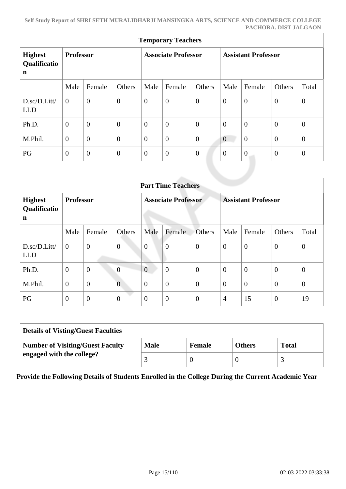| <b>Temporary Teachers</b>                     |                  |                  |                            |                |                  |                            |                |                  |                |                  |
|-----------------------------------------------|------------------|------------------|----------------------------|----------------|------------------|----------------------------|----------------|------------------|----------------|------------------|
| <b>Highest</b><br>Qualificatio<br>$\mathbf n$ | <b>Professor</b> |                  | <b>Associate Professor</b> |                |                  | <b>Assistant Professor</b> |                |                  |                |                  |
|                                               | Male             | Female           | Others                     | Male           | Female           | Others                     | Male           | Female           | Others         | Total            |
| D.sc/D.Litt/<br><b>LLD</b>                    | $\overline{0}$   | $\overline{0}$   | $\boldsymbol{0}$           | $\mathbf{0}$   | $\boldsymbol{0}$ | $\theta$                   | $\mathbf{0}$   | $\mathbf{0}$     | $\overline{0}$ | $\boldsymbol{0}$ |
| Ph.D.                                         | $\overline{0}$   | $\boldsymbol{0}$ | $\boldsymbol{0}$           | $\mathbf{0}$   | $\overline{0}$   | $\overline{0}$             | $\theta$       | $\mathbf{0}$     | $\mathbf{0}$   | $\mathbf{0}$     |
| M.Phil.                                       | $\overline{0}$   | $\overline{0}$   | $\overline{0}$             | $\theta$       | $\overline{0}$   | $\theta$                   | $\overline{0}$ | $\overline{0}$   | $\overline{0}$ | $\overline{0}$   |
| PG                                            | $\boldsymbol{0}$ | $\theta$         | $\boldsymbol{0}$           | $\overline{0}$ | $\theta$         | $\mathbf{0}$               | $\theta$       | $\boldsymbol{0}$ | $\mathbf{0}$   | $\mathbf{0}$     |
|                                               |                  |                  |                            |                |                  |                            |                |                  |                |                  |

|                                     | <b>Part Time Teachers</b> |                |                |                  |                |                            |                |                |                            |                |  |
|-------------------------------------|---------------------------|----------------|----------------|------------------|----------------|----------------------------|----------------|----------------|----------------------------|----------------|--|
| <b>Highest</b><br>Qualificatio<br>n | <b>Professor</b>          |                |                |                  |                | <b>Associate Professor</b> |                |                | <b>Assistant Professor</b> |                |  |
|                                     | Male                      | Female         | Others         | Male             | Female         | <b>Others</b>              | Male           | Female         | Others                     | Total          |  |
| D.sc/D.Litt/<br><b>LLD</b>          | $\overline{0}$            | $\mathbf{0}$   | $\overline{0}$ | $\overline{0}$   | $\overline{0}$ | $\overline{0}$             | $\overline{0}$ | $\overline{0}$ | $\overline{0}$             | $\theta$       |  |
| Ph.D.                               | $\mathbf{0}$              | $\overline{0}$ | $\overline{0}$ | $\overline{0}$   | $\overline{0}$ | $\overline{0}$             | $\theta$       | $\overline{0}$ | $\theta$                   | $\overline{0}$ |  |
| M.Phil.                             | $\mathbf{0}$              | $\overline{0}$ | $\overline{0}$ | $\boldsymbol{0}$ | $\overline{0}$ | $\boldsymbol{0}$           | $\theta$       | $\overline{0}$ | $\overline{0}$             | $\theta$       |  |
| PG                                  | $\overline{0}$            | $\overline{0}$ | $\overline{0}$ | $\overline{0}$   | $\overline{0}$ | $\overline{0}$             | $\overline{4}$ | 15             | $\overline{0}$             | 19             |  |

| <b>Details of Visting/Guest Faculties</b> |             |               |               |              |  |  |  |
|-------------------------------------------|-------------|---------------|---------------|--------------|--|--|--|
| Number of Visiting/Guest Faculty          | <b>Male</b> | <b>Female</b> | <b>Others</b> | <b>Total</b> |  |  |  |
| engaged with the college?                 |             |               |               |              |  |  |  |

**Provide the Following Details of Students Enrolled in the College During the Current Academic Year**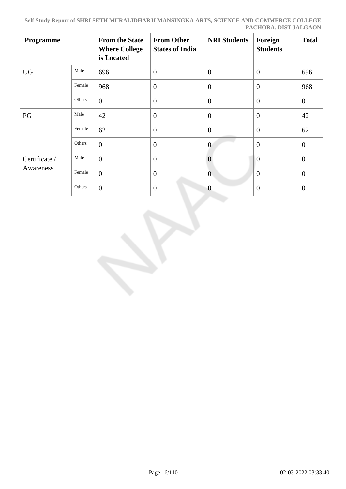| Programme                  |        | <b>From the State</b><br><b>Where College</b><br>is Located | <b>From Other</b><br><b>States of India</b> | <b>NRI Students</b> | Foreign<br><b>Students</b> | <b>Total</b>   |
|----------------------------|--------|-------------------------------------------------------------|---------------------------------------------|---------------------|----------------------------|----------------|
| <b>UG</b>                  | Male   | 696                                                         | $\overline{0}$                              | $\overline{0}$      | $\overline{0}$             | 696            |
|                            | Female | 968                                                         | $\overline{0}$                              | $\overline{0}$      | $\theta$                   | 968            |
|                            | Others | $\overline{0}$                                              | $\overline{0}$                              | $\overline{0}$      | $\theta$                   | $\theta$       |
| PG                         | Male   | 42                                                          | $\overline{0}$                              | $\overline{0}$      | $\theta$                   | 42             |
|                            | Female | 62                                                          | $\theta$                                    | $\overline{0}$      | $\theta$                   | 62             |
|                            | Others | $\overline{0}$                                              | $\theta$                                    | $\overline{0}$      | $\overline{0}$             | $\overline{0}$ |
| Certificate /<br>Awareness | Male   | $\overline{0}$                                              | $\overline{0}$                              | $\overline{0}$      | $\overline{0}$             | $\overline{0}$ |
|                            | Female | $\overline{0}$                                              | $\overline{0}$                              | $\mathbf{0}$        | $\theta$                   | $\mathbf{0}$   |
|                            | Others | $\overline{0}$                                              | $\theta$                                    | $\overline{0}$      | $\overline{0}$             | $\overline{0}$ |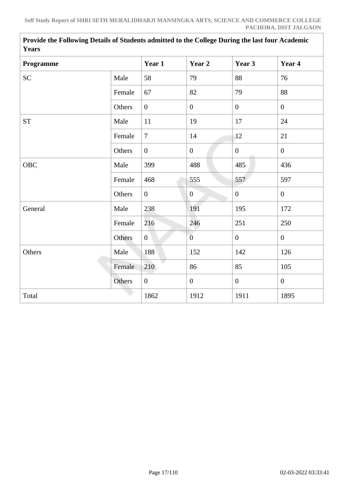| <b>Years</b> |        |                |                  |                  |                |
|--------------|--------|----------------|------------------|------------------|----------------|
| Programme    |        | Year 1         | Year 2           | Year 3           | Year 4         |
| <b>SC</b>    | Male   | 58             | 79               | 88               | 76             |
|              | Female | 67             | 82               | 79               | 88             |
|              | Others | $\overline{0}$ | $\boldsymbol{0}$ | $\overline{0}$   | $\overline{0}$ |
| <b>ST</b>    | Male   | 11             | 19               | 17               | 24             |
|              | Female | $\overline{7}$ | 14               | 12               | 21             |
|              | Others | $\overline{0}$ | $\boldsymbol{0}$ | $\mathbf{0}$     | $\overline{0}$ |
| <b>OBC</b>   | Male   | 399            | 488              | 485              | 436            |
|              | Female | 468            | 555              | 557              | 597            |
|              | Others | $\overline{0}$ | $\overline{0}$   | $\boldsymbol{0}$ | $\overline{0}$ |
| General      | Male   | 238            | 191              | 195              | 172            |
|              | Female | 216            | 246              | 251              | 250            |
|              | Others | $\overline{0}$ | $\overline{0}$   | $\mathbf{0}$     | $\overline{0}$ |
| Others       | Male   | 188            | 152              | 142              | 126            |
|              | Female | 210            | 86               | 85               | 105            |
|              | Others | $\overline{0}$ | $\boldsymbol{0}$ | $\overline{0}$   | $\overline{0}$ |
| Total        |        | 1862           | 1912             | 1911             | 1895           |
|              |        |                |                  |                  |                |

**Provide the Following Details of Students admitted to the College During the last four Academic Years**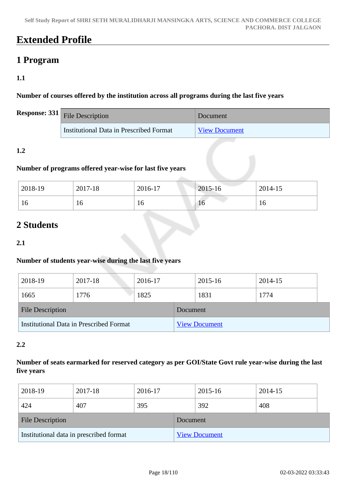## **Extended Profile**

## **1 Program**

## **1.1**

**Number of courses offered by the institution across all programs during the last five years**

| <b>Response:</b> $331$ File Description | Document             |
|-----------------------------------------|----------------------|
| Institutional Data in Prescribed Format | <b>View Document</b> |

## **1.2**

## **Number of programs offered year-wise for last five years**

| 2018-19 | 2017-18 | 2016-17 | 2015-16         | 2014-15 |
|---------|---------|---------|-----------------|---------|
| 16      | 10      | 10      | 10 <sub>1</sub> | 10      |

## **2 Students**

## **2.1**

## **Number of students year-wise during the last five years**

| 2018-19                                 | 2017-18 | 2016-17 |                      | 2015-16 | 2014-15 |  |
|-----------------------------------------|---------|---------|----------------------|---------|---------|--|
| 1665                                    | 1776    | 1825    |                      | 1831    | 1774    |  |
| <b>File Description</b>                 |         |         | Document             |         |         |  |
| Institutional Data in Prescribed Format |         |         | <b>View Document</b> |         |         |  |

## **2.2**

## **Number of seats earmarked for reserved category as per GOI/State Govt rule year-wise during the last five years**

| 2018-19                                 | 2017-18 | 2016-17 |                      | 2015-16 | 2014-15 |  |
|-----------------------------------------|---------|---------|----------------------|---------|---------|--|
| 424                                     | 407     | 395     |                      | 392     | 408     |  |
| <b>File Description</b>                 |         |         | Document             |         |         |  |
| Institutional data in prescribed format |         |         | <b>View Document</b> |         |         |  |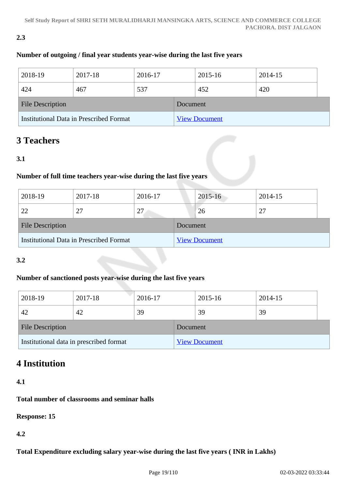## **2.3**

## **Number of outgoing / final year students year-wise during the last five years**

| 2018-19                                 | 2017-18 | 2016-17 |                      | 2015-16 |  | 2014-15 |  |
|-----------------------------------------|---------|---------|----------------------|---------|--|---------|--|
| 424                                     | 467     | 537     |                      | 452     |  | 420     |  |
| <b>File Description</b>                 |         |         | Document             |         |  |         |  |
| Institutional Data in Prescribed Format |         |         | <b>View Document</b> |         |  |         |  |

## **3 Teachers**

## **3.1**

## **Number of full time teachers year-wise during the last five years**

| 2018-19                                 | 2017-18 | 2016-17  |                      | $2015 - 16$ | 2014-15 |
|-----------------------------------------|---------|----------|----------------------|-------------|---------|
| 22                                      | 27      | 27       |                      | 26          | 27      |
| <b>File Description</b>                 |         | Document |                      |             |         |
| Institutional Data in Prescribed Format |         |          | <b>View Document</b> |             |         |

## **3.2**

## **Number of sanctioned posts year-wise during the last five years**

| 2018-19                                 | 2017-18 | 2016-17  |                      | 2015-16 | 2014-15 |  |
|-----------------------------------------|---------|----------|----------------------|---------|---------|--|
| 42                                      | 42      | 39       |                      | 39      | 39      |  |
| <b>File Description</b>                 |         | Document |                      |         |         |  |
| Institutional data in prescribed format |         |          | <b>View Document</b> |         |         |  |

## **4 Institution**

**4.1**

## **Total number of classrooms and seminar halls**

**Response: 15**

**4.2**

**Total Expenditure excluding salary year-wise during the last five years ( INR in Lakhs)**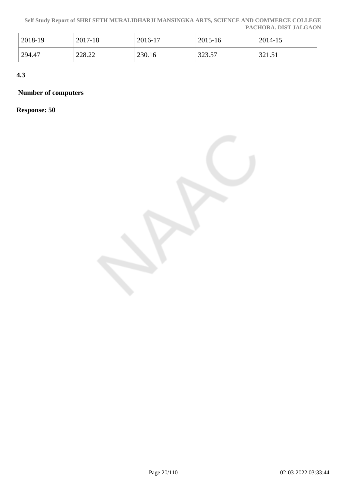**Self Study Report of SHRI SETH MURALIDHARJI MANSINGKA ARTS, SCIENCE AND COMMERCE COLLEGE PACHORA. DIST JALGAON**

| 2018-19 | 2017-18 | 2016-17 | 2015-16 | 2014-15 |
|---------|---------|---------|---------|---------|
| 294.47  | 228.22  | 230.16  | 323.57  | 321.51  |

**4.3**

## **Number of computers**

**Response: 50**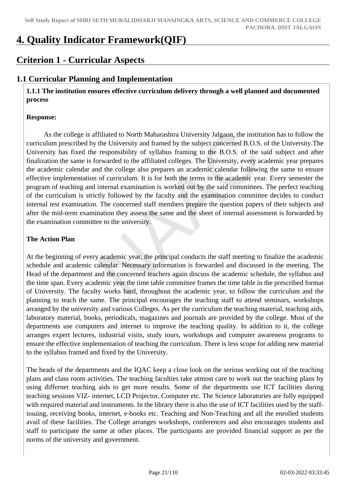## **4. Quality Indicator Framework(QIF)**

## **Criterion 1 - Curricular Aspects**

## **1.1 Curricular Planning and Implementation**

 **1.1.1 The institution ensures effective curriculum delivery through a well planned and documented process** 

#### **Response:**

 As the college is affiliated to North Maharashtra University Jalgaon, the institution has to follow the curriculum prescribed by the University and framed by the subject concerned B.O.S. of the University.The University has fixed the responsibility of syllabus framing to the B.O.S. of the said subject and after finalization the same is forwarded to the affiliated colleges. The University, every academic year prepares the academic calendar and the college also prepares an academic calendar following the same to ensure effective implementation of curriculum. It is for both the terms in the academic year. Every semester the program of teaching and internal examination is worked out by the said committees. The perfect teaching of the curriculum is strictly followed by the faculty and the examination committee decides to conduct internal test examination. The concerned staff members prepare the question papers of their subjects and after the mid-term examination they assess the same and the sheet of internal assessment is forwarded by the examination committee to the university.

### **The Action Plan**

At the beginning of every academic year, the principal conducts the staff meeting to finalize the academic schedule and academic calendar. Necessary information is forwarded and discussed in the meeting. The Head of the department and the concerned teachers again discuss the academic schedule, the syllabus and the time span. Every academic year the time table committee frames the time table in the prescribed format of University. The faculty works hard, throughout the academic year, to follow the curriculum and the planning to teach the same. The principal encourages the teaching staff to attend seminars, workshops arranged by the university and various Colleges. As per the curriculum the teaching material, teaching aids, laboratory material, books, periodicals, magazines and journals are provided by the college. Most of the departments use computers and internet to improve the teaching quality. In addition to it, the college arranges expert lectures, industrial visits, study tours, workshops and computer awareness programs to ensure the effective implementation of teaching the curriculum. There is less scope for adding new material to the syllabus framed and fixed by the University.

The heads of the departments and the IQAC keep a close look on the serious working out of the teaching plans and class room activities. The teaching faculties take utmost care to work out the teaching plans by using differnet teaching aids to get more results. Some of the departments use ICT facilities during teaching sessions VIZ- internet, LCD Projector, Computer etc. The Science laboratories are fully equipped with required material and instruments. In the library there is also the use of ICT facilities used by the staffissuing, receiving books, internet, e-books etc. Teaching and Non-Teaching and all the enrolled students avail of these facilities. The College arranges workshops, conferences and also encourages students and staff to participate the same at other places. The participants are provided financial support as per the norms of the university and government.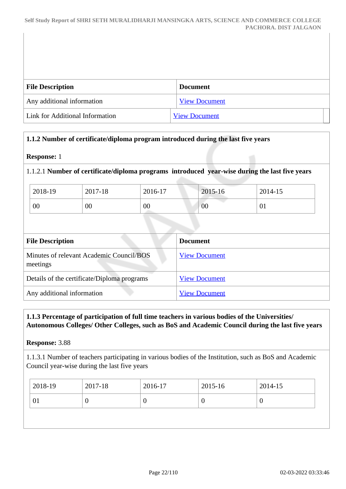| <b>File Description</b>         | <b>Document</b>      |
|---------------------------------|----------------------|
| Any additional information      | <b>View Document</b> |
| Link for Additional Information | <b>View Document</b> |

### **1.1.2 Number of certificate/diploma program introduced during the last five years**

#### **Response:** 1

1.1.2.1 **Number of certificate/diploma programs introduced year-wise during the last five years**

| 2018-19 | 2017-18 | 2016-17 | 2015-16 | 2014-15 |
|---------|---------|---------|---------|---------|
| 00      | 00      | 00      | 00      | 01      |

| <b>File Description</b>                              | <b>Document</b>      |
|------------------------------------------------------|----------------------|
| Minutes of relevant Academic Council/BOS<br>meetings | <b>View Document</b> |
| Details of the certificate/Diploma programs          | <b>View Document</b> |
| Any additional information                           | <b>View Document</b> |

### **1.1.3 Percentage of participation of full time teachers in various bodies of the Universities/ Autonomous Colleges/ Other Colleges, such as BoS and Academic Council during the last five years**

**Response:** 3.88

1.1.3.1 Number of teachers participating in various bodies of the Institution, such as BoS and Academic Council year-wise during the last five years

|                   | 2017-18<br>2016-17 | 2015-16<br>2014-15 |
|-------------------|--------------------|--------------------|
| 01<br>U<br>ν<br>◡ |                    |                    |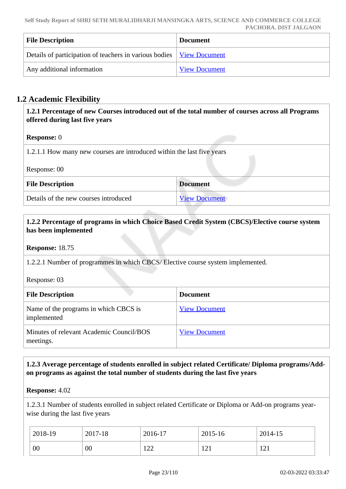| <b>File Description</b>                                                       | <b>Document</b>      |
|-------------------------------------------------------------------------------|----------------------|
| Details of participation of teachers in various bodies   <u>View Document</u> |                      |
| Any additional information                                                    | <b>View Document</b> |

## **1.2 Academic Flexibility**

 **1.2.1 Percentage of new Courses introduced out of the total number of courses across all Programs offered during last five years**

### **Response:** 0

1.2.1.1 How many new courses are introduced within the last five years

Response: 00

| <b>File Description</b>               | <b>Document</b>      |
|---------------------------------------|----------------------|
| Details of the new courses introduced | <b>View Document</b> |

## **1.2.2 Percentage of programs in which Choice Based Credit System (CBCS)/Elective course system has been implemented**

**Response:** 18.75

1.2.2.1 Number of programmes in which CBCS/ Elective course system implemented.

Response: 03

| <b>File Description</b>                               | <b>Document</b>      |
|-------------------------------------------------------|----------------------|
| Name of the programs in which CBCS is<br>implemented  | <b>View Document</b> |
| Minutes of relevant Academic Council/BOS<br>meetings. | <b>View Document</b> |

### **1.2.3 Average percentage of students enrolled in subject related Certificate/ Diploma programs/Addon programs as against the total number of students during the last five years**

#### **Response:** 4.02

1.2.3.1 Number of students enrolled in subject related Certificate or Diploma or Add-on programs yearwise during the last five years

| 2018-19 | 2017-18 | 2016-17     | 2015-16            | 2014-15 |
|---------|---------|-------------|--------------------|---------|
| 00      | 00      | 1 ລລ<br>1/2 | $1^{\sim}1$<br>1/4 | 121     |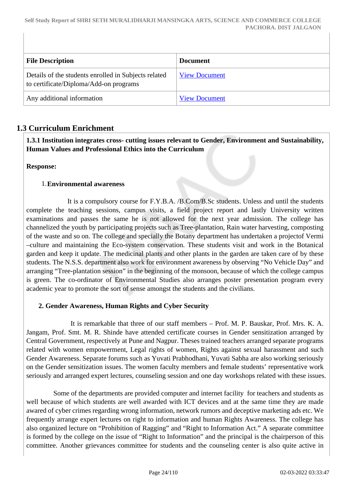**Self Study Report of SHRI SETH MURALIDHARJI MANSINGKA ARTS, SCIENCE AND COMMERCE COLLEGE PACHORA. DIST JALGAON**

| <b>File Description</b>                                                                        | <b>Document</b>      |
|------------------------------------------------------------------------------------------------|----------------------|
| Details of the students enrolled in Subjects related<br>to certificate/Diploma/Add-on programs | <b>View Document</b> |
| Any additional information                                                                     | <b>View Document</b> |

## **1.3 Curriculum Enrichment**

 **1.3.1 Institution integrates cross- cutting issues relevant to Gender, Environment and Sustainability, Human Values and Professional Ethics into the Curriculum**

**Response:** 

#### 1.**Environmental awareness**

 It is a compulsory course for F.Y.B.A. /B.Com/B.Sc students. Unless and until the students complete the teaching sessions, campus visits, a field project report and lastly University written examinations and passes the same he is not allowed for the next year admission. The college has channelized the youth by participating projects such as Tree-plantation, Rain water harvesting, composting of the waste and so on. The college and specially the Botany department has undertaken a projectof Vermi –culture and maintaining the Eco-system conservation. These students visit and work in the Botanical garden and keep it update. The medicinal plants and other plants in the garden are taken care of by these students. The N.S.S. department also work for environment awareness by observing "No Vehicle Day" and arranging "Tree-plantation session" in the beginning of the monsoon, because of which the college campus is green. The co-ordinator of Environmental Studies also arranges poster presentation program every academic year to promote the sort of sense amongst the students and the civilians.

### **2. Gender Awareness, Human Rights and Cyber Security**

 It is remarkable that three of our staff members – Prof. M. P. Bauskar, Prof. Mrs. K. A. Jangam, Prof. Smt. M. R. Shinde have attended certificate courses in Gender sensitization arranged by Central Government, respectively at Pune and Nagpur. Theses trained teachers arranged separate programs related with women empowerment, Legal rights of women, Rights against sexual harassment and such Gender Awareness. Separate forums such as Yuvati Prabhodhani, Yuvati Sabha are also working seriously on the Gender sensitization issues. The women faculty members and female students' representative work seriously and arranged expert lectures, counseling session and one day workshops related with these issues.

 Some of the departments are provided computer and internet facility for teachers and students as well because of which students are well awarded with ICT devices and at the same time they are made awared of cyber crimes regarding wrong information, network rumors and deceptive marketing ads etc. We frequently arrange expert lectures on right to information and human Rights Awareness. The college has also organized lecture on "Prohibition of Ragging" and "Right to Information Act." A separate committee is formed by the college on the issue of "Right to Information" and the principal is the chairperson of this committee. Another grievances committee for students and the counseling center is also quite active in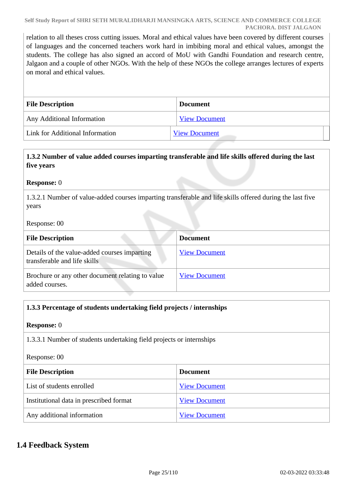relation to all theses cross cutting issues. Moral and ethical values have been covered by different courses of languages and the concerned teachers work hard in imbibing moral and ethical values, amongst the students. The college has also signed an accord of MoU with Gandhi Foundation and research centre, Jalgaon and a couple of other NGOs. With the help of these NGOs the college arranges lectures of experts on moral and ethical values.

| <b>File Description</b>         | <b>Document</b>      |
|---------------------------------|----------------------|
| Any Additional Information      | <b>View Document</b> |
| Link for Additional Information | <b>View Document</b> |

## **1.3.2 Number of value added courses imparting transferable and life skills offered during the last five years**

#### **Response:** 0

1.3.2.1 Number of value-added courses imparting transferable and life skills offered during the last five years

#### Response: 00

| <b>File Description</b>                                                      | <b>Document</b>      |
|------------------------------------------------------------------------------|----------------------|
| Details of the value-added courses imparting<br>transferable and life skills | <b>View Document</b> |
| Brochure or any other document relating to value<br>added courses.           | <b>View Document</b> |

### **1.3.3 Percentage of students undertaking field projects / internships**

#### **Response:** 0

1.3.3.1 Number of students undertaking field projects or internships

#### Response: 00

| <b>File Description</b>                 | <b>Document</b>      |
|-----------------------------------------|----------------------|
| List of students enrolled               | <b>View Document</b> |
| Institutional data in prescribed format | <b>View Document</b> |
| Any additional information              | <b>View Document</b> |

## **1.4 Feedback System**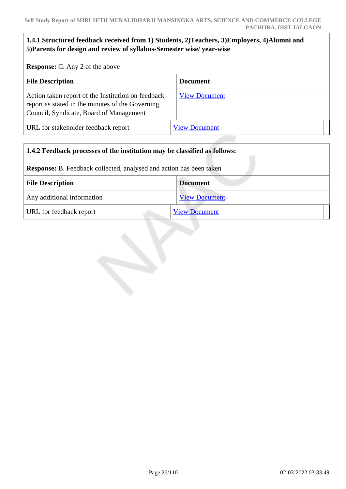### **1.4.1 Structured feedback received from 1) Students, 2)Teachers, 3)Employers, 4)Alumni and 5)Parents for design and review of syllabus-Semester wise/ year-wise**

**Response:** C. Any 2 of the above

| <b>File Description</b>                                                                                                                           | <b>Document</b>      |
|---------------------------------------------------------------------------------------------------------------------------------------------------|----------------------|
| Action taken report of the Institution on feedback<br>report as stated in the minutes of the Governing<br>Council, Syndicate, Board of Management | <b>View Document</b> |
| URL for stakeholder feedback report                                                                                                               | <b>View Document</b> |

| 1.4.2 Feedback processes of the institution may be classified as follows:  |                      |  |
|----------------------------------------------------------------------------|----------------------|--|
| <b>Response:</b> B. Feedback collected, analysed and action has been taken |                      |  |
| <b>File Description</b>                                                    | <b>Document</b>      |  |
| Any additional information                                                 | <b>View Document</b> |  |
| URL for feedback report                                                    | <b>View Document</b> |  |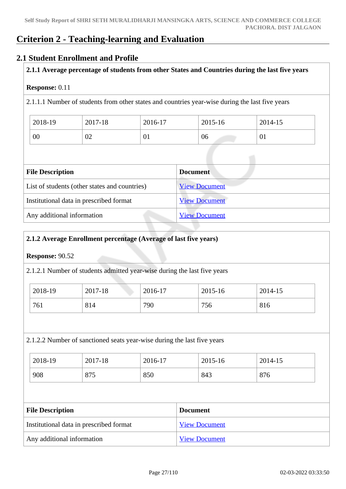## **Criterion 2 - Teaching-learning and Evaluation**

## **2.1 Student Enrollment and Profile**

### **2.1.1 Average percentage of students from other States and Countries during the last five years**

#### **Response:** 0.11

2.1.1.1 Number of students from other states and countries year-wise during the last five years

| 2018-19 | 2017-18 | 2016-17 | 2015-16 | 2014-15 |
|---------|---------|---------|---------|---------|
| 00      | 02      | 01      | 06      | 01      |

| <b>File Description</b>                       | <b>Document</b>      |
|-----------------------------------------------|----------------------|
| List of students (other states and countries) | <b>View Document</b> |
| Institutional data in prescribed format       | <b>View Document</b> |
| Any additional information                    | <b>View Document</b> |

### **2.1.2 Average Enrollment percentage (Average of last five years)**

### **Response:** 90.52

2.1.2.1 Number of students admitted year-wise during the last five years

| 2018-19 | 2017-18 | 2016-17 | 2015-16 | 2014-15 |
|---------|---------|---------|---------|---------|
| 761     | 814     | 790     | 756     | 816     |

### 2.1.2.2 Number of sanctioned seats year-wise during the last five years

| 2018-19 | 2017-18 | 2016-17 | 2015-16 | 2014-15 |
|---------|---------|---------|---------|---------|
| 908     | 875     | 850     | 843     | 876     |

| <b>File Description</b>                 | <b>Document</b>      |
|-----------------------------------------|----------------------|
| Institutional data in prescribed format | <b>View Document</b> |
| Any additional information              | <b>View Document</b> |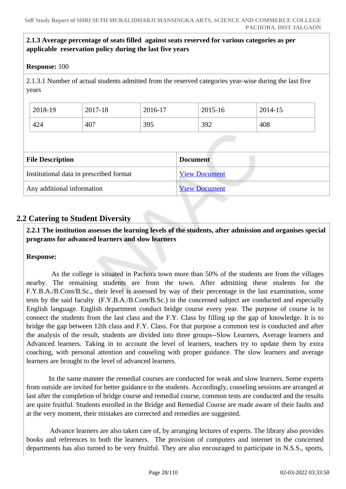## **2.1.3 Average percentage of seats filled against seats reserved for various categories as per applicable reservation policy during the last five years**

#### **Response:** 100

2.1.3.1 Number of actual students admitted from the reserved categories year-wise during the last five years

| 2018-19 | 2017-18 | 2016-17 | 2015-16 | 2014-15 |
|---------|---------|---------|---------|---------|
| 424     | 407     | 395     | 392     | 408     |

| <b>File Description</b>                 | <b>Document</b>      |
|-----------------------------------------|----------------------|
| Institutional data in prescribed format | <b>View Document</b> |
| Any additional information              | <b>View Document</b> |

## **2.2 Catering to Student Diversity**

 **2.2.1 The institution assesses the learning levels of the students, after admission and organises special programs for advanced learners and slow learners**

### **Response:**

 As the college is situated in Pachora town more than 50% of the students are from the villages nearby. The remaining students are from the town. After admitting these students for the F.Y.B.A./B.Com/B.Sc., their level is assessed by way of their percentage in the last examination, some tests by the said faculty (F.Y.B.A./B.Com/B.Sc.) in the concerned subject are conducted and especially English language. English department conduct bridge course every year. The purpose of course is to connect the students from the last class and the F.Y. Class by filling up the gap of knowledge. It is to bridge the gap between 12th class and F.Y. Class. For that purpose a common test is conducted and after the analysis of the result, students are divided into three groups--Slow Learners, Average learners and Advanced learners. Taking in to account the level of learners, teachers try to update them by extra coaching, with personal attention and couseling with proper guidance. The slow learners and average learners are brought to the level of advanced learners.

 In the same manner the remedial courses are conducted for weak and slow learners. Some experts from outside are invited for better guidance to the students. Accordingly, couseling sessions are arranged at last after the completion of bridge course and remedial course, common tests are conducted and the results are quite fruitful. Students enrolled in the Bridge and Remedial Course are made aware of their faults and at the very moment, their mistakes are corrected and remedies are suggested.

 Advance learners are also taken care of, by arranging lectures of experts. The library also provides books and references to both the learners. The provision of computers and internet in the concerned departments has also turned to be very fruitful. They are also encouraged to participate in N.S.S., sports,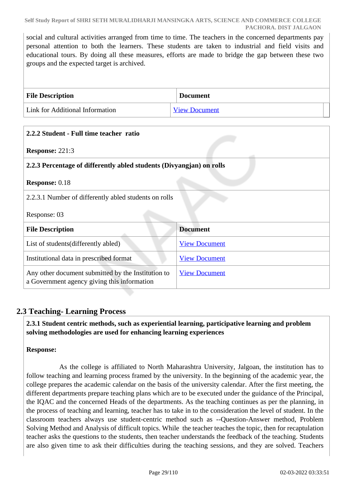social and cultural activities arranged from time to time. The teachers in the concerned departments pay personal attention to both the learners. These students are taken to industrial and field visits and educational tours. By doing all these measures, efforts are made to bridge the gap between these two groups and the expected target is archived.

| <b>File Description</b>         | <b>Document</b>      |
|---------------------------------|----------------------|
| Link for Additional Information | <b>View Document</b> |

| 2.2.2 Student - Full time teacher ratio                                                           |                      |
|---------------------------------------------------------------------------------------------------|----------------------|
| <b>Response: 221:3</b>                                                                            |                      |
| 2.2.3 Percentage of differently abled students (Divyangian) on rolls                              |                      |
| <b>Response: 0.18</b>                                                                             |                      |
| 2.2.3.1 Number of differently abled students on rolls                                             |                      |
| Response: 03                                                                                      |                      |
| <b>File Description</b>                                                                           | <b>Document</b>      |
| List of students (differently abled)                                                              | <b>View Document</b> |
| Institutional data in prescribed format                                                           | <b>View Document</b> |
| Any other document submitted by the Institution to<br>a Government agency giving this information | <b>View Document</b> |

## **2.3 Teaching- Learning Process**

 **2.3.1 Student centric methods, such as experiential learning, participative learning and problem solving methodologies are used for enhancing learning experiences**

## **Response:**

 As the college is affiliated to North Maharashtra University, Jalgoan, the institution has to follow teaching and learning process framed by the university. In the beginning of the academic year, the college prepares the academic calendar on the basis of the university calendar. After the first meeting, the different departments prepare teaching plans which are to be executed under the guidance of the Principal, the IQAC and the concerned Heads of the departments. As the teaching continues as per the planning, in the process of teaching and learning, teacher has to take in to the consideration the level of student. In the classroom teachers always use student-centric method such as --Question-Answer method, Problem Solving Method and Analysis of difficult topics. While the teacher teaches the topic, then for recaptulation teacher asks the questions to the students, then teacher understands the feedback of the teaching. Students are also given time to ask their difficulties during the teaching sessions, and they are solved. Teachers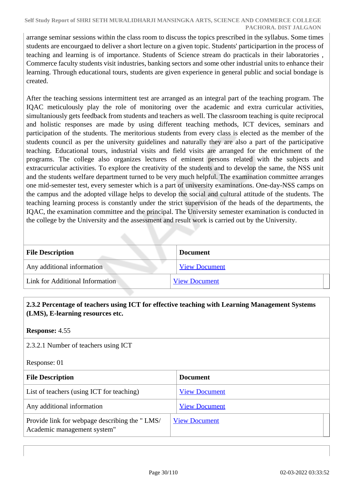arrange seminar sessions within the class room to discuss the topics prescribed in the syllabus. Some times students are encourgaed to deliver a short lecture on a given topic. Students' participartion in the process of teaching and learning is of importance. Students of Science stream do practicals in their laboratories , Commerce faculty students visit industries, banking sectors and some other industrial units to enhance their learning. Through educational tours, students are given experience in general public and social bondage is created.

After the teaching sessions intermittent test are arranged as an integral part of the teaching program. The IQAC meticulously play the role of monitoring over the academic and extra curricular activities, simultaniously gets feedback from students and teachers as well. The classroom teaching is quite reciprocal and holistic responses are made by using different teaching methods, ICT devices, seminars and participation of the students. The meritorious students from every class is elected as the member of the students council as per the university guidelines and naturally they are also a part of the participative teaching. Educational tours, industrial visits and field visits are arranged for the enrichment of the programs. The college also organizes lectures of eminent persons related with the subjects and extracurricular activities. To explore the creativity of the students and to develop the same, the NSS unit and the students welfare department turned to be very much helpful. The examination committee arranges one mid-semester test, every semester which is a part of university examinations. One-day-NSS camps on the campus and the adopted village helps to develop the social and cultural attitude of the students. The teaching learning process is constantly under the strict supervision of the heads of the departments, the IQAC, the examination committee and the principal. The University semester examination is conducted in the college by the University and the assessment and result work is carried out by the University.

| <b>File Description</b>         | <b>Document</b>      |  |
|---------------------------------|----------------------|--|
| Any additional information      | <b>View Document</b> |  |
| Link for Additional Information | <b>View Document</b> |  |

## **2.3.2 Percentage of teachers using ICT for effective teaching with Learning Management Systems (LMS), E-learning resources etc.**

### **Response:** 4.55

2.3.2.1 Number of teachers using ICT

Response: 01

| <b>File Description</b>                                                      | <b>Document</b>      |
|------------------------------------------------------------------------------|----------------------|
| List of teachers (using ICT for teaching)                                    | <b>View Document</b> |
| Any additional information                                                   | <b>View Document</b> |
| Provide link for webpage describing the "LMS/<br>Academic management system" | <b>View Document</b> |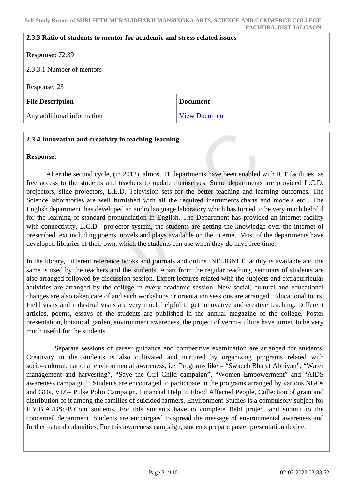#### **2.3.3 Ratio of students to mentor for academic and stress related issues**

| <b>Response: 72.39</b>     |                      |
|----------------------------|----------------------|
| 2.3.3.1 Number of mentors  |                      |
| Response: 23               |                      |
| <b>File Description</b>    | <b>Document</b>      |
| Any additional information | <b>View Document</b> |

#### **2.3.4 Innovation and creativity in teaching-learning**

#### **Response:**

 After the second cycle, (in 2012), almost 11 departments have been enabled with ICT facilities as free access to the students and teachers to update themselves. Some departments are provided L.C.D. projectors, slide projectors, L.E.D. Television sets for the better teaching and learning outcomes. The Science laboratories are well furnished with all the required instruments,charts and models etc . The English department has developed an audio language laboratory which has turned to be very much helpful for the learning of standard pronunciation in English. The Department has provided an internet facility with connectivity, L.C.D. projector system, the students are getting the knowledge over the internet of prescribed text including poems, novels and plays available on the internet. Most of the departments have developed libraries of their own, which the students can use when they do have free time.

In the library, different reference books and journals and online INFLIBNET facility is available and the same is used by the teachers and the students. Apart from the regular teaching, seminars of students are also arranged followed by discussion session. Expert lectures related with the subjects and extracurricular activities are arranged by the college in every academic session. New social, cultural and educational changes are also taken care of and such workshops or orientation sessions are arranged. Educational tours, Field vistis and industrial visits are very much helpful to get innovative and creative teaching. Different articles, poems, essays of the students are published in the annual magazine of the college. Poster presentation, botanical garden, environment awareness, the project of vermi-culture have turned to be very much useful for the students.

 Separate sessions of career guidance and competitive examination are arranged for students. Creativity in the students is also cultivated and nurtured by organizing programs related with socio–cultural, national environmental awareness, i.e. Programs like – "Swacch Bharat Abhiyan", "Water management and harvesting", "Save the Girl Child campaign", "Women Empowerment" and "AIDS awareness campaign." Students are encouraged to participate in the programs arranged by various NGOs and GOs, VIZ-- Pulse Polio Campaign, Financial Help to Flood Affected People, Collection of grain and distribution of it among the families of suicided farmers. Environment Studies is a compulsory subject for F.Y.B.A./BSc/B.Com students. For this students have to complete field project and submit to the concerned department. Students are encourgaed to spread the message of environmental awareness and further natural calamities. For this awareness campaign, students prepare poster presentation device.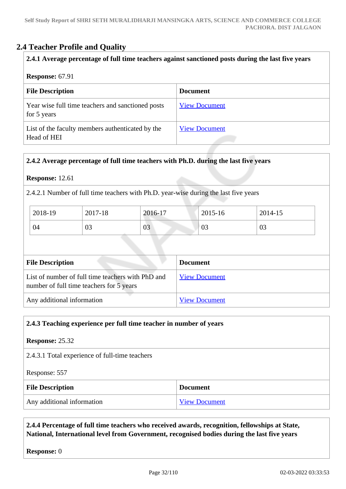## **2.4 Teacher Profile and Quality**

### **2.4.1 Average percentage of full time teachers against sanctioned posts during the last five years**

#### **Response:** 67.91

| <b>File Description</b>                                          | <b>Document</b>      |
|------------------------------------------------------------------|----------------------|
| Year wise full time teachers and sanctioned posts<br>for 5 years | <b>View Document</b> |
| List of the faculty members authenticated by the<br>Head of HEI  | <b>View Document</b> |

## **2.4.2 Average percentage of full time teachers with Ph.D. during the last five years**

#### **Response:** 12.61

2.4.2.1 Number of full time teachers with Ph.D. year-wise during the last five years

| 2018-19 | 2017-18 | 2016-17 | 2015-16 | 2014-15 |
|---------|---------|---------|---------|---------|
| 04      | 03      | 03      | 03      | 03      |

| <b>File Description</b>                                                                       | <b>Document</b>      |
|-----------------------------------------------------------------------------------------------|----------------------|
| List of number of full time teachers with PhD and<br>number of full time teachers for 5 years | <b>View Document</b> |
| Any additional information                                                                    | <b>View Document</b> |

### **2.4.3 Teaching experience per full time teacher in number of years**

**Response:** 25.32 2.4.3.1 Total experience of full-time teachers Response: 557 **File Description Document** Any additional information <br>
<u>[View Document](https://assessmentonline.naac.gov.in/storage/app/hei/SSR/104097/2.4.3_1561614253_3469.pdf)</u>

### **2.4.4 Percentage of full time teachers who received awards, recognition, fellowships at State, National, International level from Government, recognised bodies during the last five years**

### **Response:** 0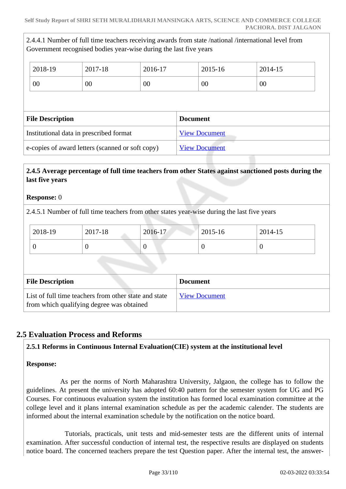2.4.4.1 Number of full time teachers receiving awards from state /national /international level from Government recognised bodies year-wise during the last five years

| 2018-19                 | 2017-18                                          | 2016-17 |                 | 2015-16              | 2014-15 |  |
|-------------------------|--------------------------------------------------|---------|-----------------|----------------------|---------|--|
| 00                      | 00                                               | 00      |                 | 00                   | 00      |  |
|                         |                                                  |         |                 |                      |         |  |
| <b>File Description</b> |                                                  |         | <b>Document</b> |                      |         |  |
|                         | Institutional data in prescribed format          |         |                 | <b>View Document</b> |         |  |
|                         | e-copies of award letters (scanned or soft copy) |         |                 | <b>View Document</b> |         |  |

## **2.4.5 Average percentage of full time teachers from other States against sanctioned posts during the last five years**

#### **Response:** 0

2.4.5.1 Number of full time teachers from other states year-wise during the last five years

| $2017 - 18$<br>2018-19<br>2016-17 | $2015 - 16$ | 2014-15 |
|-----------------------------------|-------------|---------|
| ν                                 |             |         |

| <b>File Description</b>                                                                            | <b>Document</b>      |
|----------------------------------------------------------------------------------------------------|----------------------|
| List of full time teachers from other state and state<br>from which qualifying degree was obtained | <b>View Document</b> |

## **2.5 Evaluation Process and Reforms**

### **2.5.1 Reforms in Continuous Internal Evaluation(CIE) system at the institutional level**

### **Response:**

 As per the norms of North Maharashtra University, Jalgaon, the college has to follow the guidelines. At present the university has adopted 60:40 pattern for the semester system for UG and PG Courses. For continuous evaluation system the institution has formed local examination committee at the college level and it plans internal examination schedule as per the academic calender. The students are informed about the internal examination schedule by the notification on the notice board.

 Tutorials, practicals, unit tests and mid-semester tests are the different units of internal examination. After successful conduction of internal test, the respective results are displayed on students notice board. The concerned teachers prepare the test Question paper. After the internal test, the answer-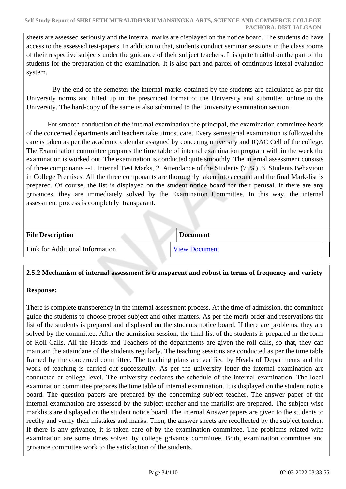sheets are assessed seriously and the internal marks are displayed on the notice board. The students do have access to the assessed test-papers. In addition to that, students conduct seminar sessions in the class rooms of their respective subjects under the guidance of their subject teachers. It is quite fruitful on the part of the students for the preparation of the examination. It is also part and parcel of continuous interal evaluation system.

 By the end of the semester the internal marks obtained by the students are calculated as per the University norms and filled up in the prescribed format of the University and submitted online to the University. The hard-copy of the same is also submitted to the University examination section.

 For smooth conduction of the internal examination the principal, the examination committee heads of the concerned departments and teachers take utmost care. Every semesterial examination is followed the care is taken as per the academic calendar assigned by concering university and IQAC Cell of the college. The Examination committee prepares the time table of internal examination program with in the week the examination is worked out. The examination is conducted quite smoothly. The internal assessment consists of three componants --1. Internal Test Marks, 2. Attendance of the Students (75%) ,3. Students Behaviour in College Premises. All the three componants are thoroughly taken into account and the final Mark-list is prepared. Of course, the list is displayed on the student notice board for their perusal. If there are any grivances, they are immediately solved by the Examination Committee. In this way, the internal assessment process is completely transparant.

| <b>File Description</b>         | <b>Document</b>      |
|---------------------------------|----------------------|
| Link for Additional Information | <b>View Document</b> |

### **2.5.2 Mechanism of internal assessment is transparent and robust in terms of frequency and variety**

## **Response:**

There is complete transperency in the internal assessment process. At the time of admission, the committee guide the students to choose proper subject and other matters. As per the merit order and reservations the list of the students is prepared and displayed on the students notice board. If there are problems, they are solved by the committee. After the admission session, the final list of the students is prepared in the form of Roll Calls. All the Heads and Teachers of the departments are given the roll calls, so that, they can maintain the attaindane of the students regularly. The teaching sessions are conducted as per the time table framed by the concerned committee. The teaching plans are verified by Heads of Departments and the work of teaching is carried out successfully. As per the university letter the internal examination are conducted at college level. The university declares the schedule of the internal examination. The local examination committee prepares the time table of internal examination. It is displayed on the student notice board. The question papers are prepared by the concerning subject teacher. The answer paper of the internal examination are assessed by the subject teacher and the marklist are prepared. The subject-wise marklists are displayed on the student notice board. The internal Answer papers are given to the students to rectify and verify their mistakes and marks. Then, the answer sheets are recollected by the subject teacher. If there is any grivance, it is taken care of by the examination committee. The problems related with examination are some times solved by college grivance committee. Both, examination committee and grivance committee work to the satisfaction of the students.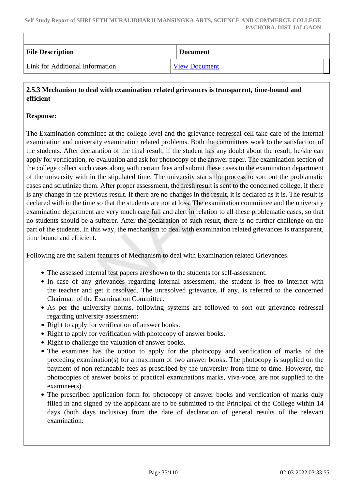| <b>File Description</b>         | <b>Document</b>      |
|---------------------------------|----------------------|
| Link for Additional Information | <b>View Document</b> |

### **2.5.3 Mechanism to deal with examination related grievances is transparent, time-bound and efficient**

#### **Response:**

The Examination committee at the college level and the grievance redressal cell take care of the internal examination and university examination related problems. Both the committees work to the satisfaction of the students. After declaration of the final result, if the student has any doubt about the result, he/she can apply for verification, re-evaluation and ask for photocopy of the answer paper. The examination section of the college collect such cases along with certain fees and submit these cases to the examination department of the university with in the stipulated time. The university starts the process to sort out the problamatic cases and scrutinize them. After proper assessment, the fresh result is sent to the concerned college, if there is any change in the previous result. If there are no changes in the result, it is declared as it is. The result is declared with in the time so that the students are not at loss. The examination commiittee and the university examination department are very much care full and alert in relation to all these problematic cases, so that no students should be a sufferer. After the declaration of such result, there is no further challenge on the part of the students. In this way, the mechanism to deal with examination related grievances is transparent, time bound and efficient.

Following are the salient features of Mechanism to deal with Examination related Grievances.

- The assessed internal test papers are shown to the students for self-assessment.
- In case of any grievances regarding internal assessment, the student is free to interact with the teacher and get it resolved. The unresolved grievance, if any, is referred to the concerned Chairman of the Examination Committee.
- As per the university norms, following systems are followed to sort out grievance redressal regarding university assessment:
- Right to apply for verification of answer books.
- Right to apply for verification with photocopy of answer books.
- Right to challenge the valuation of answer books.
- The examinee has the option to apply for the photocopy and verification of marks of the preceding examination(s) for a maximum of two answer books. The photocopy is supplied on the payment of non-refundable fees as prescribed by the university from time to time. However, the photocopies of answer books of practical examinations marks, viva-voce, are not supplied to the examinee(s).
- The prescribed application form for photocopy of answer books and verification of marks duly filled in and signed by the applicant are to be submitted to the Principal of the College within 14 days (both days inclusive) from the date of declaration of general results of the relevant examination.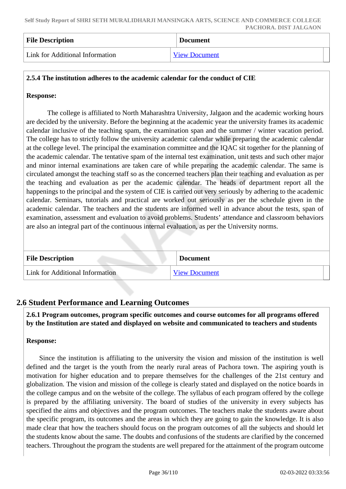| <b>File Description</b>         | <b>Document</b>      |  |
|---------------------------------|----------------------|--|
| Link for Additional Information | <b>View Document</b> |  |

### **2.5.4 The institution adheres to the academic calendar for the conduct of CIE**

#### **Response:**

 The college is affiliated to North Maharashtra University, Jalgaon and the academic working hours are decided by the university. Before the beginning at the academic year the university frames its academic calendar inclusive of the teaching spam, the examination span and the summer / winter vacation period. The college has to strictly follow the university academic calendar while preparing the academic calendar at the college level. The principal the examination committee and the IQAC sit together for the planning of the academic calendar. The tentative spam of the internal test examination, unit tests and such other major and minor internal examinations are taken care of while preparing the academic calendar. The same is circulated amongst the teaching staff so as the concerned teachers plan their teaching and evaluation as per the teaching and evaluation as per the academic calendar. The heads of department report all the happenings to the principal and the system of CIE is carried out very seriously by adhering to the academic calendar. Seminars, tutorials and practical are worked out seriously as per the schedule given in the academic calendar. The teachers and the students are informed well in advance about the tests, span of examination, assessment and evaluation to avoid problems. Students' attendance and classroom behaviors are also an integral part of the continuous internal evaluation, as per the University norms.

| <b>File Description</b>         | <b>Document</b>      |
|---------------------------------|----------------------|
| Link for Additional Information | <b>View Document</b> |

## **2.6 Student Performance and Learning Outcomes**

 **2.6.1 Program outcomes, program specific outcomes and course outcomes for all programs offered by the Institution are stated and displayed on website and communicated to teachers and students**

#### **Response:**

 Since the institution is affiliating to the university the vision and mission of the institution is well defined and the target is the youth from the nearly rural areas of Pachora town. The aspiring youth is motivation for higher education and to prepare themselves for the challenges of the 21st century and globalization. The vision and mission of the college is clearly stated and displayed on the notice boards in the college campus and on the website of the college. The syllabus of each program offered by the college is prepared by the affiliating university. The board of studies of the university in every subjects has specified the aims and objectives and the program outcomes. The teachers make the students aware about the specific program, its outcomes and the areas in which they are going to gain the knowledge. It is also made clear that how the teachers should focus on the program outcomes of all the subjects and should let the students know about the same. The doubts and confusions of the students are clarified by the concerned teachers. Throughout the program the students are well prepared for the attainment of the program outcome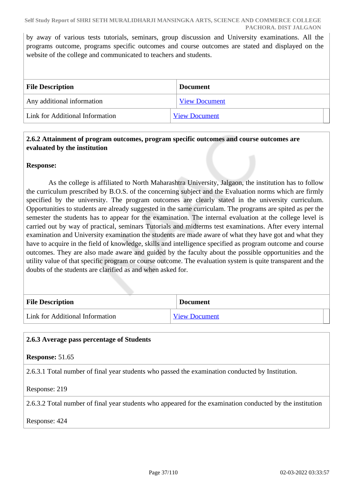by away of various tests tutorials, seminars, group discussion and University examinations. All the programs outcome, programs specific outcomes and course outcomes are stated and displayed on the website of the college and communicated to teachers and students.

| <b>File Description</b>         | <b>Document</b>      |  |
|---------------------------------|----------------------|--|
| Any additional information      | <b>View Document</b> |  |
| Link for Additional Information | <b>View Document</b> |  |

## **2.6.2 Attainment of program outcomes, program specific outcomes and course outcomes are evaluated by the institution**

## **Response:**

 As the college is affiliated to North Maharashtra University, Jalgaon, the institution has to follow the curriculum prescribed by B.O.S. of the concerning subject and the Evaluation norms which are firmly specified by the university. The program outcomes are clearly stated in the university curriculum. Opportunities to students are already suggested in the same curriculam. The programs are spited as per the semester the students has to appear for the examination. The internal evaluation at the college level is carried out by way of practical, seminars Tutorials and midterms test examinations. After every internal examination and University examination the students are made aware of what they have got and what they have to acquire in the field of knowledge, skills and intelligence specified as program outcome and course outcomes. They are also made aware and guided by the faculty about the possible opportunities and the utility value of that specific program or course outcome. The evaluation system is quite transparent and the doubts of the students are clarified as and when asked for.

| <b>File Description</b>         | <b>Document</b>      |
|---------------------------------|----------------------|
| Link for Additional Information | <b>View Document</b> |

## **2.6.3 Average pass percentage of Students**

**Response:** 51.65

2.6.3.1 Total number of final year students who passed the examination conducted by Institution.

Response: 219

2.6.3.2 Total number of final year students who appeared for the examination conducted by the institution

Response: 424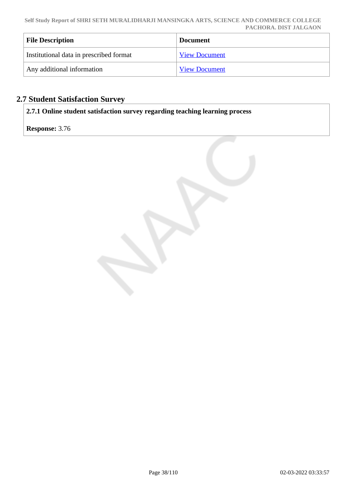| <b>File Description</b>                 | <b>Document</b>      |
|-----------------------------------------|----------------------|
| Institutional data in prescribed format | <b>View Document</b> |
| Any additional information              | <b>View Document</b> |

# **2.7 Student Satisfaction Survey**

**2.7.1 Online student satisfaction survey regarding teaching learning process**

**Response:** 3.76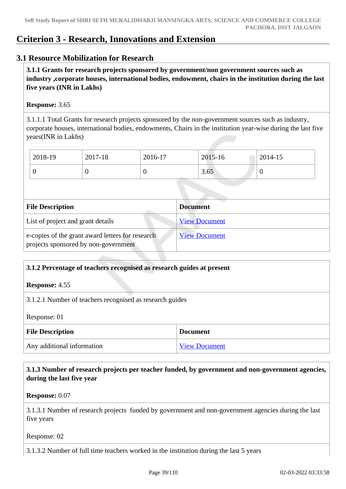# **Criterion 3 - Research, Innovations and Extension**

## **3.1 Resource Mobilization for Research**

 **3.1.1 Grants for research projects sponsored by government/non government sources such as industry ,corporate houses, international bodies, endowment, chairs in the institution during the last five years (INR in Lakhs)** 

### **Response:** 3.65

3.1.1.1 Total Grants for research projects sponsored by the non-government sources such as industry, corporate houses, international bodies, endowments, Chairs in the institution year-wise during the last five years(INR in Lakhs)

| 2018-19 | 2017-18 | 2016-17 | 2015-16 | 2014-15 |
|---------|---------|---------|---------|---------|
|         | ◡       | υ       | 3.65    | ν       |

| <b>File Description</b>                                                                  | <b>Document</b>      |
|------------------------------------------------------------------------------------------|----------------------|
| List of project and grant details                                                        | <b>View Document</b> |
| e-copies of the grant award letters for research<br>projects sponsored by non-government | <b>View Document</b> |

## **3.1.2 Percentage of teachers recognised as research guides at present**

**Response:** 4.55

3.1.2.1 Number of teachers recognised as research guides

Response: 01

| <b>File Description</b>    | <b>Document</b>      |
|----------------------------|----------------------|
| Any additional information | <b>View Document</b> |

 **3.1.3 Number of research projects per teacher funded, by government and non-government agencies, during the last five year**

**Response:** 0.07

3.1.3.1 Number of research projects funded by government and non-government agencies during the last five years

Response: 02

3.1.3.2 Number of full time teachers worked in the institution during the last 5 years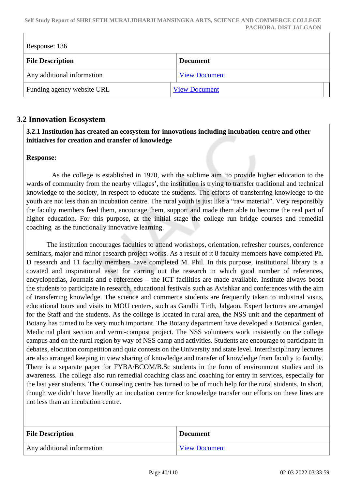**Self Study Report of SHRI SETH MURALIDHARJI MANSINGKA ARTS, SCIENCE AND COMMERCE COLLEGE PACHORA. DIST JALGAON**

| Response: 136              |                      |  |
|----------------------------|----------------------|--|
| <b>File Description</b>    | <b>Document</b>      |  |
| Any additional information | <b>View Document</b> |  |
| Funding agency website URL | <b>View Document</b> |  |

## **3.2 Innovation Ecosystem**

## **3.2.1 Institution has created an ecosystem for innovations including incubation centre and other initiatives for creation and transfer of knowledge**

### **Response:**

 As the college is established in 1970, with the sublime aim 'to provide higher education to the wards of community from the nearby villages', the institution is trying to transfer traditional and technical knowledge to the society, in respect to educate the students. The efforts of transferring knowledge to the youth are not less than an incubation centre. The rural youth is just like a "raw material". Very responsibly the faculty members feed them, encourage them, support and made them able to become the real part of higher education. For this purpose, at the initial stage the college run bridge courses and remedial coaching as the functionally innovative learning.

 The institution encourages faculties to attend workshops, orientation, refresher courses, conference seminars, major and minor research project works. As a result of it 8 faculty members have completed Ph. D research and 11 faculty members have completed M. Phil. In this purpose, institutional library is a covated and inspirational asset for carring out the research in which good number of references, encyclopedias, Journals and e-references – the ICT facilities are made available. Institute always boost the students to participate in research, educational festivals such as Avishkar and conferences with the aim of transferring knowledge. The science and commerce students are frequently taken to industrial visits, educational tours and visits to MOU centers, such as Gandhi Tirth, Jalgaon. Expert lectures are arranged for the Staff and the students. As the college is located in rural area, the NSS unit and the department of Botany has turned to be very much important. The Botany department have developed a Botanical garden, Medicinal plant section and vermi-compost project. The NSS volunteers work insistently on the college campus and on the rural region by way of NSS camp and activities. Students are encourage to participate in debates, elocution competition and quiz contests on the University and state level. Interdisciplinary lectures are also arranged keeping in view sharing of knowledge and transfer of knowledge from faculty to faculty. There is a separate paper for FYBA/BCOM/B.Sc students in the form of environment studies and its awareness. The college also run remedial coaching class and coaching for entry in services, especially for the last year students. The Counseling centre has turned to be of much help for the rural students. In short, though we didn't have literally an incubation centre for knowledge transfer our efforts on these lines are not less than an incubation centre.

| <b>File Description</b>    | <b>Document</b>      |
|----------------------------|----------------------|
| Any additional information | <b>View Document</b> |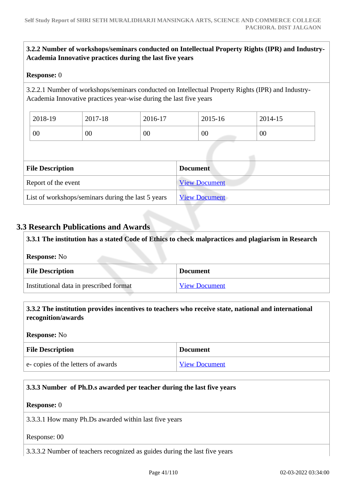## **3.2.2 Number of workshops/seminars conducted on Intellectual Property Rights (IPR) and Industry-Academia Innovative practices during the last five years**

### **Response:** 0

3.2.2.1 Number of workshops/seminars conducted on Intellectual Property Rights (IPR) and Industry-Academia Innovative practices year-wise during the last five years

| 2018-19 | 2017-18 | 2016-17 | 2015-16 | 2014-15 |
|---------|---------|---------|---------|---------|
| 00      | 00      | 00      | 00      | 00      |

| <b>File Description</b>                            | <b>Document</b>      |
|----------------------------------------------------|----------------------|
| Report of the event                                | <b>View Document</b> |
| List of workshops/seminars during the last 5 years | <b>View Document</b> |

## **3.3 Research Publications and Awards**

 **3.3.1 The institution has a stated Code of Ethics to check malpractices and plagiarism in Research Response:** No **File Description Document** Institutional data in prescribed format [View Document](https://assessmentonline.naac.gov.in/storage/app/hei/SSR/104097/3.3.1_1561519783_3469.xlsx)

## **3.3.2 The institution provides incentives to teachers who receive state, national and international recognition/awards**

**Response:** No

| <b>File Description</b>           | <b>Document</b>      |
|-----------------------------------|----------------------|
| e-copies of the letters of awards | <b>View Document</b> |

## **3.3.3 Number of Ph.D.s awarded per teacher during the last five years**

**Response:** 0

3.3.3.1 How many Ph.Ds awarded within last five years

Response: 00

3.3.3.2 Number of teachers recognized as guides during the last five years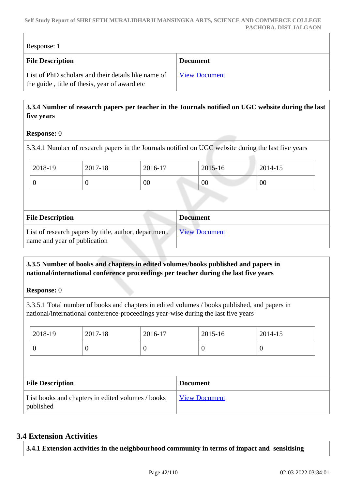#### **Self Study Report of SHRI SETH MURALIDHARJI MANSINGKA ARTS, SCIENCE AND COMMERCE COLLEGE PACHORA. DIST JALGAON**

| Response: 1                                                                                          |                      |  |
|------------------------------------------------------------------------------------------------------|----------------------|--|
| <b>File Description</b>                                                                              | <b>Document</b>      |  |
| List of PhD scholars and their details like name of<br>the guide, title of thesis, year of award etc | <b>View Document</b> |  |

## **3.3.4 Number of research papers per teacher in the Journals notified on UGC website during the last five years**

## **Response:** 0

3.3.4.1 Number of research papers in the Journals notified on UGC website during the last five years

| 2018-19 | 2017-18 | 2016-17 | 2015-16 | 2014-15 |
|---------|---------|---------|---------|---------|
| ν       | ◡       | 00      | 00      | $00\,$  |

| <b>File Description</b>                                                               | <b>Document</b>      |
|---------------------------------------------------------------------------------------|----------------------|
| List of research papers by title, author, department,<br>name and year of publication | <b>View Document</b> |

## **3.3.5 Number of books and chapters in edited volumes/books published and papers in national/international conference proceedings per teacher during the last five years**

## **Response:** 0

3.3.5.1 Total number of books and chapters in edited volumes / books published, and papers in national/international conference-proceedings year-wise during the last five years

|  | 2018-19                                                        | 2017-18 | 2016-17  |                 | 2015-16              | 2014-15          |  |
|--|----------------------------------------------------------------|---------|----------|-----------------|----------------------|------------------|--|
|  | $\boldsymbol{0}$                                               | 0       | $\theta$ |                 | $\overline{0}$       | $\boldsymbol{0}$ |  |
|  |                                                                |         |          |                 |                      |                  |  |
|  | <b>File Description</b>                                        |         |          | <b>Document</b> |                      |                  |  |
|  | List books and chapters in edited volumes / books<br>published |         |          |                 | <b>View Document</b> |                  |  |

## **3.4 Extension Activities**

**3.4.1 Extension activities in the neighbourhood community in terms of impact and sensitising**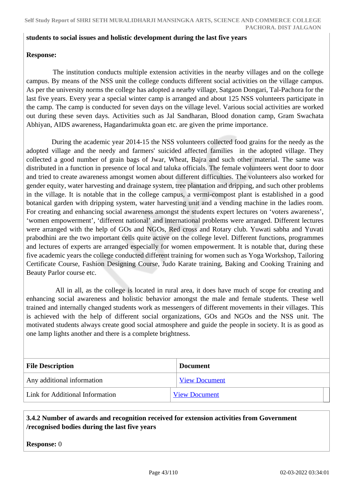#### **students to social issues and holistic development during the last five years**

### **Response:**

 The institution conducts multiple extension activities in the nearby villages and on the college campus. By means of the NSS unit the college conducts different social activities on the village campus. As per the university norms the college has adopted a nearby village, Satgaon Dongari, Tal-Pachora for the last five years. Every year a special winter camp is arranged and about 125 NSS volunteers participate in the camp. The camp is conducted for seven days on the village level. Various social activities are worked out during these seven days. Activities such as Jal Sandharan, Blood donation camp, Gram Swachata Abhiyan, AIDS awareness, Hagandarimukta goan etc. are given the prime importance.

 During the academic year 2014-15 the NSS volunteers collected food grains for the needy as the adopted village and the needy and farmers' suicided affected families in the adopted village. They collected a good number of grain bags of Jwar, Wheat, Bajra and such other material. The same was distributed in a function in presence of local and taluka officials. The female volunteers went door to door and tried to create awareness amongst women about different difficulties. The volunteers also worked for gender equity, water harvesting and drainage system, tree plantation and dripping, and such other problems in the village. It is notable that in the college campus, a vermi-compost plant is established in a good botanical garden with dripping system, water harvesting unit and a vending machine in the ladies room. For creating and enhancing social awareness amongst the students expert lectures on 'voters awareness', 'women empowerment', 'different national' and international problems were arranged. Different lectures were arranged with the help of GOs and NGOs, Red cross and Rotary club. Yuwati sabha and Yuvati prabodhini are the two important cells quite active on the college level. Different functions, programmes and lectures of experts are arranged especially for women empowerment. It is notable that, during these five academic years the college conducted different training for women such as Yoga Workshop, Tailoring Certificate Course, Fashion Designing Course, Judo Karate training, Baking and Cooking Training and Beauty Parlor course etc.

 All in all, as the college is located in rural area, it does have much of scope for creating and enhancing social awareness and holistic behavior amongst the male and female students. These well trained and internally changed students work as messengers of different movements in their villages. This is achieved with the help of different social organizations, GOs and NGOs and the NSS unit. The motivated students always create good social atmosphere and guide the people in society. It is as good as one lamp lights another and there is a complete brightness.

| <b>File Description</b>         | Document             |
|---------------------------------|----------------------|
| Any additional information      | <b>View Document</b> |
| Link for Additional Information | <b>View Document</b> |

## **3.4.2 Number of awards and recognition received for extension activities from Government /recognised bodies during the last five years**

**Response:** 0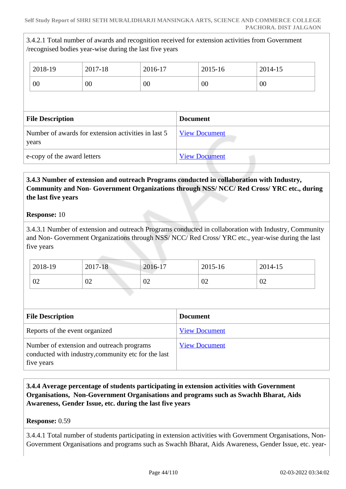3.4.2.1 Total number of awards and recognition received for extension activities from Government /recognised bodies year-wise during the last five years

| 2018-19                                                      | 2017-18 | 2016-17 |                 | 2015-16              | 2014-15 |
|--------------------------------------------------------------|---------|---------|-----------------|----------------------|---------|
| 00                                                           | $00\,$  | 00      |                 | 00                   | 00      |
|                                                              |         |         |                 |                      |         |
| <b>File Description</b>                                      |         |         | <b>Document</b> |                      |         |
| Number of awards for extension activities in last 5<br>years |         |         |                 | <b>View Document</b> |         |
| e-copy of the award letters                                  |         |         |                 | <b>View Document</b> |         |

## **3.4.3 Number of extension and outreach Programs conducted in collaboration with Industry, Community and Non- Government Organizations through NSS/ NCC/ Red Cross/ YRC etc., during the last five years**

## **Response:** 10

3.4.3.1 Number of extension and outreach Programs conducted in collaboration with Industry, Community and Non- Government Organizations through NSS/ NCC/ Red Cross/ YRC etc., year-wise during the last five years

| 2018-19 | 2017-18 | 2016-17 | 2015-16 | 2014-15 |
|---------|---------|---------|---------|---------|
| 02      | 02      | 02      | 02      | 02      |

| <b>File Description</b>                                                                                        | <b>Document</b>      |
|----------------------------------------------------------------------------------------------------------------|----------------------|
| Reports of the event organized                                                                                 | <b>View Document</b> |
| Number of extension and outreach programs<br>conducted with industry, community etc for the last<br>five years | <b>View Document</b> |

 **3.4.4 Average percentage of students participating in extension activities with Government Organisations, Non-Government Organisations and programs such as Swachh Bharat, Aids Awareness, Gender Issue, etc. during the last five years**

## **Response:** 0.59

3.4.4.1 Total number of students participating in extension activities with Government Organisations, Non-Government Organisations and programs such as Swachh Bharat, Aids Awareness, Gender Issue, etc. year-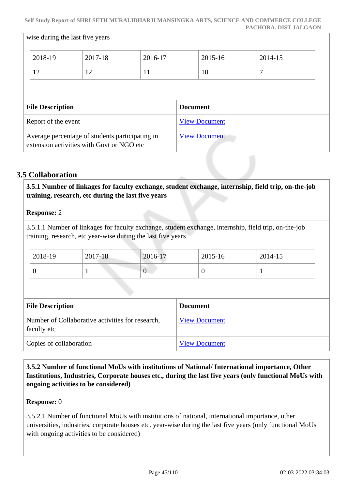|                                                                                              | 2018-19 | 2017-18 | 2016-17              |                      | $2015 - 16$ | 2014-15 |
|----------------------------------------------------------------------------------------------|---------|---------|----------------------|----------------------|-------------|---------|
|                                                                                              | 12      | 12      | 11                   |                      | 10          | 7       |
|                                                                                              |         |         |                      |                      |             |         |
| <b>File Description</b>                                                                      |         |         | <b>Document</b>      |                      |             |         |
| Report of the event                                                                          |         |         | <b>View Document</b> |                      |             |         |
| Average percentage of students participating in<br>extension activities with Govt or NGO etc |         |         |                      | <b>View Document</b> |             |         |

# **3.5 Collaboration**

wise during the last five years

 **3.5.1 Number of linkages for faculty exchange, student exchange, internship, field trip, on-the-job training, research, etc during the last five years**

## **Response:** 2

3.5.1.1 Number of linkages for faculty exchange, student exchange, internship, field trip, on-the-job training, research, etc year-wise during the last five years

| 2018-19 | 2017-18 | 2016-17 | 2015-16 | 2014-15 |
|---------|---------|---------|---------|---------|
|         |         | ν       |         |         |

| <b>File Description</b>                                         | <b>Document</b>      |
|-----------------------------------------------------------------|----------------------|
| Number of Collaborative activities for research,<br>faculty etc | <b>View Document</b> |
| Copies of collaboration                                         | <b>View Document</b> |

 **3.5.2 Number of functional MoUs with institutions of National/ International importance, Other Institutions, Industries, Corporate houses etc., during the last five years (only functional MoUs with ongoing activities to be considered)** 

#### **Response:** 0

3.5.2.1 Number of functional MoUs with institutions of national, international importance, other universities, industries, corporate houses etc. year-wise during the last five years (only functional MoUs with ongoing activities to be considered)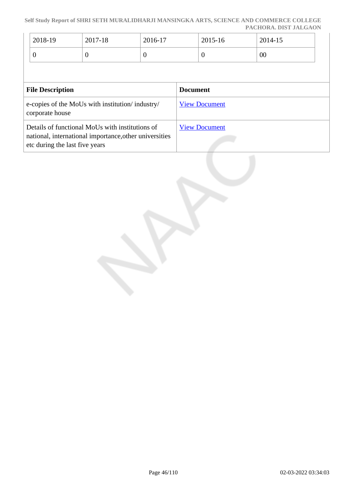#### **Self Study Report of SHRI SETH MURALIDHARJI MANSINGKA ARTS, SCIENCE AND COMMERCE COLLEGE PACHORA. DIST JALGAON**

| 2018-19 | 2017-18 | 2016-17 | 2015-16 | 2014-15 |
|---------|---------|---------|---------|---------|
|         |         | ◡       | ◡       | 00      |

| <b>File Description</b>                                                                                                                     | <b>Document</b>      |
|---------------------------------------------------------------------------------------------------------------------------------------------|----------------------|
| e-copies of the MoUs with institution/industry/<br>corporate house                                                                          | <b>View Document</b> |
| Details of functional MoUs with institutions of<br>national, international importance, other universities<br>etc during the last five years | <b>View Document</b> |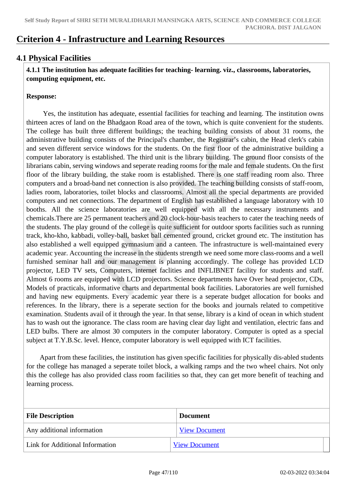# **Criterion 4 - Infrastructure and Learning Resources**

# **4.1 Physical Facilities**

 **4.1.1 The institution has adequate facilities for teaching- learning. viz., classrooms, laboratories, computing equipment, etc.**

## **Response:**

 Yes, the institution has adequate, essential facilities for teaching and learning. The institution owns thirteen acres of land on the Bhadgaon Road area of the town, which is quite convenient for the students. The college has built three different buildings; the teaching building consists of about 31 rooms, the administrative building consists of the Principal's chamber, the Registrar's cabin, the Head clerk's cabin and seven different service windows for the students. On the first floor of the administrative building a computer laboratory is established. The third unit is the library building. The ground floor consists of the librarians cabin, serving windows and seperate reading rooms for the male and female students. On the first floor of the library building, the stake room is established. There is one staff reading room also. Three computers and a broad-band net connection is also provided. The teaching building consists of staff-room, ladies room, laboratories, toilet blocks and classrooms. Almost all the special departments are provided computers and net connections. The department of English has established a language laboratory with 10 booths. All the science laboratories are well equipped with all the necessary instruments and chemicals.There are 25 permanent teachers and 20 clock-hour-basis teachers to cater the teaching needs of the students. The play ground of the college is quite sufficient for outdoor sports facilities such as running track, kho-kho, kabbadi, volley-ball, basket ball cemented ground, cricket ground etc. The institution has also established a well equipped gymnasium and a canteen. The infrastructure is well-maintained every academic year. Accounting the increase in the students strength we need some more class-rooms and a well furnished seminar hall and our management is planning accordingly. The college has provided LCD projector, LED TV sets, Computers, internet faclities and INFLIBNET facility for students and staff. Almost 6 rooms are equipped with LCD projectors. Science departments have Over head projector, CDs, Models of practicals, informative charts and departmental book facilities. Laboratories are well furnished and having new equipments. Every academic year there is a seperate budget allocation for books and references. In the library, there is a seperate section for the books and journals related to competitive examination. Students avail of it through the year. In that sense, library is a kind of ocean in which student has to wash out the ignorance. The class room are having clear day light and ventilation, electric fans and LED bulbs. There are almost 30 computers in the computer laboratory. Computer is opted as a special subject at T.Y.B.Sc. level. Hence, computer laboratory is well equipped with ICT facilities.

 Apart from these facilities, the institution has given specific facilities for physically dis-abled students for the college has managed a seperate toilet block, a walking ramps and the two wheel chairs. Not only this the college has also provided class room facilities so that, they can get more benefit of teaching and learning process.

| <b>File Description</b>         | <b>Document</b>      |
|---------------------------------|----------------------|
| Any additional information      | <b>View Document</b> |
| Link for Additional Information | <b>View Document</b> |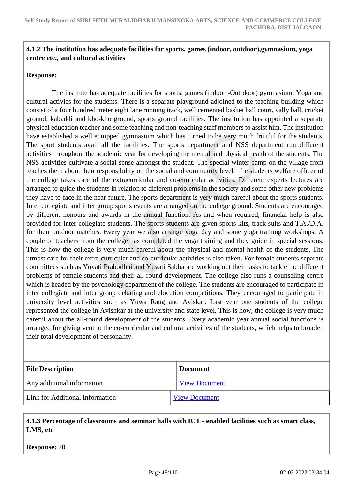## **4.1.2 The institution has adequate facilities for sports, games (indoor, outdoor),gymnasium, yoga centre etc., and cultural activities**

### **Response:**

 The institute has adequate facilities for sports, games (indoor -Out door) gymnasium, Yoga and cultural activies for the students. There is a separate playground adjoined to the teaching building which consist of a four hundred meter eight lane running track, well cemented basket ball court, vally ball, cricket ground, kabaddi and kho-kho ground, sports ground facilities. The institution has appointed a separate physical education teacher and some teaching and non-teaching staff members to assist him. The institution have established a well equipped gymnasium which has turned to be very much fruitful for the students. The sport students avail all the facilities. The sports department and NSS department run different activities throughout the academic year for developing the mental and physical health of the students. The NSS activities cultivate a social sense amongst the student. The special winter camp on the village front teaches them about their responsibility on the social and community level. The students welfare officer of the college takes care of the extracurricular and co-curricular activities. Different experts lectures are arranged to guide the students in relation to different problems in the society and some other new problems they have to face in the near future. The sports department is very much careful about the sports students. Inter collegiate and inter group sports events are arranged on the college ground. Students are encouraged by different honours and awards in the annual function. As and when required, financial help is also provided for inter collegiate students. The sports students are given sports kits, track suits and T.A./D.A. for their outdoor matches. Every year we also arrange yoga day and some yoga training workshops. A couple of teachers from the college has completed the yoga training and they guide in special sessions. This is how the college is very much careful about the physical and mental health of the students. The utmost care for their extra-curricular and co-curricular activities is also taken. For female students separate committees such as Yuvati Prabodhni and Yuvati Sabha are working out their tasks to tackle the different problems of female students and their all-round development. The college also runs a counseling centre which is headed by the psychology department of the college. The students are encouraged to participate in inter collegiate and inter group debating and elocution competitions. They encouraged to participate in university level activities such as Yuwa Rang and Aviskar. Last year one students of the college represented the college in Avishkar at the university and state level. This is how, the college is very much careful about the all-round development of the students. Every academic year annual social functions is arranged for giving vent to the co-curricular and cultural activities of the students, which helps to broaden their total development of personality.

| <b>File Description</b>         | <b>Document</b>      |
|---------------------------------|----------------------|
| Any additional information      | <b>View Document</b> |
| Link for Additional Information | <b>View Document</b> |

 **4.1.3 Percentage of classrooms and seminar halls with ICT - enabled facilities such as smart class, LMS, etc**

**Response:** 20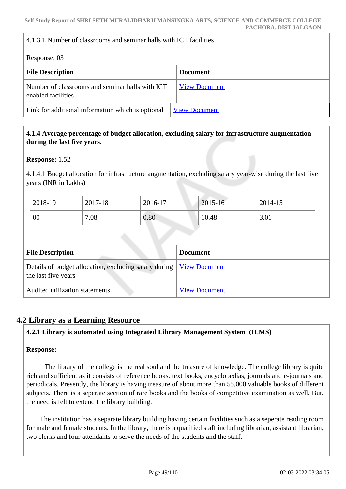## 4.1.3.1 Number of classrooms and seminar halls with ICT facilities

Response: 03

| <b>INVERVIEW.</b> U.                                                  |                      |
|-----------------------------------------------------------------------|----------------------|
| <b>File Description</b>                                               | <b>Document</b>      |
| Number of classrooms and seminar halls with ICT<br>enabled facilities | <b>View Document</b> |
| Link for additional information which is optional                     | <b>View Document</b> |

## **4.1.4 Average percentage of budget allocation, excluding salary for infrastructure augmentation during the last five years.**

**Response:** 1.52

4.1.4.1 Budget allocation for infrastructure augmentation, excluding salary year-wise during the last five years (INR in Lakhs)

| 2018-19 | 2017-18 | 2016-17 | 2015-16 | 2014-15 |
|---------|---------|---------|---------|---------|
| 00      | 7.08    | 0.80    | 10.48   | 3.01    |

| <b>File Description</b>                                                                      | <b>Document</b>      |
|----------------------------------------------------------------------------------------------|----------------------|
| Details of budget allocation, excluding salary during   View Document<br>the last five years |                      |
| Audited utilization statements                                                               | <b>View Document</b> |

## **4.2 Library as a Learning Resource**

## **4.2.1 Library is automated using Integrated Library Management System (ILMS)**

## **Response:**

 The library of the college is the real soul and the treasure of knowledge. The college library is quite rich and sufficient as it consists of reference books, text books, encyclopedias, journals and e-journals and periodicals. Presently, the library is having treasure of about more than 55,000 valuable books of different subjects. There is a seperate section of rare books and the books of competitive examination as well. But, the need is felt to extend the library building.

 The institution has a separate library building having certain facilities such as a seperate reading room for male and female students. In the library, there is a qualified staff including librarian, assistant librarian, two clerks and four attendants to serve the needs of the students and the staff.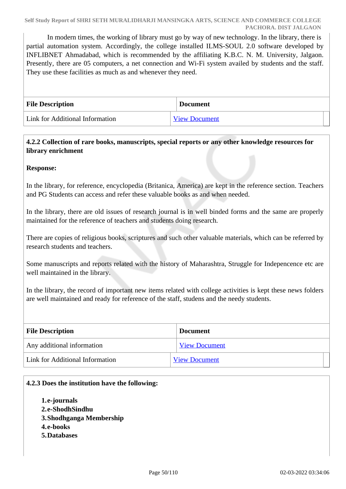In modern times, the working of library must go by way of new technology. In the library, there is partial automation system. Accordingly, the college installed ILMS-SOUL 2.0 software developed by INFLIBNET Ahmadabad, which is recommended by the affiliating K.B.C. N. M. University, Jalgaon. Presently, there are 05 computers, a net connection and Wi-Fi system availed by students and the staff. They use these facilities as much as and whenever they need.

| <b>File Description</b>         | <b>Document</b>      |
|---------------------------------|----------------------|
| Link for Additional Information | <b>View Document</b> |

## **4.2.2 Collection of rare books, manuscripts, special reports or any other knowledge resources for library enrichment**

## **Response:**

In the library, for reference, encyclopedia (Britanica, America) are kept in the reference section. Teachers and PG Students can access and refer these valuable books as and when needed.

In the library, there are old issues of research journal is in well binded forms and the same are properly maintained for the reference of teachers and students doing research.

There are copies of religious books, scriptures and such other valuable materials, which can be referred by research students and teachers.

Some manuscripts and reports related with the history of Maharashtra, Struggle for Indepencence etc are well maintained in the library.

In the library, the record of important new items related with college activities is kept these news folders are well maintained and ready for reference of the staff, studens and the needy students.

| <b>File Description</b>         | <b>Document</b>      |
|---------------------------------|----------------------|
| Any additional information      | <b>View Document</b> |
| Link for Additional Information | <b>View Document</b> |

## **4.2.3 Does the institution have the following:**

- **1.e-journals**
- **2.e-ShodhSindhu**
- **3.Shodhganga Membership**
- **4.e-books**
- **5.Databases**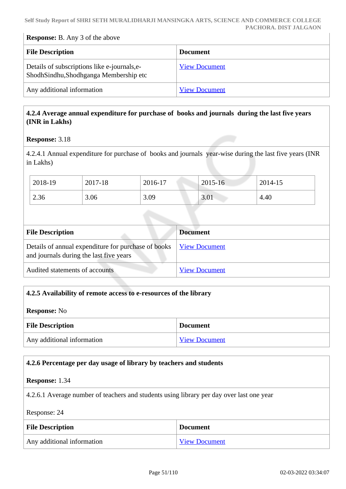## **Response:** B. Any 3 of the above

| <b>File Description</b>                                                               | <b>Document</b>      |
|---------------------------------------------------------------------------------------|----------------------|
| Details of subscriptions like e-journals, e-<br>ShodhSindhu,Shodhganga Membership etc | <b>View Document</b> |
| Any additional information                                                            | <b>View Document</b> |

## **4.2.4 Average annual expenditure for purchase of books and journals during the last five years (INR in Lakhs)**

#### **Response:** 3.18

4.2.4.1 Annual expenditure for purchase of books and journals year-wise during the last five years (INR in Lakhs)

| 2018-19 | 2017-18 | 2016-17 | $2015 - 16$ | 2014-15 |
|---------|---------|---------|-------------|---------|
| 2.36    | 3.06    | 3.09    | 3.01        | 4.40    |

| <b>File Description</b>                                                                        | <b>Document</b>      |
|------------------------------------------------------------------------------------------------|----------------------|
| Details of annual expenditure for purchase of books<br>and journals during the last five years | <u>View Document</u> |
| Audited statements of accounts                                                                 | <b>View Document</b> |

| 4.2.5 Availability of remote access to e-resources of the library |                      |
|-------------------------------------------------------------------|----------------------|
| <b>Response:</b> No                                               |                      |
| <b>File Description</b>                                           | <b>Document</b>      |
| Any additional information                                        | <b>View Document</b> |

# **4.2.6 Percentage per day usage of library by teachers and students**

## **Response:** 1.34

4.2.6.1 Average number of teachers and students using library per day over last one year

#### Response: 24

| <b>File Description</b>    | <b>Document</b>      |
|----------------------------|----------------------|
| Any additional information | <b>View Document</b> |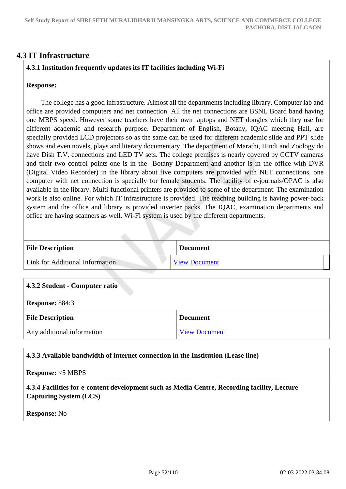## **4.3 IT Infrastructure**

## **4.3.1 Institution frequently updates its IT facilities including Wi-Fi**

### **Response:**

 The college has a good infrastructure. Almost all the departments including library, Computer lab and office are provided computers and net connection. All the net connections are BSNL Board band having one MBPS speed. However some teachers have their own laptops and NET dongles which they use for different academic and research purpose. Department of English, Botany, IQAC meeting Hall, are specially provided LCD projectors so as the same can be used for different academic slide and PPT slide shows and even novels, plays and literary documentary. The department of Marathi, Hindi and Zoology do have Dish T.V. connections and LED TV sets. The college premises is nearly covered by CCTV cameras and their two control points-one is in the Botany Department and another is in the office with DVR (Digital Video Recorder) in the library about five computers are provided with NET connections, one computer with net connection is specially for female students. The facility of e-journals/OPAC is also available in the library. Multi-functional printers are provided to some of the department. The examination work is also online. For which IT infrastructure is provided. The teaching building is having power-back system and the office and library is provided inverter packs. The IQAC, examination departments and office are having scanners as well. Wi-Fi system is used by the different departments.

| <b>File Description</b>         | <b>Document</b>      |
|---------------------------------|----------------------|
| Link for Additional Information | <b>View Document</b> |

| 4.3.2 Student - Computer ratio |                      |  |
|--------------------------------|----------------------|--|
| <b>Response: 884:31</b>        |                      |  |
| <b>File Description</b>        | <b>Document</b>      |  |
| Any additional information     | <b>View Document</b> |  |

#### **4.3.3 Available bandwidth of internet connection in the Institution (Lease line)**

**Response:** <5 MBPS

 **4.3.4 Facilities for e-content development such as Media Centre, Recording facility, Lecture Capturing System (LCS)**

**Response:** No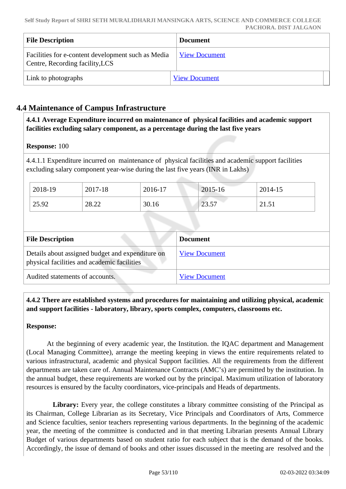| <b>File Description</b>                                                               | <b>Document</b>      |
|---------------------------------------------------------------------------------------|----------------------|
| Facilities for e-content development such as Media<br>Centre, Recording facility, LCS | <b>View Document</b> |
| Link to photographs                                                                   | <b>View Document</b> |

# **4.4 Maintenance of Campus Infrastructure**

 **4.4.1 Average Expenditure incurred on maintenance of physical facilities and academic support facilities excluding salary component, as a percentage during the last five years**

## **Response:** 100

4.4.1.1 Expenditure incurred on maintenance of physical facilities and academic support facilities excluding salary component year-wise during the last five years (INR in Lakhs)

| 2018-19 | 2017-18 | 2016-17 | 2015-16       | 2014-15 |
|---------|---------|---------|---------------|---------|
| 25.92   | 28.22   | 30.16   | 2257<br>، ن ب | 21.51   |

| <b>File Description</b>                                                                         | <b>Document</b>      |  |
|-------------------------------------------------------------------------------------------------|----------------------|--|
| Details about assigned budget and expenditure on<br>physical facilities and academic facilities | <b>View Document</b> |  |
| Audited statements of accounts.                                                                 | <b>View Document</b> |  |

 **4.4.2 There are established systems and procedures for maintaining and utilizing physical, academic and support facilities - laboratory, library, sports complex, computers, classrooms etc.**

## **Response:**

 At the beginning of every academic year, the Institution. the IQAC department and Management (Local Managing Committee), arrange the meeting keeping in views the entire requirements related to various infrastructural, academic and physical Support facilities. All the requirements from the different departments are taken care of. Annual Maintenance Contracts (AMC's) are permitted by the institution. In the annual budget, these requirements are worked out by the principal. Maximum utilization of laboratory resources is ensured by the faculty coordinators, vice-principals and Heads of departments.

Library: Every year, the college constitutes a library committee consisting of the Principal as its Chairman, College Librarian as its Secretary, Vice Principals and Coordinators of Arts, Commerce and Science faculties, senior teachers representing various departments. In the beginning of the academic year, the meeting of the committee is conducted and in that meeting Librarian presents Annual Library Budget of various departments based on student ratio for each subject that is the demand of the books. Accordingly, the issue of demand of books and other issues discussed in the meeting are resolved and the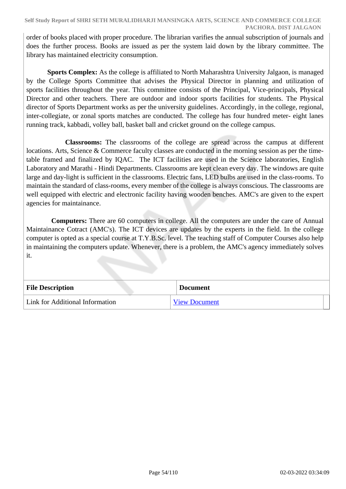order of books placed with proper procedure. The librarian varifies the annual subscription of journals and does the further process. Books are issued as per the system laid down by the library committee. The library has maintained electricity consumption.

 **Sports Complex:** As the college is affiliated to North Maharashtra University Jalgaon, is managed by the College Sports Committee that advises the Physical Director in planning and utilization of sports facilities throughout the year. This committee consists of the Principal, Vice-principals, Physical Director and other teachers. There are outdoor and indoor sports facilities for students. The Physical director of Sports Department works as per the university guidelines. Accordingly, in the college, regional, inter-collegiate, or zonal sports matches are conducted. The college has four hundred meter- eight lanes running track, kabbadi, volley ball, basket ball and cricket ground on the college campus.

 **Classrooms:** The classrooms of the college are spread across the campus at different locations. Arts, Science & Commerce faculty classes are conducted in the morning session as per the timetable framed and finalized by IQAC. The ICT facilities are used in the Science laboratories, English Laboratory and Marathi - Hindi Departments. Classrooms are kept clean every day. The windows are quite large and day-light is sufficient in the classrooms. Electric fans, LED bulbs are used in the class-rooms. To maintain the standard of class-rooms, every member of the college is always conscious. The classrooms are well equipped with electric and electronic facility having wooden benches. AMC's are given to the expert agencies for maintainance.

 **Computers:** There are 60 computers in college. All the computers are under the care of Annual Maintainance Cotract (AMC's). The ICT devices are updates by the experts in the field. In the college computer is opted as a special course at T.Y.B.Sc. level. The teaching staff of Computer Courses also help in maintaining the computers update. Whenever, there is a problem, the AMC's agency immediately solves it.

| <b>File Description</b>         | <b>Document</b>      |
|---------------------------------|----------------------|
| Link for Additional Information | <b>View Document</b> |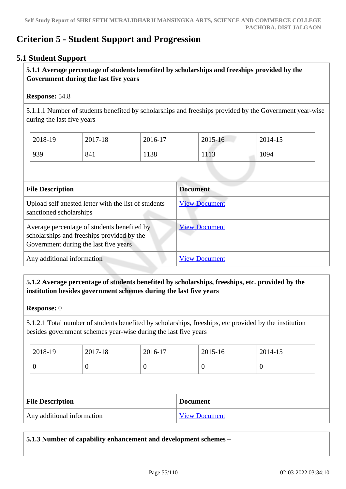# **Criterion 5 - Student Support and Progression**

## **5.1 Student Support**

## **5.1.1 Average percentage of students benefited by scholarships and freeships provided by the Government during the last five years**

## **Response:** 54.8

5.1.1.1 Number of students benefited by scholarships and freeships provided by the Government year-wise during the last five years

| 2018-19 | 2017-18 | 2016-17 | 2015-16 | 2014-15 |
|---------|---------|---------|---------|---------|
| 939     | 841     | 1138    | 1113    | 1094    |

| <b>File Description</b>                                                                                                            | <b>Document</b>      |
|------------------------------------------------------------------------------------------------------------------------------------|----------------------|
| Upload self attested letter with the list of students<br>sanctioned scholarships                                                   | <b>View Document</b> |
| Average percentage of students benefited by<br>scholarships and freeships provided by the<br>Government during the last five years | <b>View Document</b> |
| Any additional information                                                                                                         | <b>View Document</b> |

## **5.1.2 Average percentage of students benefited by scholarships, freeships, etc. provided by the institution besides government schemes during the last five years**

#### **Response:** 0

5.1.2.1 Total number of students benefited by scholarships, freeships, etc provided by the institution besides government schemes year-wise during the last five years

| 2018-19 | 2017-18        | 2016-17 | 2015-16 | 2014-15 |
|---------|----------------|---------|---------|---------|
| ν       | $\overline{0}$ | ິ       | v       | ◡       |

| <b>File Description</b>    | <b>Document</b>      |
|----------------------------|----------------------|
| Any additional information | <b>View Document</b> |

**5.1.3 Number of capability enhancement and development schemes –**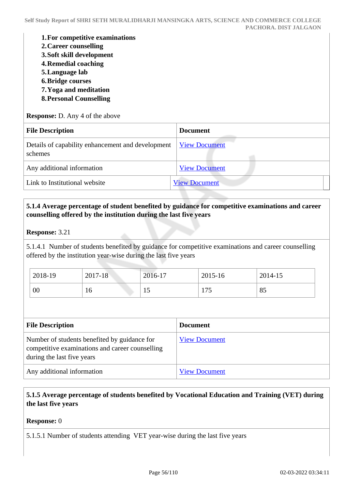- **1.For competitive examinations**
- **2.Career counselling**
- **3.Soft skill development**
- **4.Remedial coaching**
- **5.Language lab**
- **6.Bridge courses**
- **7.Yoga and meditation**
- **8.Personal Counselling**

**Response:** D. Any 4 of the above

| <b>File Description</b>                                      | <b>Document</b>      |
|--------------------------------------------------------------|----------------------|
| Details of capability enhancement and development<br>schemes | <b>View Document</b> |
| Any additional information                                   | <b>View Document</b> |
| Link to Institutional website                                | <b>View Document</b> |

## **5.1.4 Average percentage of student benefited by guidance for competitive examinations and career counselling offered by the institution during the last five years**

### **Response:** 3.21

5.1.4.1 Number of students benefited by guidance for competitive examinations and career counselling offered by the institution year-wise during the last five years

| 2018-19 | 2017-18 | 2016-17 | 2015-16 | 2014-15 |
|---------|---------|---------|---------|---------|
| 00      | 16      | 15      | 175     | 85      |

| <b>File Description</b>                                                                                                       | <b>Document</b>      |
|-------------------------------------------------------------------------------------------------------------------------------|----------------------|
| Number of students benefited by guidance for<br>competitive examinations and career counselling<br>during the last five years | <b>View Document</b> |
| Any additional information                                                                                                    | <b>View Document</b> |

## **5.1.5 Average percentage of students benefited by Vocational Education and Training (VET) during the last five years**

**Response:** 0

5.1.5.1 Number of students attending VET year-wise during the last five years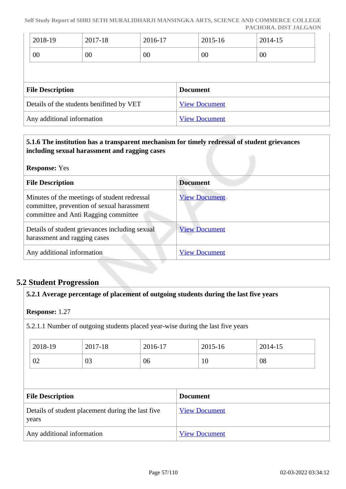**Self Study Report of SHRI SETH MURALIDHARJI MANSINGKA ARTS, SCIENCE AND COMMERCE COLLEGE PACHORA. DIST JALGAON**

| 2018-19                 | 2017-18                                   | 2016-17 | 2015-16              | 2014-15 |  |
|-------------------------|-------------------------------------------|---------|----------------------|---------|--|
| 00                      | 00                                        | 00      | 00                   | 00      |  |
|                         |                                           |         |                      |         |  |
|                         |                                           |         |                      |         |  |
| <b>File Description</b> |                                           |         | <b>Document</b>      |         |  |
|                         | Details of the students benifitted by VET |         | <b>View Document</b> |         |  |

## **5.1.6 The institution has a transparent mechanism for timely redressal of student grievances including sexual harassment and ragging cases**

| <b>Response:</b> Yes                                                                                                               |                      |  |
|------------------------------------------------------------------------------------------------------------------------------------|----------------------|--|
| <b>File Description</b>                                                                                                            | <b>Document</b>      |  |
| Minutes of the meetings of student redressal<br>committee, prevention of sexual harassment<br>committee and Anti Ragging committee | <b>View Document</b> |  |
| Details of student grievances including sexual<br>harassment and ragging cases                                                     | <b>View Document</b> |  |
| Any additional information                                                                                                         | <b>View Document</b> |  |

## **5.2 Student Progression**

## **5.2.1 Average percentage of placement of outgoing students during the last five years**

#### **Response:** 1.27

5.2.1.1 Number of outgoing students placed year-wise during the last five years

| 2018-19 | 2017-18 | 2016-17 | 2015-16 | 2014-15 |
|---------|---------|---------|---------|---------|
| 02      | 03      | 06      | 10      | 08      |

| <b>File Description</b>                                    | <b>Document</b>      |
|------------------------------------------------------------|----------------------|
| Details of student placement during the last five<br>years | <b>View Document</b> |
| Any additional information                                 | <b>View Document</b> |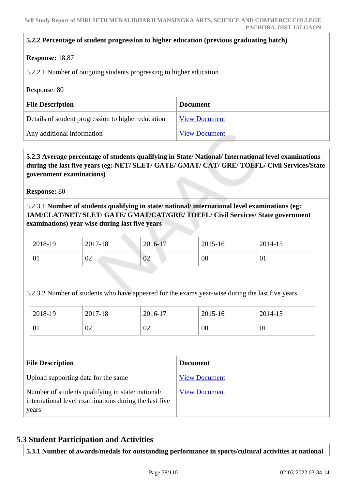#### **5.2.2 Percentage of student progression to higher education (previous graduating batch)**

#### **Response:** 18.87

5.2.2.1 Number of outgoing students progressing to higher education

Response: 80

| <b>File Description</b>                            | <b>Document</b>      |
|----------------------------------------------------|----------------------|
| Details of student progression to higher education | <b>View Document</b> |
| Any additional information                         | <b>View Document</b> |

## **5.2.3 Average percentage of students qualifying in State/ National/ International level examinations during the last five years (eg: NET/ SLET/ GATE/ GMAT/ CAT/ GRE/ TOEFL/ Civil Services/State government examinations)**

**Response:** 80

5.2.3.1 **Number of students qualifying in state/ national/ international level examinations (eg: JAM/CLAT/NET/ SLET/ GATE/ GMAT/CAT/GRE/ TOEFL/ Civil Services/ State government examinations) year wise during last five years**

| 2018-19 | 2017-18 | 2016-17 | 2015-16 | 2014-15                 |
|---------|---------|---------|---------|-------------------------|
| 01      | 02      | 02      | 00      | $^{\circ}$ 0 $^{\circ}$ |

5.2.3.2 Number of students who have appeared for the exams year-wise during the last five years

| 2018-19 | 2017-18 | 2016-17 | 2015-16 | 2014-15 |
|---------|---------|---------|---------|---------|
| 01      | 02      | 02      | 00      | 01      |

| <b>File Description</b>                                                                                            | <b>Document</b>      |
|--------------------------------------------------------------------------------------------------------------------|----------------------|
| Upload supporting data for the same                                                                                | <b>View Document</b> |
| Number of students qualifying in state/national/<br>international level examinations during the last five<br>years | <b>View Document</b> |

## **5.3 Student Participation and Activities**

**5.3.1 Number of awards/medals for outstanding performance in sports/cultural activities at national**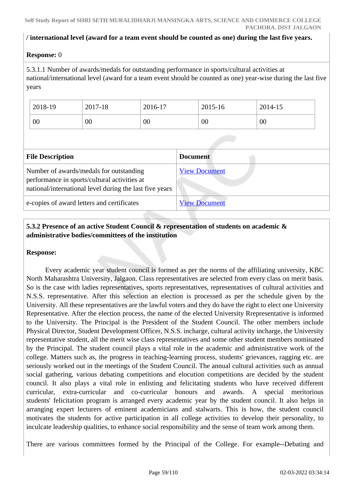## **/ international level (award for a team event should be counted as one) during the last five years.**

## **Response:** 0

5.3.1.1 Number of awards/medals for outstanding performance in sports/cultural activities at national/international level (award for a team event should be counted as one) year-wise during the last five years

| 2018-19 | 2017-18 | 2016-17 | 2015-16 | 2014-15 |
|---------|---------|---------|---------|---------|
| 00      | 00      | 00      | 00      | 00      |

| <b>File Description</b>                                                                                                                            | <b>Document</b>      |
|----------------------------------------------------------------------------------------------------------------------------------------------------|----------------------|
| Number of awards/medals for outstanding<br>performance in sports/cultural activities at<br>national/international level during the last five years | <b>View Document</b> |
| e-copies of award letters and certificates                                                                                                         | <b>View Document</b> |

## **5.3.2 Presence of an active Student Council & representation of students on academic & administrative bodies/committees of the institution**

## **Response:**

 Every academic year student council is formed as per the norms of the affiliating university, KBC North Maharashtra University, Jalgaon. Class representatives are selected from every class on merit basis. So is the case with ladies representatives, sports representatives, representatives of cultural activities and N.S.S. representative. After this selection an election is processed as per the schedule given by the University. All these representatives are the lawful voters and they do have the right to elect one University Representative. After the election process, the name of the elected University Rrepresentative is informed to the University. The Principal is the President of the Student Council. The other members include Physical Director, Student Development Officer, N.S.S. incharge, cultural activity incharge, the University representative student, all the merit wise class representatives and some other student members nominated by the Principal. The student council plays a vital role in the academic and administrative work of the college. Matters such as, the progress in teaching-learning process, students' grievances, ragging etc. are seriously worked out in the meetings of the Student Council. The annual cultural activities such as annual social gathering, various debating competitions and elocution competitions are decided by the student council. It also plays a vital role in enlisting and felicitating students who have received different curricular, extra-curricular and co-curricular honours and awards. A special meritorious students' felicitation program is arranged every academic year by the student council. It also helps in arranging expert lecturers of eminent academicians and stalwarts. This is how, the student council motivates the students for active participation in all college activities to develop their personality, to inculcate leadership qualities, to enhance social responsibility and the sense of team work among them.

There are various committees formed by the Principal of the College. For example--Debating and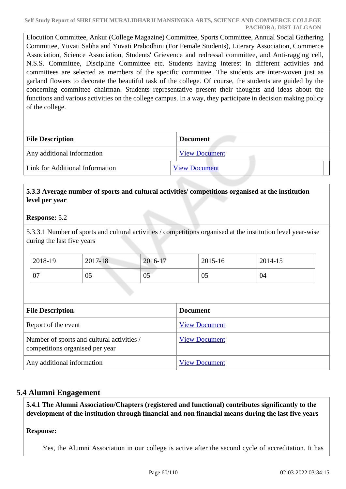Elocution Committee, Ankur (College Magazine) Committee, Sports Committee, Annual Social Gathering Committee, Yuvati Sabha and Yuvati Prabodhini (For Female Students), Literary Association, Commerce Association, Science Association, Students' Grievence and redressal committee, and Anti-ragging cell, N.S.S. Committee, Discipline Committee etc. Students having interest in different activities and committees are selected as members of the specific committee. The students are inter-woven just as garland flowers to decorate the beautiful task of the college. Of course, the students are guided by the concerning committee chairman. Students representative present their thoughts and ideas about the functions and various activities on the college campus. In a way, they participate in decision making policy of the college.

| <b>File Description</b>         | <b>Document</b>      |  |
|---------------------------------|----------------------|--|
| Any additional information      | <b>View Document</b> |  |
| Link for Additional Information | <b>View Document</b> |  |

## **5.3.3 Average number of sports and cultural activities/ competitions organised at the institution level per year**

## **Response:** 5.2

5.3.3.1 Number of sports and cultural activities / competitions organised at the institution level year-wise during the last five years

| 2018-19  | 2017-18 | 2016-17                        | 2015-16 | 2014-15 |
|----------|---------|--------------------------------|---------|---------|
| ∩¬<br>υ, | 05      | <b>Contract Contract</b><br>05 | 05      | 04      |

| <b>File Description</b>                                                       | <b>Document</b>      |
|-------------------------------------------------------------------------------|----------------------|
| Report of the event                                                           | <b>View Document</b> |
| Number of sports and cultural activities /<br>competitions organised per year | <b>View Document</b> |
| Any additional information                                                    | <b>View Document</b> |

## **5.4 Alumni Engagement**

 **5.4.1 The Alumni Association/Chapters (registered and functional) contributes significantly to the development of the institution through financial and non financial means during the last five years**

## **Response:**

Yes, the Alumni Association in our college is active after the second cycle of accreditation. It has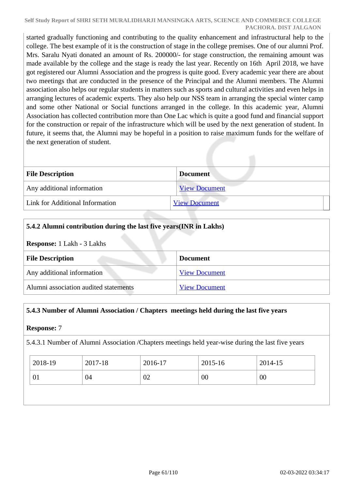#### **Self Study Report of SHRI SETH MURALIDHARJI MANSINGKA ARTS, SCIENCE AND COMMERCE COLLEGE PACHORA. DIST JALGAON**

started gradually functioning and contributing to the quality enhancement and infrastructural help to the college. The best example of it is the construction of stage in the college premises. One of our alumni Prof. Mrs. Saralu Nyati donated an amount of Rs. 200000/- for stage construction, the remaining amount was made available by the college and the stage is ready the last year. Recently on 16th April 2018, we have got registered our Alumni Association and the progress is quite good. Every academic year there are about two meetings that are conducted in the presence of the Principal and the Alumni members. The Alumni association also helps our regular students in matters such as sports and cultural activities and even helps in arranging lectures of academic experts. They also help our NSS team in arranging the special winter camp and some other National or Social functions arranged in the college. In this academic year, Alumni Association has collected contribution more than One Lac which is quite a good fund and financial support for the construction or repair of the infrastructure which will be used by the next generation of student. In future, it seems that, the Alumni may be hopeful in a position to raise maximum funds for the welfare of the next generation of student.

| <b>File Description</b>         | <b>Document</b>      |
|---------------------------------|----------------------|
| Any additional information      | <b>View Document</b> |
| Link for Additional Information | <b>View Document</b> |

## **5.4.2 Alumni contribution during the last five years(INR in Lakhs)**

#### **Response:** 1 Lakh - 3 Lakhs

| <b>File Description</b>               | <b>Document</b>      |  |
|---------------------------------------|----------------------|--|
| Any additional information            | <b>View Document</b> |  |
| Alumni association audited statements | <b>View Document</b> |  |

## **5.4.3 Number of Alumni Association / Chapters meetings held during the last five years**

## **Response:** 7

5.4.3.1 Number of Alumni Association /Chapters meetings held year-wise during the last five years

| $2018-19$ | 2017-18 | 2016-17 | 2015-16 | 2014-15 |
|-----------|---------|---------|---------|---------|
| 01        | 04      | 02      | 00      | 00      |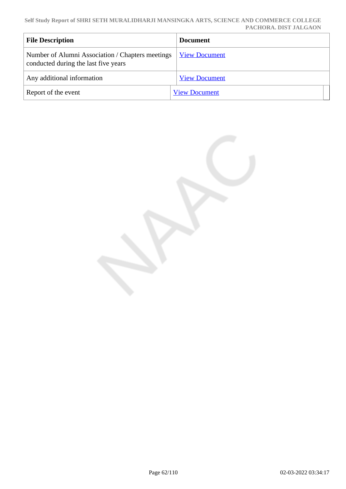| <b>File Description</b>                                                                  | <b>Document</b>      |
|------------------------------------------------------------------------------------------|----------------------|
| Number of Alumni Association / Chapters meetings<br>conducted during the last five years | <b>View Document</b> |
| Any additional information                                                               | <b>View Document</b> |
| Report of the event                                                                      | <b>View Document</b> |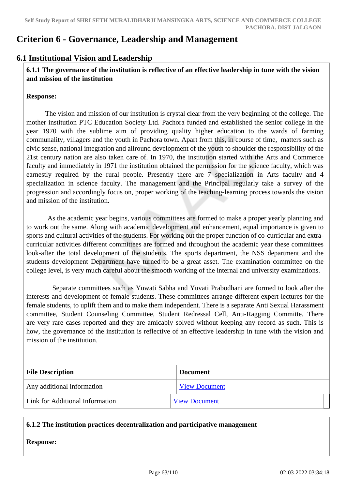# **Criterion 6 - Governance, Leadership and Management**

## **6.1 Institutional Vision and Leadership**

 **6.1.1 The governance of the institution is reflective of an effective leadership in tune with the vision and mission of the institution**

### **Response:**

 The vision and mission of our institution is crystal clear from the very beginning of the college. The mother institution PTC Education Society Ltd. Pachora funded and established the senior college in the year 1970 with the sublime aim of providing quality higher education to the wards of farming communality, villagers and the youth in Pachora town. Apart from this, in course of time, matters such as civic sense, national integration and allround development of the youth to shoulder the responsibility of the 21st century nation are also taken care of. In 1970, the institution started with the Arts and Commerce faculty and immediately in 1971 the institution obtained the permission for the science faculty, which was earnestly required by the rural people. Presently there are 7 specialization in Arts faculty and 4 specialization in science faculty. The management and the Principal regularly take a survey of the progression and accordingly focus on, proper working of the teaching-learning process towards the vision and mission of the institution.

 As the academic year begins, various committees are formed to make a proper yearly planning and to work out the same. Along with academic development and enhancement, equal importance is given to sports and cultural activities of the students. For working out the proper function of co-curricular and extracurricular activities different committees are formed and throughout the academic year these committees look-after the total development of the students. The sports department, the NSS department and the students development Department have turned to be a great asset. The examination committee on the college level, is very much careful about the smooth working of the internal and university examinations.

 Separate committees such as Yuwati Sabha and Yuvati Prabodhani are formed to look after the interests and development of female students. These committees arrange different expert lectures for the female students, to uplift them and to make them independent. There is a separate Anti Sexual Harassment committee, Student Counseling Committee, Student Redressal Cell, Anti-Ragging Committe. There are very rare cases reported and they are amicably solved without keeping any record as such. This is how, the governance of the institution is reflective of an effective leadership in tune with the vision and mission of the institution.

| <b>File Description</b>         | <b>Document</b>      |  |
|---------------------------------|----------------------|--|
| Any additional information      | <b>View Document</b> |  |
| Link for Additional Information | <b>View Document</b> |  |

## **6.1.2 The institution practices decentralization and participative management**

**Response:**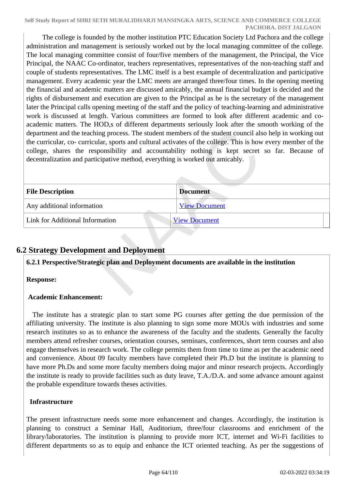The college is founded by the mother institution PTC Education Society Ltd Pachora and the college administration and management is seriously worked out by the local managing committee of the college. The local managing committee consist of four/five members of the management, the Principal, the Vice Principal, the NAAC Co-ordinator, teachers representatives, representatives of the non-teaching staff and couple of students representatives. The LMC itself is a best example of decentralization and participative management. Every academic year the LMC meets are arranged three/four times. In the opening meeting the financial and academic matters are discussed amicably, the annual financial budget is decided and the rights of disbursement and execution are given to the Principal as he is the secretary of the management later the Principal calls opening meeting of the staff and the policy of teaching-learning and administrative work is discussed at length. Various committees are formed to look after different academic and coacademic matters. The HOD,s of different departments seriously look after the smooth working of the department and the teaching process. The student members of the student council also help in working out the curricular, co- curricular, sports and cultural activates of the college. This is how every member of the college, shares the responsibility and accountability nothing is kept secret so far. Because of decentralization and participative method, everything is worked out amicably.

| <b>File Description</b>         | <b>Document</b>      |
|---------------------------------|----------------------|
| Any additional information      | <b>View Document</b> |
| Link for Additional Information | <b>View Document</b> |

# **6.2 Strategy Development and Deployment**

**6.2.1 Perspective/Strategic plan and Deployment documents are available in the institution**

## **Response:**

## **Academic Enhancement:**

 The institute has a strategic plan to start some PG courses after getting the due permission of the affiliating university. The institute is also planning to sign some more MOUs with industries and some research institutes so as to enhance the awareness of the faculty and the students. Generally the faculty members attend refresher courses, orientation courses, seminars, conferences, short term courses and also engage themselves in research work. The college permits them from time to time as per the academic need and convenience. About 09 faculty members have completed their Ph.D but the institute is planning to have more Ph.Ds and some more faculty members doing major and minor research projects. Accordingly the institute is ready to provide facilities such as duty leave, T.A./D.A. and some advance amount against the probable expenditure towards theses activities.

## **Infrastructure**

The present infrastructure needs some more enhancement and changes. Accordingly, the institution is planning to construct a Seminar Hall, Auditorium, three/four classrooms and enrichment of the library/laboratories. The institution is planning to provide more ICT, internet and Wi-Fi facilities to different departments so as to equip and enhance the ICT oriented teaching. As per the suggestions of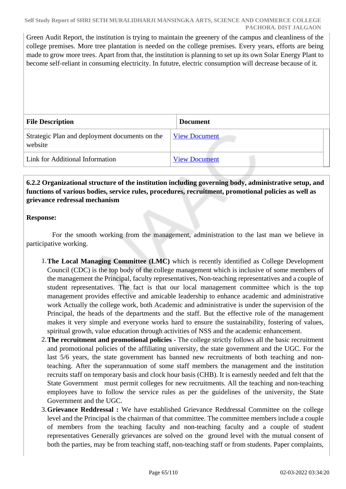Green Audit Report, the institution is trying to maintain the greenery of the campus and cleanliness of the college premises. More tree plantation is needed on the college premises. Every years, efforts are being made to grow more trees. Apart from that, the institution is planning to set up its own Solar Energy Plant to become self-reliant in consuming electricity. In fututre, electric consumption will decrease because of it.

| <b>File Description</b>                                   | <b>Document</b>      |
|-----------------------------------------------------------|----------------------|
| Strategic Plan and deployment documents on the<br>website | <b>View Document</b> |
| Link for Additional Information                           | <b>View Document</b> |

## **6.2.2 Organizational structure of the institution including governing body, administrative setup, and functions of various bodies, service rules, procedures, recruitment, promotional policies as well as grievance redressal mechanism**

## **Response:**

 For the smooth working from the management, administration to the last man we believe in participative working.

- 1.**The Local Managing Committee (LMC)** which is recently identified as College Development Council (CDC) is the top body of the college management which is inclusive of some members of the management the Principal, faculty representatives, Non-teaching representatives and a couple of student representatives. The fact is that our local management committee which is the top management provides effective and amicable leadership to enhance academic and administrative work Actually the college work, both Academic and administrative is under the supervision of the Principal, the heads of the departments and the staff. But the effective role of the management makes it very simple and everyone works hard to ensure the sustainability, fostering of values, spiritual growth, value education through activities of NSS and the academic enhancement.
- 2.**The recruitment and promotional policies**  The college strictly follows all the basic recruitment and promotional policies of the affiliating university, the state government and the UGC. For the last 5/6 years, the state government has banned new recruitments of both teaching and nonteaching. After the superannuation of some staff members the management and the institution recruits staff on temporary basis and clock hour basis (CHB). It is earnestly needed and felt that the State Government must permit colleges for new recruitments. All the teaching and non-teaching employees have to follow the service rules as per the guidelines of the university, the State Government and the UGC.
- 3.**Grievance Reddressal :** We have established Grievance Reddressal Committee on the college level and the Principal is the chairman of that committee. The committee members include a couple of members from the teaching faculty and non-teaching faculty and a couple of student representatives Generally grievances are solved on the ground level with the mutual consent of both the parties, may be from teaching staff, non-teaching staff or from students. Paper complaints,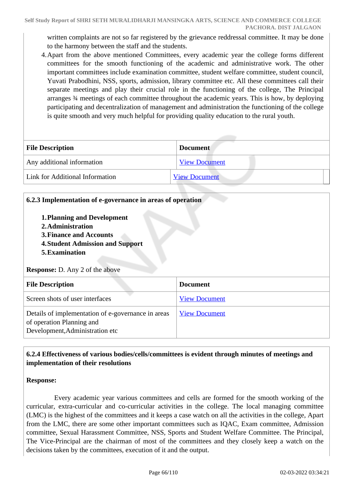written complaints are not so far registered by the grievance reddressal committee. It may be done to the harmony between the staff and the students.

4.Apart from the above mentioned Committees, every academic year the college forms different committees for the smooth functioning of the academic and administrative work. The other important committees include examination committee, student welfare committee, student council, Yuvati Prabodhini, NSS, sports, admission, library committee etc. All these committees call their separate meetings and play their crucial role in the functioning of the college, The Principal arranges ¾ meetings of each committee throughout the academic years. This is how, by deploying participating and decentralization of management and administration the functioning of the college is quite smooth and very much helpful for providing quality education to the rural youth.

| <b>File Description</b>         | <b>Document</b>      |
|---------------------------------|----------------------|
| Any additional information      | <b>View Document</b> |
| Link for Additional Information | <b>View Document</b> |

## **6.2.3 Implementation of e-governance in areas of operation**

- **1.Planning and Development**
- **2.Administration**
- **3.Finance and Accounts**
- **4.Student Admission and Support**
- **5.Examination**

**Response:** D. Any 2 of the above

| <b>File Description</b>                                                                                            | <b>Document</b>      |  |
|--------------------------------------------------------------------------------------------------------------------|----------------------|--|
| Screen shots of user interfaces                                                                                    | <b>View Document</b> |  |
| Details of implementation of e-governance in areas<br>of operation Planning and<br>Development, Administration etc | <b>View Document</b> |  |

## **6.2.4 Effectiveness of various bodies/cells/committees is evident through minutes of meetings and implementation of their resolutions**

## **Response:**

 Every academic year various committees and cells are formed for the smooth working of the curricular, extra-curricular and co-curricular activities in the college. The local managing committee (LMC) is the highest of the committees and it keeps a case watch on all the activities in the college, Apart from the LMC, there are some other important committees such as IQAC, Exam committee, Admission committee, Sexual Harassment Committee, NSS, Sports and Student Welfare Committee. The Principal, The Vice-Principal are the chairman of most of the committees and they closely keep a watch on the decisions taken by the committees, execution of it and the output.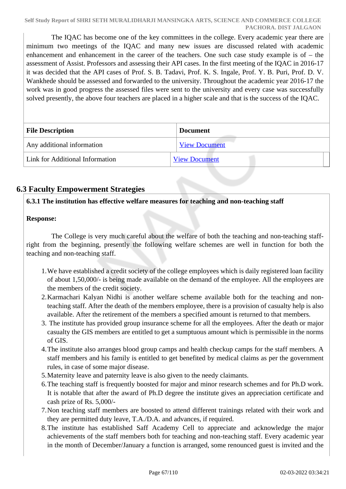The IQAC has become one of the key committees in the college. Every academic year there are minimum two meetings of the IQAC and many new issues are discussed related with academic enhancement and enhancement in the career of the teachers. One such case study example is of – the assessment of Assist. Professors and assessing their API cases. In the first meeting of the IQAC in 2016-17 it was decided that the API cases of Prof. S. B. Tadavi, Prof. K. S. Ingale, Prof. Y. B. Puri, Prof. D. V. Wankhede should be assessed and forwarded to the university. Throughout the academic year 2016-17 the work was in good progress the assessed files were sent to the university and every case was successfully solved presently, the above four teachers are placed in a higher scale and that is the success of the IQAC.

| <b>File Description</b>         | <b>Document</b>      |
|---------------------------------|----------------------|
| Any additional information      | <b>View Document</b> |
| Link for Additional Information | <b>View Document</b> |

# **6.3 Faculty Empowerment Strategies**

## **6.3.1 The institution has effective welfare measures for teaching and non-teaching staff**

## **Response:**

 The College is very much careful about the welfare of both the teaching and non-teaching staffright from the beginning, presently the following welfare schemes are well in function for both the teaching and non-teaching staff.

- 1.We have established a credit society of the college employees which is daily registered loan facility of about 1,50,000/- is being made available on the demand of the employee. All the employees are the members of the credit society.
- 2.Karmachari Kalyan Nidhi is another welfare scheme available both for the teaching and nonteaching staff. After the death of the members employee, there is a provision of casualty help is also available. After the retirement of the members a specified amount is returned to that members.
- 3. The institute has provided group insurance scheme for all the employees. After the death or major casualty the GIS members are entitled to get a sumptuous amount which is permissible in the norms of GIS.
- 4.The institute also arranges blood group camps and health checkup camps for the staff members. A staff members and his family is entitled to get benefited by medical claims as per the government rules, in case of some major disease.
- 5.Maternity leave and paternity leave is also given to the needy claimants.
- 6.The teaching staff is frequently boosted for major and minor research schemes and for Ph.D work. It is notable that after the award of Ph.D degree the institute gives an appreciation certificate and cash prize of Rs. 5,000/-
- 7.Non teaching staff members are boosted to attend different trainings related with their work and they are permitted duty leave, T.A./D.A. and advances, if required.
- 8.The institute has established Saff Academy Cell to appreciate and acknowledge the major achievements of the staff members both for teaching and non-teaching staff. Every academic year in the month of December/January a function is arranged, some renounced guest is invited and the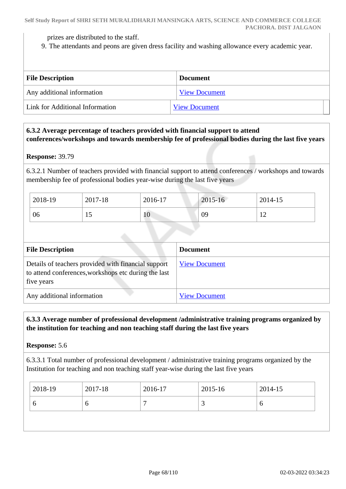prizes are distributed to the staff.

9. The attendants and peons are given dress facility and washing allowance every academic year.

| <b>File Description</b>         | <b>Document</b>      |
|---------------------------------|----------------------|
| Any additional information      | <b>View Document</b> |
| Link for Additional Information | <b>View Document</b> |

## **6.3.2 Average percentage of teachers provided with financial support to attend conferences/workshops and towards membership fee of professional bodies during the last five years**

#### **Response:** 39.79

6.3.2.1 Number of teachers provided with financial support to attend conferences / workshops and towards membership fee of professional bodies year-wise during the last five years

| 2018-19 | 2017-18 | 2016-17 | 2015-16 | 2014-15                      |
|---------|---------|---------|---------|------------------------------|
| 06      | ⊥ J     | 10      | 09      | $\epsilon$<br>$\overline{1}$ |

| <b>File Description</b>                                                                                                   | <b>Document</b>      |
|---------------------------------------------------------------------------------------------------------------------------|----------------------|
| Details of teachers provided with financial support<br>to attend conferences, workshops etc during the last<br>five years | <b>View Document</b> |
| Any additional information                                                                                                | <b>View Document</b> |

## **6.3.3 Average number of professional development /administrative training programs organized by the institution for teaching and non teaching staff during the last five years**

**Response:** 5.6

6.3.3.1 Total number of professional development / administrative training programs organized by the Institution for teaching and non teaching staff year-wise during the last five years

| O<br>О<br>O<br>ت |  |
|------------------|--|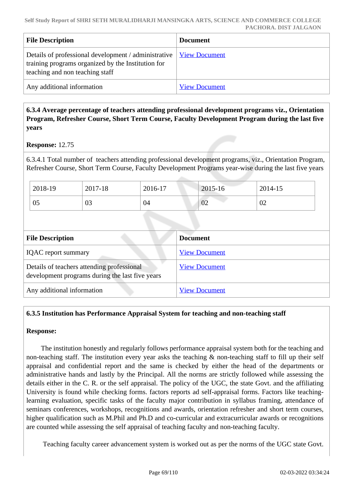| <b>File Description</b>                                                                                                                                              | <b>Document</b>      |
|----------------------------------------------------------------------------------------------------------------------------------------------------------------------|----------------------|
| Details of professional development / administrative   <u>View Document</u><br>training programs organized by the Institution for<br>teaching and non teaching staff |                      |
| Any additional information                                                                                                                                           | <b>View Document</b> |

## **6.3.4 Average percentage of teachers attending professional development programs viz., Orientation Program, Refresher Course, Short Term Course, Faculty Development Program during the last five years**

## **Response:** 12.75

6.3.4.1 Total number of teachers attending professional development programs, viz., Orientation Program, Refresher Course, Short Term Course, Faculty Development Programs year-wise during the last five years

| 2018-19 | 2017-18        | 2016-17 | 2015-16 | 2014-15 |
|---------|----------------|---------|---------|---------|
| 05      | $\Omega$<br>U3 | 04      | 02      | 02      |

| <b>File Description</b>                                                                       | <b>Document</b>      |
|-----------------------------------------------------------------------------------------------|----------------------|
| <b>IQAC</b> report summary                                                                    | <b>View Document</b> |
| Details of teachers attending professional<br>development programs during the last five years | <b>View Document</b> |
| Any additional information                                                                    | <b>View Document</b> |

## **6.3.5 Institution has Performance Appraisal System for teaching and non-teaching staff**

## **Response:**

 The institution honestly and regularly follows performance appraisal system both for the teaching and non-teaching staff. The institution every year asks the teaching & non-teaching staff to fill up their self appraisal and confidential report and the same is checked by either the head of the departments or administrative hands and lastly by the Principal. All the norms are strictly followed while assessing the details either in the C. R. or the self appraisal. The policy of the UGC, the state Govt. and the affiliating University is found while checking forms. factors reports ad self-appraisal forms. Factors like teachinglearning evaluation, specific tasks of the faculty major contribution in syllabus framing, attendance of seminars conferences, workshops, recognitions and awards, orientation refresher and short term courses, higher qualification such as M.Phil and Ph.D and co-curricular and extracurricular awards or recognitions are counted while assessing the self appraisal of teaching faculty and non-teaching faculty.

Teaching faculty career advancement system is worked out as per the norms of the UGC state Govt.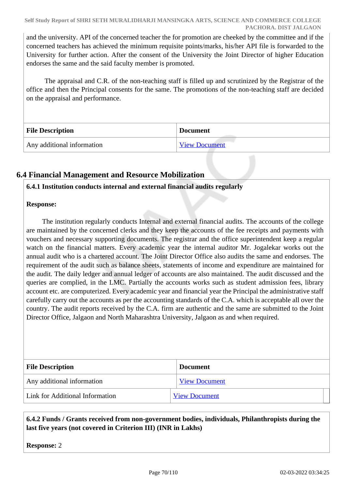and the university. API of the concerned teacher the for promotion are cheeked by the committee and if the concerned teachers has achieved the minimum requisite points/marks, his/her API file is forwarded to the University for further action. After the consent of the University the Joint Director of higher Education endorses the same and the said faculty member is promoted.

 The appraisal and C.R. of the non-teaching staff is filled up and scrutinized by the Registrar of the office and then the Principal consents for the same. The promotions of the non-teaching staff are decided on the appraisal and performance.

| <b>File Description</b>    | <b>Document</b>      |
|----------------------------|----------------------|
| Any additional information | <b>View Document</b> |

# **6.4 Financial Management and Resource Mobilization**

## **6.4.1 Institution conducts internal and external financial audits regularly**

## **Response:**

 The institution regularly conducts Internal and external financial audits. The accounts of the college are maintained by the concerned clerks and they keep the accounts of the fee receipts and payments with vouchers and necessary supporting documents. The registrar and the office superintendent keep a regular watch on the financial matters. Every academic year the internal auditor Mr. Jogalekar works out the annual audit who is a chartered account. The Joint Director Office also audits the same and endorses. The requirement of the audit such as balance sheets, statements of income and expenditure are maintained for the audit. The daily ledger and annual ledger of accounts are also maintained. The audit discussed and the queries are complied, in the LMC. Partially the accounts works such as student admission fees, library account etc. are computerized. Every academic year and financial year the Principal the administrative staff carefully carry out the accounts as per the accounting standards of the C.A. which is acceptable all over the country. The audit reports received by the C.A. firm are authentic and the same are submitted to the Joint Director Office, Jalgaon and North Maharashtra University, Jalgaon as and when required.

| <b>File Description</b>         | <b>Document</b>      |
|---------------------------------|----------------------|
| Any additional information      | <b>View Document</b> |
| Link for Additional Information | <b>View Document</b> |

 **6.4.2 Funds / Grants received from non-government bodies, individuals, Philanthropists during the last five years (not covered in Criterion III) (INR in Lakhs)**

**Response:** 2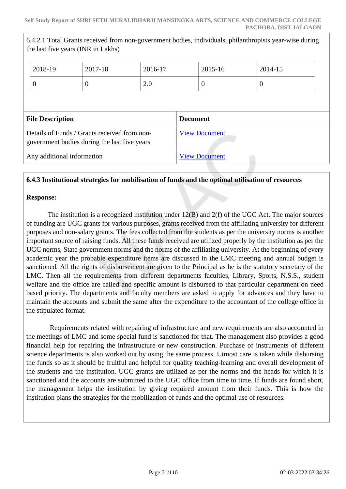|                                                                                              | the last five years (INR in Lakhs) |                      | 6.4.2.1 Total Grants received from non-government bodies, individuals, philanthropists year-wise during |          |  |
|----------------------------------------------------------------------------------------------|------------------------------------|----------------------|---------------------------------------------------------------------------------------------------------|----------|--|
| 2018-19                                                                                      | 2017-18                            | 2016-17              | 2015-16                                                                                                 | 2014-15  |  |
| $\overline{0}$                                                                               | $\theta$                           | 2.0                  | $\theta$                                                                                                | $\theta$ |  |
| <b>File Description</b>                                                                      |                                    |                      | <b>Document</b>                                                                                         |          |  |
| Details of Funds / Grants received from non-<br>government bodies during the last five years |                                    | <b>View Document</b> |                                                                                                         |          |  |
| Any additional information                                                                   |                                    |                      | <b>View Document</b>                                                                                    |          |  |

## **6.4.3 Institutional strategies for mobilisation of funds and the optimal utilisation of resources**

## **Response:**

 The institution is a recognized institution under 12(B) and 2(f) of the UGC Act. The major sources of funding are UGC grants for various purposes, grants received from the affiliating university for different purposes and non-salary grants. The fees collected from the students as per the university norms is another important source of raising funds. All these funds received are utilized properly by the institution as per the UGC norms, State government norms and the norms of the affiliating university. At the beginning of every academic year the probable expenditure items are discussed in the LMC meeting and annual budget is sanctioned. All the rights of disbursement are given to the Principal as he is the statutory secretary of the LMC. Then all the requirements from different departments faculties, Library, Sports, N.S.S., student welfare and the office are called and specific amount is disbursed to that particular department on need based priority. The departments and faculty members are asked to apply for advances and they have to maintain the accounts and submit the same after the expenditure to the accountant of the college office in the stipulated format.

 Requirements related with repairing of infrastructure and new requirements are also accounted in the meetings of LMC and some special fund is sanctioned for that. The management also provides a good financial help for repairing the infrastructure or new construction. Purchase of instruments of different science departments is also worked out by using the same process. Utmost care is taken while disbursing the funds so as it should be fruitful and helpful for quality teaching-learning and overall development of the students and the institution. UGC grants are utilized as per the norms and the heads for which it is sanctioned and the accounts are submitted to the UGC office from time to time. If funds are found short, the management helps the institution by giving required amount from their funds. This is how the institution plans the strategies for the mobilization of funds and the optimal use of resources.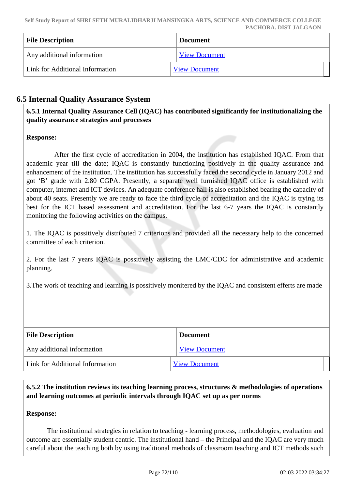| <b>File Description</b>         | <b>Document</b>      |
|---------------------------------|----------------------|
| Any additional information      | <b>View Document</b> |
| Link for Additional Information | <b>View Document</b> |

# **6.5 Internal Quality Assurance System**

 **6.5.1 Internal Quality Assurance Cell (IQAC) has contributed significantly for institutionalizing the quality assurance strategies and processes**

## **Response:**

 After the first cycle of accreditation in 2004, the institution has established IQAC. From that academic year till the date; IQAC is constantly functioning positively in the quality assurance and enhancement of the institution. The institution has successfully faced the second cycle in January 2012 and got 'B' grade with 2.80 CGPA. Presently, a separate well furnished IQAC office is established with computer, internet and ICT devices. An adequate conference hall is also established bearing the capacity of about 40 seats. Presently we are ready to face the third cycle of accreditation and the IQAC is trying its best for the ICT based assessment and accreditation. For the last 6-7 years the IQAC is constantly monitoring the following activities on the campus.

1. The IQAC is possitively distributed 7 criterions and provided all the necessary help to the concerned committee of each criterion.

2. For the last 7 years IQAC is possitively assisting the LMC/CDC for administrative and academic planning.

3.The work of teaching and learning is possitively monitered by the IQAC and consistent efferts are made

| <b>File Description</b>         | <b>Document</b>      |
|---------------------------------|----------------------|
| Any additional information      | <b>View Document</b> |
| Link for Additional Information | <b>View Document</b> |

 **6.5.2 The institution reviews its teaching learning process, structures & methodologies of operations and learning outcomes at periodic intervals through IQAC set up as per norms**

## **Response:**

 The institutional strategies in relation to teaching - learning process, methodologies, evaluation and outcome are essentially student centric. The institutional hand – the Principal and the IQAC are very much careful about the teaching both by using traditional methods of classroom teaching and ICT methods such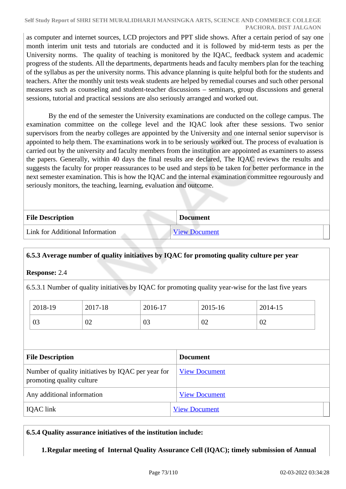#### **Self Study Report of SHRI SETH MURALIDHARJI MANSINGKA ARTS, SCIENCE AND COMMERCE COLLEGE PACHORA. DIST JALGAON**

as computer and internet sources, LCD projectors and PPT slide shows. After a certain period of say one month interim unit tests and tutorials are conducted and it is followed by mid-term tests as per the University norms. The quality of teaching is monitored by the IQAC, feedback system and academic progress of the students. All the departments, departments heads and faculty members plan for the teaching of the syllabus as per the university norms. This advance planning is quite helpful both for the students and teachers. After the monthly unit tests weak students are helped by remedial courses and such other personal measures such as counseling and student-teacher discussions – seminars, group discussions and general sessions, tutorial and practical sessions are also seriously arranged and worked out.

 By the end of the semester the University examinations are conducted on the college campus. The examination committee on the college level and the IQAC look after these sessions. Two senior supervisors from the nearby colleges are appointed by the University and one internal senior supervisor is appointed to help them. The examinations work in to be seriously worked out. The process of evaluation is carried out by the university and faculty members from the institution are appointed as examiners to assess the papers. Generally, within 40 days the final results are declared, The IQAC reviews the results and suggests the faculty for proper reassurances to be used and steps to be taken for better performance in the next semester examination. This is how the IQAC and the internal examination committee regourously and seriously monitors, the teaching, learning, evaluation and outcome.

| <b>File Description</b>         | <b>Document</b>      |  |
|---------------------------------|----------------------|--|
| Link for Additional Information | <b>View Document</b> |  |

# **6.5.3 Average number of quality initiatives by IQAC for promoting quality culture per year**

**Response:** 2.4

6.5.3.1 Number of quality initiatives by IQAC for promoting quality year-wise for the last five years

| 2018-19 | 2017-18 | 2016-17 | 2015-16 | 2014-15 |
|---------|---------|---------|---------|---------|
| 03      | 02      | 03      | 02      | 02      |

| <b>File Description</b>                                                         | <b>Document</b>      |  |
|---------------------------------------------------------------------------------|----------------------|--|
| Number of quality initiatives by IQAC per year for<br>promoting quality culture | <b>View Document</b> |  |
| Any additional information                                                      | <b>View Document</b> |  |
| <b>IQAC</b> link                                                                | <b>View Document</b> |  |

**6.5.4 Quality assurance initiatives of the institution include:**

**1.Regular meeting of Internal Quality Assurance Cell (IQAC); timely submission of Annual**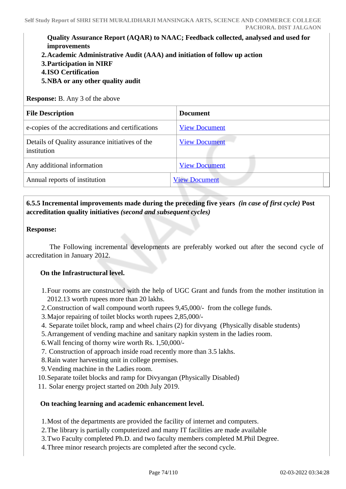# **Quality Assurance Report (AQAR) to NAAC; Feedback collected, analysed and used for improvements**

- **2.Academic Administrative Audit (AAA) and initiation of follow up action**
- **3.Participation in NIRF**
- **4.ISO Certification**
- **5.NBA or any other quality audit**

**Response:** B. Any 3 of the above

| <b>File Description</b>                                        | <b>Document</b>      |  |
|----------------------------------------------------------------|----------------------|--|
| e-copies of the accreditations and certifications              | <b>View Document</b> |  |
| Details of Quality assurance initiatives of the<br>institution | <b>View Document</b> |  |
| Any additional information                                     | <b>View Document</b> |  |
| Annual reports of institution                                  | <b>View Document</b> |  |

# **6.5.5 Incremental improvements made during the preceding five years** *(in case of first cycle)* **Post accreditation quality initiatives** *(second and subsequent cycles)*

## **Response:**

 The Following incremental developments are preferably worked out after the second cycle of accreditation in January 2012.

## **On the Infrastructural level.**

- 1.Four rooms are constructed with the help of UGC Grant and funds from the mother institution in 2012.13 worth rupees more than 20 lakhs.
- 2.Construction of wall compound worth rupees 9,45,000/- from the college funds.
- 3.Major repairing of toilet blocks worth rupees 2,85,000/-
- 4. Separate toilet block, ramp and wheel chairs (2) for divyang (Physically disable students)
- 5.Arrangement of vending machine and sanitary napkin system in the ladies room.
- 6.Wall fencing of thorny wire worth Rs. 1,50,000/-
- 7. Construction of approach inside road recently more than 3.5 lakhs.
- 8.Rain water harvesting unit in college premises.
- 9.Vending machine in the Ladies room.
- 10.Separate toilet blocks and ramp for Divyangan (Physically Disabled)
- 11. Solar energy project started on 20th July 2019.

## **On teaching learning and academic enhancement level.**

1.Most of the departments are provided the facility of internet and computers.

- 2.The library is partially computerized and many IT facilities are made available
- 3.Two Faculty completed Ph.D. and two faculty members completed M.Phil Degree.
- 4.Three minor research projects are completed after the second cycle.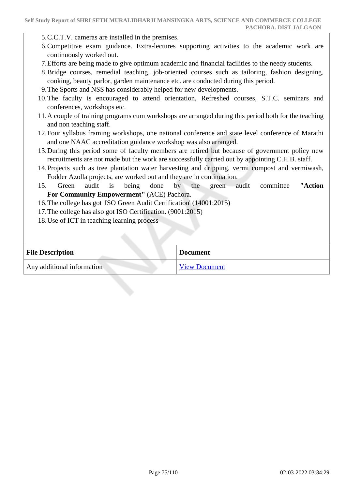- 5.C.C.T.V. cameras are installed in the premises.
- 6.Competitive exam guidance. Extra-lectures supporting activities to the academic work are continuously worked out.
- 7.Efforts are being made to give optimum academic and financial facilities to the needy students.
- 8.Bridge courses, remedial teaching, job-oriented courses such as tailoring, fashion designing, cooking, beauty parlor, garden maintenance etc. are conducted during this period.
- 9.The Sports and NSS has considerably helped for new developments.
- 10.The faculty is encouraged to attend orientation, Refreshed courses, S.T.C. seminars and conferences, workshops etc.
- 11.A couple of training programs cum workshops are arranged during this period both for the teaching and non teaching staff.
- 12.Four syllabus framing workshops, one national conference and state level conference of Marathi and one NAAC accreditation guidance workshop was also arranged.
- 13.During this period some of faculty members are retired but because of government policy new recruitments are not made but the work are successfully carried out by appointing C.H.B. staff.
- 14.Projects such as tree plantation water harvesting and dripping, vermi compost and vermiwash, Fodder Azolla projects, are worked out and they are in continuation.
- 15. Green audit is being done by the green audit committee **"Action For Community Empowerment"** (ACE) Pachora.
- 16.The college has got 'ISO Green Audit Certification' (14001:2015)
- 17.The college has also got ISO Certification. (9001:2015)
- 18.Use of ICT in teaching learning process

| <b>File Description</b>    | <b>Document</b>      |
|----------------------------|----------------------|
| Any additional information | <b>View Document</b> |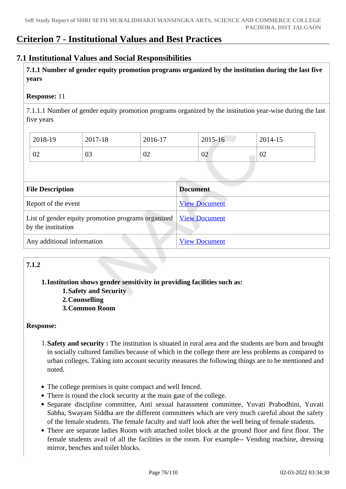# **Criterion 7 - Institutional Values and Best Practices**

# **7.1 Institutional Values and Social Responsibilities**

 **7.1.1 Number of gender equity promotion programs organized by the institution during the last five years** 

## **Response:** 11

7.1.1.1 Number of gender equity promotion programs organized by the institution year-wise during the last five years

| 2018-19 | 2017-18 | 2016-17 | 2015-16 | 2014-15 |
|---------|---------|---------|---------|---------|
| 02      | 03      | 02      | 02      | 02      |

| <b>File Description</b>                                                                  | <b>Document</b>      |
|------------------------------------------------------------------------------------------|----------------------|
| Report of the event                                                                      | <b>View Document</b> |
| List of gender equity promotion programs organized   View Document<br>by the institution |                      |
| Any additional information                                                               | <b>View Document</b> |

# **7.1.2**

## **1.Institution shows gender sensitivity in providing facilities such as:**

- **1.Safety and Security**
- **2.Counselling**
- **3.Common Room**

## **Response:**

- 1.**Safety and security :** The institution is situated in rural area and the students are born and brought in socially cultured families because of which in the college there are less problems as compared to urban colleges. Taking into account security measures the following things are to be mentioned and noted.
- The college premises is quite compact and well fenced.
- There is round the clock security at the main gate of the college.
- Separate discipline committee, Anti sexual harassment committee, Yuvati Prabodhini, Yuvati Sabha, Swayam Siddha are the different committees which are very much careful about the safety of the female students. The female faculty and staff look after the well being of female students.
- There are separate ladies Room with attached toilet block at the ground floor and first floor. The female students avail of all the facilities in the room. For example-- Vending machine, dressing mirror, benches and toilet blocks.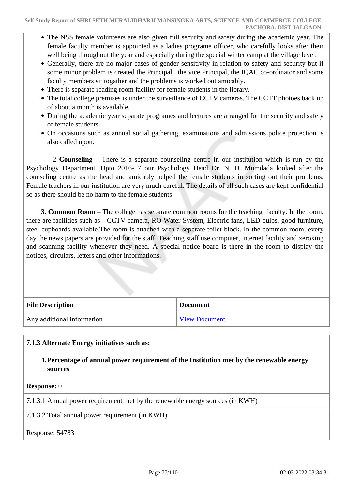- The NSS female volunteers are also given full security and safety during the academic year. The female faculty member is appointed as a ladies programe officer, who carefully looks after their well being throughout the year and especially during the special winter camp at the village level.
- Generally, there are no major cases of gender sensitivity in relation to safety and security but if some minor problem is created the Principal, the vice Principal, the IQAC co-ordinator and some faculty members sit togather and the problems is worked out amicably.
- There is separate reading room facility for female students in the library.
- The total college premises is under the surveillance of CCTV cameras. The CCTT photoes back up of about a month is available.
- During the academic year separate programes and lectures are arranged for the security and safety of female students.
- On occasions such as annual social gathering, examinations and admissions police protection is also called upon.

 2 **Counseling** – There is a separate counseling centre in our institution which is run by the Psychology Department. Upto 2016-17 our Psychology Head Dr. N. D. Mumdada looked after the counseling centre as the head and amicably helped the female students in sorting out their problems. Female teachers in our institution are very much careful. The details of all such cases are kept confidential so as there should be no harm to the female students

 **3. Common Room** – The college has separate common rooms for the teaching faculty. In the room, there are facilities such as-- CCTV camera, RO Water System, Electric fans, LED bulbs, good furniture, steel cupboards available.The room is attached with a seperate toilet block. In the common room, every day the news papers are provided for the staff. Teaching staff use computer, internet facility and xeroxing and scanning facility whenever they need. A special notice board is there in the room to display the notices, circulars, letters and other informations.

| <b>File Description</b>    | <b>Document</b>      |
|----------------------------|----------------------|
| Any additional information | <b>View Document</b> |

**7.1.3 Alternate Energy initiatives such as:**

**1.Percentage of annual power requirement of the Institution met by the renewable energy sources**

**Response:** 0

7.1.3.1 Annual power requirement met by the renewable energy sources (in KWH)

7.1.3.2 Total annual power requirement (in KWH)

Response: 54783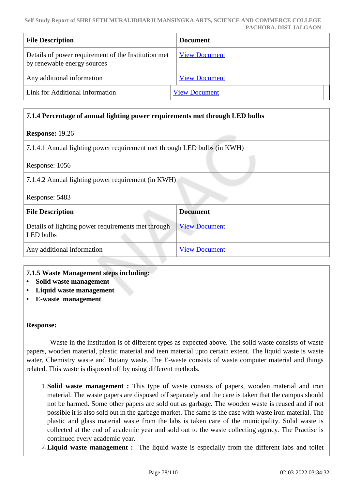| <b>File Description</b>                                                            | <b>Document</b>      |
|------------------------------------------------------------------------------------|----------------------|
| Details of power requirement of the Institution met<br>by renewable energy sources | <b>View Document</b> |
| Any additional information                                                         | <b>View Document</b> |
| Link for Additional Information                                                    | <b>View Document</b> |

# **7.1.4 Percentage of annual lighting power requirements met through LED bulbs**

## **Response:** 19.26

7.1.4.1 Annual lighting power requirement met through LED bulbs (in KWH)

| Response: 1056 |  |
|----------------|--|
|----------------|--|

7.1.4.2 Annual lighting power requirement (in KWH)

Response: 5483

| <b>File Description</b>                                         | <b>Document</b>      |
|-----------------------------------------------------------------|----------------------|
| Details of lighting power requirements met through<br>LED bulbs | <b>View Document</b> |
| Any additional information                                      | <b>View Document</b> |

## **7.1.5 Waste Management steps including:**

- **Solid waste management**
- **Liquid waste management**
- **E-waste management**

## **Response:**

 Waste in the institution is of different types as expected above. The solid waste consists of waste papers, wooden material, plastic material and teen material upto certain extent. The liquid waste is waste water, Chemistry waste and Botany waste. The E-waste consists of waste computer material and things related. This waste is disposed off by using different methods.

- 1.**Solid waste management :** This type of waste consists of papers, wooden material and iron material. The waste papers are disposed off separately and the care is taken that the campus should not be harmed. Some other papers are sold out as garbage. The wooden waste is reused and if not possible it is also sold out in the garbage market. The same is the case with waste iron material. The plastic and glass material waste from the labs is taken care of the municipality. Solid waste is collected at the end of academic year and sold out to the waste collecting agency. The Practise is continued every academic year.
- 2.**Liquid waste management :** The liquid waste is especially from the different labs and toilet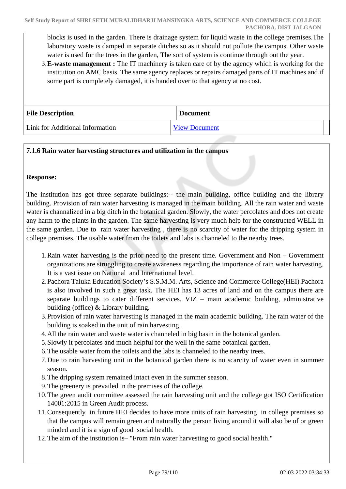blocks is used in the garden. There is drainage system for liquid waste in the college premises.The laboratory waste is damped in separate ditches so as it should not pollute the campus. Other waste water is used for the trees in the garden, The sort of system is continue through out the year.

3.**E-waste management :** The IT machinery is taken care of by the agency which is working for the institution on AMC basis. The same agency replaces or repairs damaged parts of IT machines and if some part is completely damaged, it is handed over to that agency at no cost.

| <b>File Description</b>         | <b>Document</b>      |
|---------------------------------|----------------------|
| Link for Additional Information | <b>View Document</b> |

# **7.1.6 Rain water harvesting structures and utilization in the campus**

## **Response:**

The institution has got three separate buildings:-- the main building, office building and the library building. Provision of rain water harvesting is managed in the main building. All the rain water and waste water is channalized in a big ditch in the botanical garden. Slowly, the water percolates and does not create any harm to the plants in the garden. The same harvesting is very much help for the constructed WELL in the same garden. Due to rain water harvesting , there is no scarcity of water for the dripping system in college premises. The usable water from the toilets and labs is channeled to the nearby trees.

- 1.Rain water harvesting is the prior need to the present time. Government and Non Government organizations are struggling to create awareness regarding the importance of rain water harvesting. It is a vast issue on National and International level.
- 2.Pachora Taluka Education Society's S.S.M.M. Arts, Science and Commerce College(HEI) Pachora is also involved in such a great task. The HEI has 13 acres of land and on the campus there are separate buildings to cater different services. VIZ – main academic building, administrative building (office) & Library building.
- 3.Provision of rain water harvesting is managed in the main academic building. The rain water of the building is soaked in the unit of rain harvesting.
- 4.All the rain water and waste water is channeled in big basin in the botanical garden.
- 5.Slowly it percolates and much helpful for the well in the same botanical garden.
- 6.The usable water from the toilets and the labs is channeled to the nearby trees.
- 7.Due to rain harvesting unit in the botanical garden there is no scarcity of water even in summer season.
- 8.The dripping system remained intact even in the summer season.
- 9.The greenery is prevailed in the premises of the college.
- 10.The green audit committee assessed the rain harvesting unit and the college got ISO Certification 14001:2015 in Green Audit process.
- 11.Consequently in future HEI decides to have more units of rain harvesting in college premises so that the campus will remain green and naturally the person living around it will also be of or green minded and it is a sign of good social health.
- 12.The aim of the institution is– "From rain water harvesting to good social health."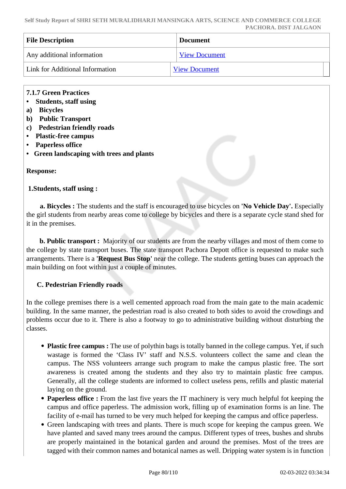**Self Study Report of SHRI SETH MURALIDHARJI MANSINGKA ARTS, SCIENCE AND COMMERCE COLLEGE PACHORA. DIST JALGAON**

| <b>File Description</b>         | <b>Document</b>      |
|---------------------------------|----------------------|
| Any additional information      | <b>View Document</b> |
| Link for Additional Information | <b>View Document</b> |

#### **7.1.7 Green Practices**

- **Students, staff using**
- **a) Bicycles**
- **b) Public Transport**
- **c) Pedestrian friendly roads**
- **Plastic-free campus**
- **Paperless office**
- **Green landscaping with trees and plants**

#### **Response:**

#### **1.Students, staff using :**

 **a. Bicycles :** The students and the staff is encouraged to use bicycles on **'No Vehicle Day'.** Especially the girl students from nearby areas come to college by bicycles and there is a separate cycle stand shed for it in the premises.

 **b. Public transport :** Majority of our students are from the nearby villages and most of them come to the college by state transport buses. The state transport Pachora Depott office is requested to make such arrangements. There is a **'Request Bus Stop'** near the college. The students getting buses can approach the main building on foot within just a couple of minutes.

## **C. Pedestrian Friendly roads**

In the college premises there is a well cemented approach road from the main gate to the main academic building. In the same manner, the pedestrian road is also created to both sides to avoid the crowdings and problems occur due to it. There is also a footway to go to administrative building without disturbing the classes.

- **Plastic free campus :** The use of polythin bags is totally banned in the college campus. Yet, if such wastage is formed the 'Class IV' staff and N.S.S. volunteers collect the same and clean the campus. The NSS volunteers arrange such program to make the campus plastic free. The sort awareness is created among the students and they also try to maintain plastic free campus. Generally, all the college students are informed to collect useless pens, refills and plastic material laying on the ground.
- **Paperless office :** From the last five years the IT machinery is very much helpful fot keeping the campus and office paperless. The admission work, filling up of examination forms is an line. The facility of e-mail has turned to be very much helped for keeping the campus and office paperless.
- Green landscaping with trees and plants. There is much scope for keeping the campus green. We have planted and saved many trees around the campus. Different types of trees, bushes and shrubs are properly maintained in the botanical garden and around the premises. Most of the trees are tagged with their common names and botanical names as well. Dripping water system is in function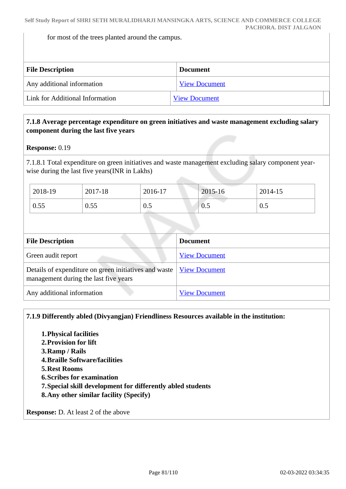for most of the trees planted around the campus.

| <b>File Description</b>         | <b>Document</b>      |  |
|---------------------------------|----------------------|--|
| Any additional information      | <b>View Document</b> |  |
| Link for Additional Information | <b>View Document</b> |  |

## **7.1.8 Average percentage expenditure on green initiatives and waste management excluding salary component during the last five years**

#### **Response:** 0.19

7.1.8.1 Total expenditure on green initiatives and waste management excluding salary component yearwise during the last five years(INR in Lakhs)

| 2018-19 | 2017-18 | 2016-17 | 2015-16 | 2014-15 |
|---------|---------|---------|---------|---------|
| 0.55    | 0.55    | 0.5     | 0.5     | 0.5     |

| <b>File Description</b>                                                                        | <b>Document</b>      |
|------------------------------------------------------------------------------------------------|----------------------|
| Green audit report                                                                             | <b>View Document</b> |
| Details of expenditure on green initiatives and waste<br>management during the last five years | <b>View Document</b> |
| Any additional information                                                                     | <b>View Document</b> |

**7.1.9 Differently abled (Divyangjan) Friendliness Resources available in the institution:**

- **1.Physical facilities**
- **2.Provision for lift**
- **3.Ramp / Rails**
- **4.Braille Software/facilities**
- **5.Rest Rooms**
- **6.Scribes for examination**
- **7.Special skill development for differently abled students**
- **8.Any other similar facility (Specify)**

**Response:** D. At least 2 of the above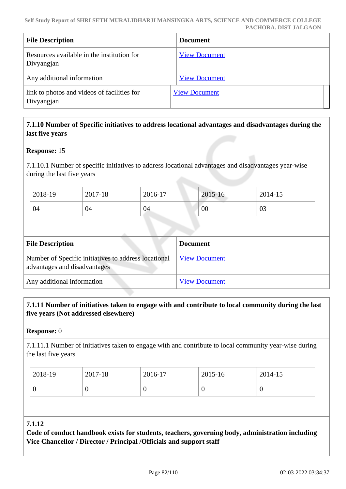| <b>File Description</b>                                   | <b>Document</b>      |
|-----------------------------------------------------------|----------------------|
| Resources available in the institution for<br>Divyangjan  | <b>View Document</b> |
| Any additional information                                | <b>View Document</b> |
| link to photos and videos of facilities for<br>Divyangjan | <b>View Document</b> |

# **7.1.10 Number of Specific initiatives to address locational advantages and disadvantages during the last five years**

## **Response:** 15

7.1.10.1 Number of specific initiatives to address locational advantages and disadvantages year-wise during the last five years

| 2018-19 | 2017-18 | 2016-17 | 2015-16 | 2014-15 |
|---------|---------|---------|---------|---------|
| 04      | 04      | 04      | 00      | 03      |

| <b>File Description</b>                                                              | <b>Document</b>      |
|--------------------------------------------------------------------------------------|----------------------|
| Number of Specific initiatives to address locational<br>advantages and disadvantages | <b>View Document</b> |
| Any additional information                                                           | <b>View Document</b> |

## **7.1.11 Number of initiatives taken to engage with and contribute to local community during the last five years (Not addressed elsewhere)**

#### **Response:** 0

7.1.11.1 Number of initiatives taken to engage with and contribute to local community year-wise during the last five years

| 2018-19 | 2017-18 | 2016-17 | 2015-16 | 2014-15 |
|---------|---------|---------|---------|---------|
|         |         |         | ν       |         |

## **7.1.12**

**Code of conduct handbook exists for students, teachers, governing body, administration including Vice Chancellor / Director / Principal /Officials and support staff**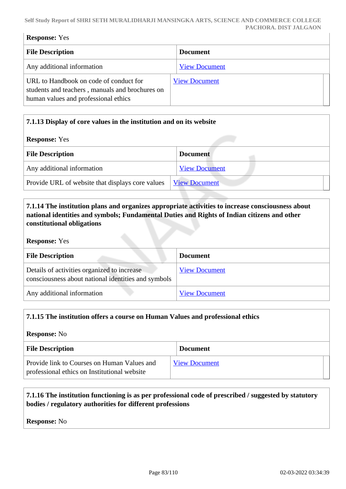#### **Self Study Report of SHRI SETH MURALIDHARJI MANSINGKA ARTS, SCIENCE AND COMMERCE COLLEGE PACHORA. DIST JALGAON**

| <b>Response:</b> Yes                                                                                                              |                      |  |
|-----------------------------------------------------------------------------------------------------------------------------------|----------------------|--|
| <b>File Description</b>                                                                                                           | <b>Document</b>      |  |
| Any additional information                                                                                                        | <b>View Document</b> |  |
| URL to Handbook on code of conduct for<br>students and teachers, manuals and brochures on<br>human values and professional ethics | <b>View Document</b> |  |

# **7.1.13 Display of core values in the institution and on its website**

#### **Response:** Yes

| <b>File Description</b>                          | <b>Document</b>      |
|--------------------------------------------------|----------------------|
| Any additional information                       | <b>View Document</b> |
| Provide URL of website that displays core values | <b>View Document</b> |
|                                                  |                      |

# **7.1.14 The institution plans and organizes appropriate activities to increase consciousness about national identities and symbols; Fundamental Duties and Rights of Indian citizens and other constitutional obligations**

#### **Response:** Yes

| <b>File Description</b>                                                                            | <b>Document</b>      |
|----------------------------------------------------------------------------------------------------|----------------------|
| Details of activities organized to increase<br>consciousness about national identities and symbols | <b>View Document</b> |
| Any additional information                                                                         | <b>View Document</b> |

## **7.1.15 The institution offers a course on Human Values and professional ethics**

# **Response:** No **File Description Document** Provide link to Courses on Human Values and professional ethics on Institutional website [View Document](#page-0-0)

# **7.1.16 The institution functioning is as per professional code of prescribed / suggested by statutory bodies / regulatory authorities for different professions**

#### **Response:** No

 $\overline{\phantom{a}}$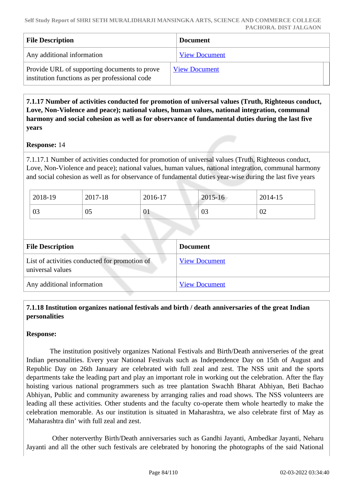| <b>File Description</b>                                                                        | <b>Document</b>      |
|------------------------------------------------------------------------------------------------|----------------------|
| Any additional information                                                                     | <b>View Document</b> |
| Provide URL of supporting documents to prove<br>institution functions as per professional code | <b>View Document</b> |

 **7.1.17 Number of activities conducted for promotion of universal values (Truth, Righteous conduct, Love, Non-Violence and peace); national values, human values, national integration, communal harmony and social cohesion as well as for observance of fundamental duties during the last five years**

## **Response:** 14

7.1.17.1 Number of activities conducted for promotion of universal values (Truth, Righteous conduct, Love, Non-Violence and peace); national values, human values, national integration, communal harmony and social cohesion as well as for observance of fundamental duties year-wise during the last five years

| 2018-19 | 2017-18 | 2016-17        | 2015-16 | 2014-15 |
|---------|---------|----------------|---------|---------|
| 03      | 05      | $\overline{0}$ | 03      | 02      |

| <b>File Description</b>                                           | <b>Document</b>      |
|-------------------------------------------------------------------|----------------------|
| List of activities conducted for promotion of<br>universal values | <b>View Document</b> |
| Any additional information                                        | <b>View Document</b> |

# **7.1.18 Institution organizes national festivals and birth / death anniversaries of the great Indian personalities**

## **Response:**

 The institution positively organizes National Festivals and Birth/Death anniverseries of the great Indian personalities. Every year National Festivals such as Independence Day on 15th of August and Republic Day on 26th January are celebrated with full zeal and zest. The NSS unit and the sports departments take the leading part and play an important role in working out the celebration. After the flay hoisting various national programmers such as tree plantation Swachh Bharat Abhiyan, Beti Bachao Abhiyan, Public and community awareness by arranging ralies and road shows. The NSS volunteers are leading all these activities. Other students and the faculty co-operate them whole heartedly to make the celebration memorable. As our institution is situated in Maharashtra, we also celebrate first of May as 'Maharashtra din' with full zeal and zest.

 Other noterverthy Birth/Death anniversaries such as Gandhi Jayanti, Ambedkar Jayanti, Neharu Jayanti and all the other such festivals are celebrated by honoring the photographs of the said National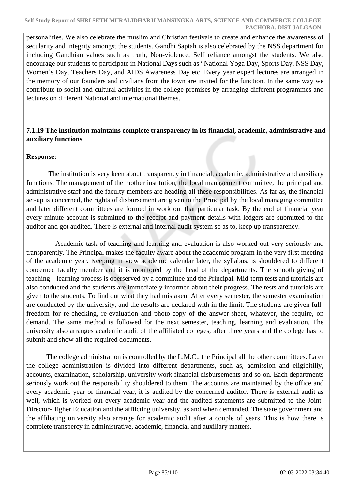personalities. We also celebrate the muslim and Christian festivals to create and enhance the awareness of secularity and integrity amongst the students. Gandhi Saptah is also celebrated by the NSS department for including Gandhian values such as truth, Non-violence, Self reliance amongst the students. We also encourage our students to participate in National Days such as "National Yoga Day, Sports Day, NSS Day, Women's Day, Teachers Day, and AIDS Awareness Day etc. Every year expert lectures are arranged in the memory of our founders and civilians from the town are invited for the function. In the same way we contribute to social and cultural activities in the college premises by arranging different programmes and lectures on different National and international themes.

## **7.1.19 The institution maintains complete transparency in its financial, academic, administrative and auxiliary functions**

## **Response:**

 The institution is very keen about transparency in financial, academic, administrative and auxiliary functions. The management of the mother institution, the local management committee, the principal and administrative staff and the faculty members are heading all these responsibilities. As far as, the financial set-up is concerned, the rights of disbursement are given to the Principal by the local managing committee and later different committees are formed in work out that particular task. By the end of financial year every minute account is submitted to the receipt and payment details with ledgers are submitted to the auditor and got audited. There is external and internal audit system so as to, keep up transparency.

 Academic task of teaching and learning and evaluation is also worked out very seriously and transparently. The Principal makes the faculty aware about the academic program in the very first meeting of the academic year. Keeping in view academic calendar later, the syllabus, is shouldered to different concerned faculty member and it is monitored by the head of the departments. The smooth giving of teaching – learning process is oberserved by a committee and the Principal. Mid-term tests and tutorials are also conducted and the students are immediately informed about their progress. The tests and tutorials are given to the students. To find out what they had mistaken. After every semester, the semester examination are conducted by the university, and the results are declared with in the limit. The students are given fullfreedom for re-checking, re-evaluation and photo-copy of the answer-sheet, whatever, the require, on demand. The same method is followed for the next semester, teaching, learning and evaluation. The university also arranges academic audit of the affiliated colleges, after three years and the college has to submit and show all the required documents.

 The college administration is controlled by the L.M.C., the Principal all the other committees. Later the college administration is divided into different departments, such as, admission and eligibitiliy, accounts, examination, scholarship, university work financial disbursements and so-on. Each departments seriously work out the responsibility shouldered to them. The accounts are maintained by the office and every academic year or financial year, it is audited by the concerned auditor. There is external audit as well, which is worked out every academic year and the audited statements are submitted to the Joint-Director-Higher Education and the afflicting university, as and when demanded. The state government and the affiliating university also arrange for academic audit after a couple of years. This is how there is complete transpercy in administrative, academic, financial and auxiliary matters.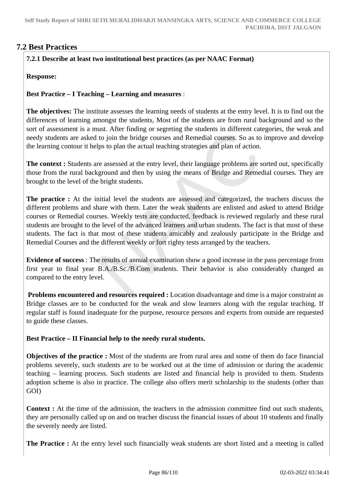# **7.2 Best Practices**

# **7.2.1 Describe at least two institutional best practices (as per NAAC Format)**

**Response:** 

**Best Practice – I Teaching – Learning and measures** :

**The objectives:** The institute assesses the learning needs of students at the entry level. It is to find out the differences of learning amongst the students, Most of the students are from rural background and so the sort of assessment is a must. After finding or segreting the students in different categories, the weak and needy students are asked to join the bridge courses and Remedial courses. So as to improve and develop the learning contour it helps to plan the actual teaching strategies and plan of action.

**The context :** Students are assessed at the entry level, their language problems are sorted out, specifically those from the rural background and then by using the means of Bridge and Remedial courses. They are brought to the level of the bright students.

**The practice :** At the initial level the students are assessed and categorized, the teachers discuss the different problems and share with them. Later the weak students are enlisted and asked to attend Bridge courses or Remedial courses. Weekly tests are conducted, feedback is reviewed regularly and these rural students are brought to the level of the advanced learners and urban students. The fact is that most of these students. The fact is that most of these students amicably and zealously participate in the Bridge and Remedial Courses and the different weekly or fort righty tests arranged by the teachers.

**Evidence of success** : The results of annual examination show a good increase in the pass percentage from first year to final year B.A./B.Sc./B.Com students. Their behavior is also considerably changed as compared to the entry level.

**Problems encountered and resources required :** Location disadvantage and time is a major constraint as Bridge classes are to be conducted for the weak and slow learners along with the regular teaching. If regular staff is found inadequate for the purpose, resource persons and experts from outside are requested to guide these classes.

**Best Practice – II Financial help to the needy rural students.**

**Objectives of the practice :** Most of the students are from rural area and some of them do face financial problems severely, such students are to be worked out at the time of admission or during the academic teaching – learning process. Such students are listed and financial help is provided to them. Students adoption scheme is also in practice. The college also offers merit scholarship to the students (other than GOI)

**Context**: At the time of the admission, the teachers in the admission committee find out such students, they are personally called up on and on teacher discuss the financial issues of about 10 students and finally the severely needy are listed.

The Practice : At the entry level such financially weak students are short listed and a meeting is called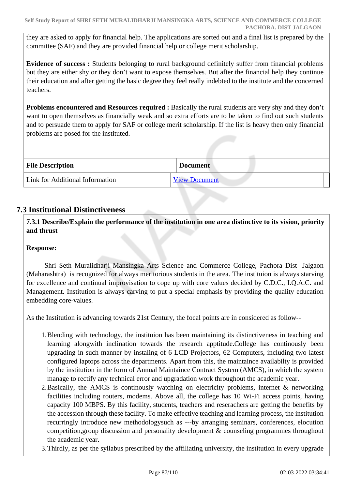they are asked to apply for financial help. The applications are sorted out and a final list is prepared by the committee (SAF) and they are provided financial help or college merit scholarship.

**Evidence of success :** Students belonging to rural background definitely suffer from financial problems but they are either shy or they don't want to expose themselves. But after the financial help they continue their education and after getting the basic degree they feel really indebted to the institute and the concerned teachers.

**Problems encountered and Resources required :** Basically the rural students are very shy and they don't want to open themselves as financially weak and so extra efforts are to be taken to find out such students and to persuade them to apply for SAF or college merit scholarship. If the list is heavy then only financial problems are posed for the instituted.

| <b>File Description</b>         | <b>Document</b>      |
|---------------------------------|----------------------|
| Link for Additional Information | <b>View Document</b> |

# **7.3 Institutional Distinctiveness**

 **7.3.1 Describe/Explain the performance of the institution in one area distinctive to its vision, priority and thrust**

## **Response:**

 Shri Seth Muralidharji Mansingka Arts Science and Commerce College, Pachora Dist- Jalgaon (Maharashtra) is recognized for always meritorious students in the area. The instituion is always starving for excellence and continual improvisation to cope up with core values decided by C.D.C., I.Q.A.C. and Management. Institution is always carving to put a special emphasis by providing the quality education embedding core-values.

As the Institution is advancing towards 21st Century, the focal points are in considered as follow--

- 1.Blending with technology, the instituion has been maintaining its distinctiveness in teaching and learning alongwith inclination towards the research apptitude.College has continously been upgrading in such manner by instaling of 6 LCD Projectors, 62 Computers, including two latest configured laptops across the departments. Apart from this, the maintaince availabilty is provided by the institution in the form of Annual Maintaince Contract System (AMCS), in which the system manage to rectify any technical error and upgradation work throughout the academic year.
- 2.Basically, the AMCS is continously watching on electricity problems, internet & networking facilities including routers, modems. Above all, the college has 10 Wi-Fi access points, having capacity 100 MBPS. By this facility, students, teachers and reserachers are getting the benefits by the accession through these facility. To make effective teaching and learning process, the institution recurringly introduce new methodologysuch as ---by arranging seminars, conferences, elocution competition,group discussion and personality development & counseling programmes throughout the academic year.
- 3.Thirdly, as per the syllabus prescribed by the affiliating university, the institution in every upgrade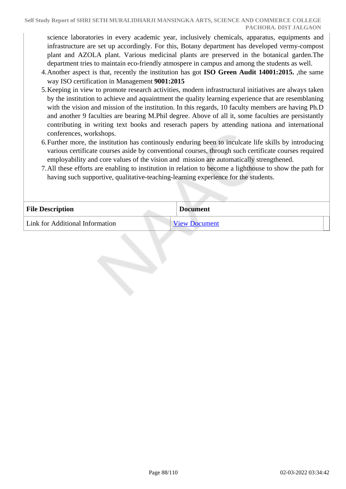science laboratories in every academic year, inclusively chemicals, apparatus, equipments and infrastructure are set up accordingly. For this, Botany department has developed vermy-compost plant and AZOLA plant. Various medicinal plants are preserved in the botanical garden.The department tries to maintain eco-friendly atmospere in campus and among the students as well.

- 4.Another aspect is that, recently the institution has got **ISO Green Audit 14001:2015.** ,the same way ISO certification in Management **9001:2015**
- 5.Keeping in view to promote research activities, modern infrastructural initiatives are always taken by the institution to achieve and aquaintment the quality learning experience that are resemblaning with the vision and mission of the institution. In this regards, 10 faculty members are having Ph.D and another 9 faculties are bearing M.Phil degree. Above of all it, some faculties are persistantly contributing in writing text books and reserach papers by attending nationa and international conferences, workshops.
- 6.Further more, the institution has continously enduring been to inculcate life skills by introducing various certificate courses aside by conventional courses, through such certificate courses required employability and core values of the vision and mission are automatically strengthened.
- 7.All these efforts are enabling to institution in relation to become a lighthouse to show the path for having such supportive, qualitative-teaching-learning experience for the students.

| <b>File Description</b>         | <b>Document</b>      |
|---------------------------------|----------------------|
| Link for Additional Information | <b>View Document</b> |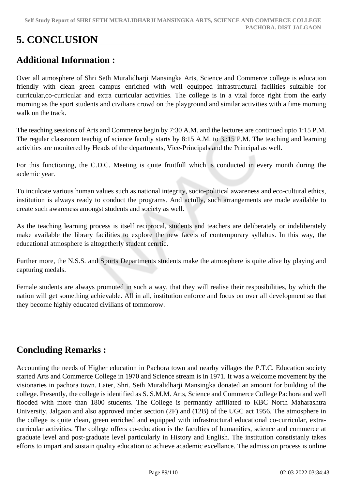# **5. CONCLUSION**

# **Additional Information :**

Over all atmosphere of Shri Seth Muralidharji Mansingka Arts, Science and Commerce college is education friendly with clean green campus enriched with well equipped infrastructural facilities suitalble for curricular,co-curricular and extra curricular activities. The college is in a vital force right from the early morning as the sport students and civilians crowd on the playground and similar activities with a fime morning walk on the track.

The teaching sessions of Arts and Commerce begin by 7:30 A.M. and the lectures are continued upto 1:15 P.M. The regular classroom teachig of science faculty starts by 8:15 A.M. to 3.:15 P.M. The teaching and learning activities are monitered by Heads of the departments, Vice-Principals and the Principal as well.

For this functioning, the C.D.C. Meeting is quite fruitfull which is conducted in every month during the acdemic year.

To inculcate various human values such as national integrity, socio-political awareness and eco-cultural ethics, institution is always ready to conduct the programs. And actully, such arrangements are made available to create such awareness amongst students and society as well.

As the teaching learning process is itself reciprocal, students and teachers are deliberately or indeliberately make available the library facilities to explore the new facets of contemporary syllabus. In this way, the educational atmosphere is altogetherly student cenrtic.

Further more, the N.S.S. and Sports Departments students make the atmosphere is quite alive by playing and capturing medals.

Female students are always promoted in such a way, that they will realise their resposibilities, by which the nation will get something achievable. All in all, institution enforce and focus on over all development so that they become highly educated civilians of tommorow.

# **Concluding Remarks :**

Accounting the needs of Higher education in Pachora town and nearby villages the P.T.C. Education society started Arts and Commerce College in 1970 and Science stream is in 1971. It was a welcome movement by the visionaries in pachora town. Later, Shri. Seth Muralidharji Mansingka donated an amount for building of the college. Presently, the college is identified as S. S.M.M. Arts, Science and Commerce College Pachora and well flooded with more than 1800 students. The College is permantly affiliated to KBC North Maharashtra University, Jalgaon and also approved under section (2F) and (12B) of the UGC act 1956. The atmosphere in the college is quite clean, green enriched and equipped with infrastructural educational co-curricular, extracurricular activities. The college offers co-education is the faculties of humanities, science and commerce at graduate level and post-graduate level particularly in History and English. The institution constistanly takes efforts to impart and sustain quality education to achieve academic excellance. The admission process is online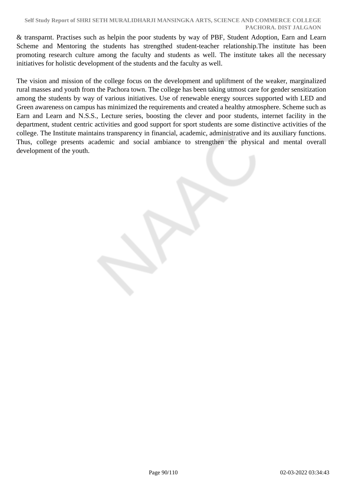#### **Self Study Report of SHRI SETH MURALIDHARJI MANSINGKA ARTS, SCIENCE AND COMMERCE COLLEGE PACHORA. DIST JALGAON**

& transparnt. Practises such as helpin the poor students by way of PBF, Student Adoption, Earn and Learn Scheme and Mentoring the students has strengthed student-teacher relationship. The institute has been promoting research culture among the faculty and students as well. The institute takes all the necessary initiatives for holistic development of the students and the faculty as well.

The vision and mission of the college focus on the development and upliftment of the weaker, marginalized rural masses and youth from the Pachora town. The college has been taking utmost care for gender sensitization among the students by way of various initiatives. Use of renewable energy sources supported with LED and Green awareness on campus has minimized the requirements and created a healthy atmosphere. Scheme such as Earn and Learn and N.S.S., Lecture series, boosting the clever and poor students, internet facility in the department, student centric activities and good support for sport students are some distinctive activities of the college. The Institute maintains transparency in financial, academic, administrative and its auxiliary functions. Thus, college presents academic and social ambiance to strengthen the physical and mental overall development of the youth.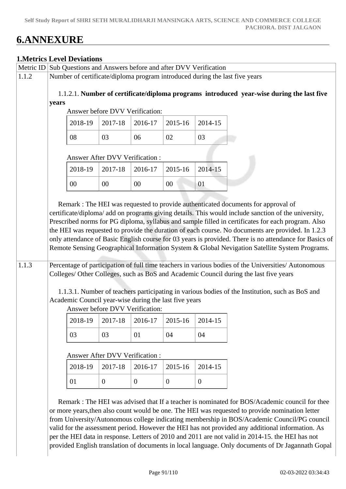# **6.ANNEXURE**

# **1.Metrics Level Deviations**

|       |                                                                                                    | <b>1. Metrics Level Deviations</b> | Metric ID Sub Questions and Answers before and after DVV Verification |                           |                           |                     |                                                                                                                                                                                                                                                                                                                                                                                                                                                                                                                                                                                                                                                                                                                       |  |  |
|-------|----------------------------------------------------------------------------------------------------|------------------------------------|-----------------------------------------------------------------------|---------------------------|---------------------------|---------------------|-----------------------------------------------------------------------------------------------------------------------------------------------------------------------------------------------------------------------------------------------------------------------------------------------------------------------------------------------------------------------------------------------------------------------------------------------------------------------------------------------------------------------------------------------------------------------------------------------------------------------------------------------------------------------------------------------------------------------|--|--|
| 1.1.2 |                                                                                                    |                                    |                                                                       |                           |                           |                     | Number of certificate/diploma program introduced during the last five years                                                                                                                                                                                                                                                                                                                                                                                                                                                                                                                                                                                                                                           |  |  |
|       |                                                                                                    |                                    |                                                                       |                           |                           |                     |                                                                                                                                                                                                                                                                                                                                                                                                                                                                                                                                                                                                                                                                                                                       |  |  |
|       | 1.1.2.1. Number of certificate/diploma programs introduced year-wise during the last five<br>years |                                    |                                                                       |                           |                           |                     |                                                                                                                                                                                                                                                                                                                                                                                                                                                                                                                                                                                                                                                                                                                       |  |  |
|       | Answer before DVV Verification:                                                                    |                                    |                                                                       |                           |                           |                     |                                                                                                                                                                                                                                                                                                                                                                                                                                                                                                                                                                                                                                                                                                                       |  |  |
|       |                                                                                                    | 2018-19                            | 2017-18                                                               | 2016-17                   | 2015-16                   | 2014-15             |                                                                                                                                                                                                                                                                                                                                                                                                                                                                                                                                                                                                                                                                                                                       |  |  |
|       |                                                                                                    | 08                                 | 03                                                                    | 06                        | 02                        | 03                  |                                                                                                                                                                                                                                                                                                                                                                                                                                                                                                                                                                                                                                                                                                                       |  |  |
|       |                                                                                                    |                                    | <b>Answer After DVV Verification:</b>                                 |                           |                           |                     |                                                                                                                                                                                                                                                                                                                                                                                                                                                                                                                                                                                                                                                                                                                       |  |  |
|       |                                                                                                    | 2018-19                            | 2017-18                                                               | 2016-17                   | 2015-16                   | 2014-15             |                                                                                                                                                                                                                                                                                                                                                                                                                                                                                                                                                                                                                                                                                                                       |  |  |
|       |                                                                                                    | $00\,$                             | $00\,$                                                                | 00                        | $00\,$                    | 01                  |                                                                                                                                                                                                                                                                                                                                                                                                                                                                                                                                                                                                                                                                                                                       |  |  |
| 1.1.3 |                                                                                                    |                                    | Academic Council year-wise during the last five years                 |                           |                           |                     | Prescribed norms for PG diploma, syllabus and sample filled in certificates for each program. Also<br>the HEI was requested to provide the duration of each course. No documents are provided. In 1.2.3<br>only attendance of Basic English course for 03 years is provided. There is no attendance for Basics of<br>Remote Sensing Geographical Information System & Global Nevigation Satellite System Programs.<br>Percentage of participation of full time teachers in various bodies of the Universities/ Autonomous<br>Colleges/ Other Colleges, such as BoS and Academic Council during the last five years<br>1.1.3.1. Number of teachers participating in various bodies of the Institution, such as BoS and |  |  |
|       |                                                                                                    |                                    | Answer before DVV Verification:<br>$2018-19$   2017-18   2016-17      |                           | $2015-16$ 2014-15         |                     |                                                                                                                                                                                                                                                                                                                                                                                                                                                                                                                                                                                                                                                                                                                       |  |  |
|       |                                                                                                    | 03                                 | 03                                                                    | 01                        | 04                        | 04                  |                                                                                                                                                                                                                                                                                                                                                                                                                                                                                                                                                                                                                                                                                                                       |  |  |
|       |                                                                                                    | 2018-19<br>01                      | <b>Answer After DVV Verification:</b><br>2017-18<br>$\boldsymbol{0}$  | 2016-17<br>$\overline{0}$ | 2015-16<br>$\overline{0}$ | 2014-15<br>$\theta$ | Remark : The HEI was advised that If a teacher is nominated for BOS/Academic council for thee                                                                                                                                                                                                                                                                                                                                                                                                                                                                                                                                                                                                                         |  |  |
|       |                                                                                                    |                                    |                                                                       |                           |                           |                     | or more years, then also count would be one. The HEI was requested to provide nomination letter<br>$f_{\text{COM}}$ University/ $\Delta$ utonomous college indicating membership in $ROS/\Delta$ cademic Council/PG council                                                                                                                                                                                                                                                                                                                                                                                                                                                                                           |  |  |

from University/Autonomous college indicating membership in BOS/Academic Council/PG council valid for the assessment period. However the HEI has not provided any additional information. As per the HEI data in response. Letters of 2010 and 2011 are not valid in 2014-15. the HEI has not provided English translation of documents in local language. Only documents of Dr Jagannath Gopal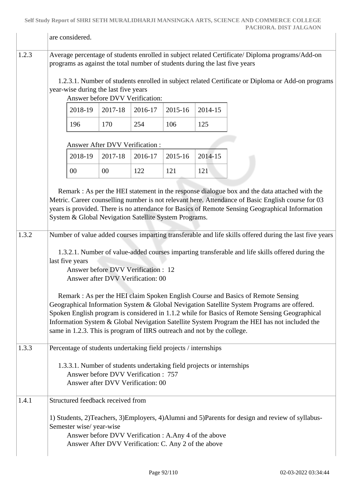|       | are considered.                                                                                                                                                                                                                                                                                                                                                                                                                                           |                                                                          |         |         |         |                                                                                                                                                                                                                                                                                                                                                                                                                                                                                                                      |  |  |  |
|-------|-----------------------------------------------------------------------------------------------------------------------------------------------------------------------------------------------------------------------------------------------------------------------------------------------------------------------------------------------------------------------------------------------------------------------------------------------------------|--------------------------------------------------------------------------|---------|---------|---------|----------------------------------------------------------------------------------------------------------------------------------------------------------------------------------------------------------------------------------------------------------------------------------------------------------------------------------------------------------------------------------------------------------------------------------------------------------------------------------------------------------------------|--|--|--|
| 1.2.3 | Average percentage of students enrolled in subject related Certificate/ Diploma programs/Add-on<br>programs as against the total number of students during the last five years                                                                                                                                                                                                                                                                            |                                                                          |         |         |         |                                                                                                                                                                                                                                                                                                                                                                                                                                                                                                                      |  |  |  |
|       | 1.2.3.1. Number of students enrolled in subject related Certificate or Diploma or Add-on programs<br>year-wise during the last five years<br>Answer before DVV Verification:                                                                                                                                                                                                                                                                              |                                                                          |         |         |         |                                                                                                                                                                                                                                                                                                                                                                                                                                                                                                                      |  |  |  |
|       | 2018-19<br>2017-18<br>2016-17<br>2015-16<br>2014-15                                                                                                                                                                                                                                                                                                                                                                                                       |                                                                          |         |         |         |                                                                                                                                                                                                                                                                                                                                                                                                                                                                                                                      |  |  |  |
|       | 196                                                                                                                                                                                                                                                                                                                                                                                                                                                       | 170                                                                      | 254     | 106     | 125     |                                                                                                                                                                                                                                                                                                                                                                                                                                                                                                                      |  |  |  |
|       |                                                                                                                                                                                                                                                                                                                                                                                                                                                           | Answer After DVV Verification:                                           |         |         |         |                                                                                                                                                                                                                                                                                                                                                                                                                                                                                                                      |  |  |  |
|       | 2018-19                                                                                                                                                                                                                                                                                                                                                                                                                                                   | 2017-18                                                                  | 2016-17 | 2015-16 | 2014-15 |                                                                                                                                                                                                                                                                                                                                                                                                                                                                                                                      |  |  |  |
|       | 00                                                                                                                                                                                                                                                                                                                                                                                                                                                        | 00                                                                       | 122     | 121     | 121     |                                                                                                                                                                                                                                                                                                                                                                                                                                                                                                                      |  |  |  |
| 1.3.2 | System & Global Nevigation Satellite System Programs.<br>last five years                                                                                                                                                                                                                                                                                                                                                                                  | Answer before DVV Verification : 12<br>Answer after DVV Verification: 00 |         |         |         | Remark : As per the HEI statement in the response dialogue box and the data attached with the<br>Metric. Career counselling number is not relevant here. Attendance of Basic English course for 03<br>years is provided. There is no attendance for Basics of Remote Sensing Geographical Information<br>Number of value added courses imparting transferable and life skills offered during the last five years<br>1.3.2.1. Number of value-added courses imparting transferable and life skills offered during the |  |  |  |
|       | Remark: As per the HEI claim Spoken English Course and Basics of Remote Sensing<br>Geographical Information System & Global Nevigation Satellite System Programs are offered.<br>Spoken English program is considered in 1.1.2 while for Basics of Remote Sensing Geographical<br>Information System & Global Nevigation Satellite System Program the HEI has not included the<br>same in 1.2.3. This is program of IIRS outreach and not by the college. |                                                                          |         |         |         |                                                                                                                                                                                                                                                                                                                                                                                                                                                                                                                      |  |  |  |
| 1.3.3 | Percentage of students undertaking field projects / internships                                                                                                                                                                                                                                                                                                                                                                                           |                                                                          |         |         |         |                                                                                                                                                                                                                                                                                                                                                                                                                                                                                                                      |  |  |  |
|       | 1.3.3.1. Number of students undertaking field projects or internships<br>Answer before DVV Verification : 757<br>Answer after DVV Verification: 00                                                                                                                                                                                                                                                                                                        |                                                                          |         |         |         |                                                                                                                                                                                                                                                                                                                                                                                                                                                                                                                      |  |  |  |
| 1.4.1 | Structured feedback received from                                                                                                                                                                                                                                                                                                                                                                                                                         |                                                                          |         |         |         |                                                                                                                                                                                                                                                                                                                                                                                                                                                                                                                      |  |  |  |
|       | 1) Students, 2)Teachers, 3)Employers, 4)Alumni and 5)Parents for design and review of syllabus-<br>Semester wise/year-wise<br>Answer before DVV Verification : A.Any 4 of the above<br>Answer After DVV Verification: C. Any 2 of the above                                                                                                                                                                                                               |                                                                          |         |         |         |                                                                                                                                                                                                                                                                                                                                                                                                                                                                                                                      |  |  |  |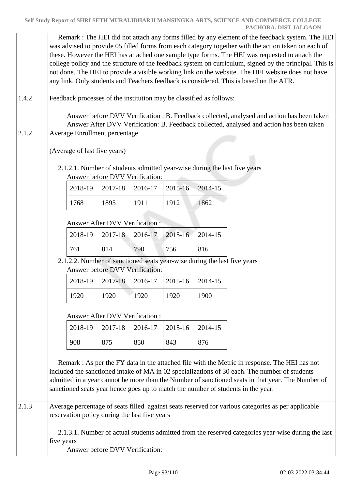Remark : The HEI did not attach any forms filled by any element of the feedback system. The HEI was advised to provide 05 filled forms from each category together with the action taken on each of these. However the HEI has attached one sample type forms. The HEI was requested to attach the college policy and the structure of the feedback system on curriculum, signed by the principal. This is not done. The HEI to provide a visible working link on the website. The HEI website does not have any link. Only students and Teachers feedback is considered. This is based on the ATR. 1.4.2 Feedback processes of the institution may be classified as follows: Answer before DVV Verification : B. Feedback collected, analysed and action has been taken Answer After DVV Verification: B. Feedback collected, analysed and action has been taken 2.1.2 Average Enrollment percentage (Average of last five years) 2.1.2.1. Number of students admitted year-wise during the last five years Answer before DVV Verification: 2018-19 2017-18 2016-17 2015-16 2014-15 1768 1895 1911 1912 1862 Answer After DVV Verification : 2018-19 2017-18 2016-17 2015-16 2014-15 761 814 790 756 816 2.1.2.2. Number of sanctioned seats year-wise during the last five years Answer before DVV Verification: 2018-19 2017-18 2016-17 2015-16 2014-15 1920 | 1920 | 1920 | 1900 Answer After DVV Verification : 2018-19 2017-18 2016-17 2015-16 2014-15 908 875 850 843 876 Remark : As per the FY data in the attached file with the Metric in response. The HEI has not included the sanctioned intake of MA in 02 specializations of 30 each. The number of students admitted in a year cannot be more than the Number of sanctioned seats in that year. The Number of sanctioned seats year hence goes up to match the number of students in the year. 2.1.3 Average percentage of seats filled against seats reserved for various categories as per applicable reservation policy during the last five years 2.1.3.1. Number of actual students admitted from the reserved categories year-wise during the last five years Answer before DVV Verification: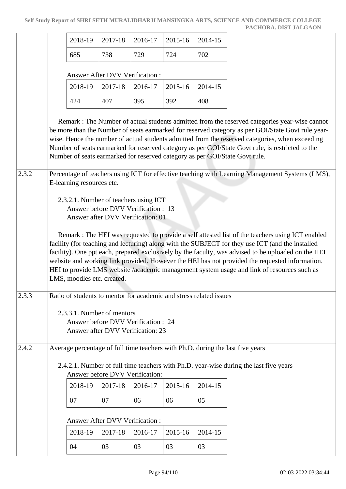|     |     |     | $2018-19$   2017-18   2016-17   2015-16   2014-15 |     |
|-----|-----|-----|---------------------------------------------------|-----|
| 685 | 738 | 729 | 724                                               | 702 |

#### Answer After DVV Verification :

|     | $2018-19$   2017-18   2016-17   2015-16   2014-15 |     |     |     |
|-----|---------------------------------------------------|-----|-----|-----|
| 424 | 407                                               | 395 | 392 | 408 |

 Remark : The Number of actual students admitted from the reserved categories year-wise cannot be more than the Number of seats earmarked for reserved category as per GOI/State Govt rule yearwise. Hence the number of actual students admitted from the reserved categories, when exceeding Number of seats earmarked for reserved category as per GOI/State Govt rule, is restricted to the Number of seats earmarked for reserved category as per GOI/State Govt rule.

2.3.2 Percentage of teachers using ICT for effective teaching with Learning Management Systems (LMS), E-learning resources etc.

> 2.3.2.1. Number of teachers using ICT Answer before DVV Verification : 13 Answer after DVV Verification: 01

 Remark : The HEI was requested to provide a self attested list of the teachers using ICT enabled facility (for teaching and lecturing) along with the SUBJECT for they use ICT (and the installed facility). One ppt each, prepared exclusively by the faculty, was advised to be uploaded on the HEI website and working link provided. However the HEI has not provided the requested information. HEI to provide LMS website /academic management system usage and link of resources such as LMS, moodles etc. created.

# 2.3.3 Ratio of students to mentor for academic and stress related issues

 2.3.3.1. Number of mentors Answer before DVV Verification : 24 Answer after DVV Verification: 23

2.4.2 Average percentage of full time teachers with Ph.D. during the last five years

# 2.4.2.1. Number of full time teachers with Ph.D. year-wise during the last five years Answer before DVV Verification:

|  | $2018-19$   2017-18   2016-17   2015-16   2014-15 |    |  |
|--|---------------------------------------------------|----|--|
|  | 06                                                | 06 |  |

## Answer After DVV Verification :

|    |    | $2018-19$   2017-18   2016-17   2015-16   2014-15 |    |    |
|----|----|---------------------------------------------------|----|----|
| 04 | 03 | 03                                                | 03 | 03 |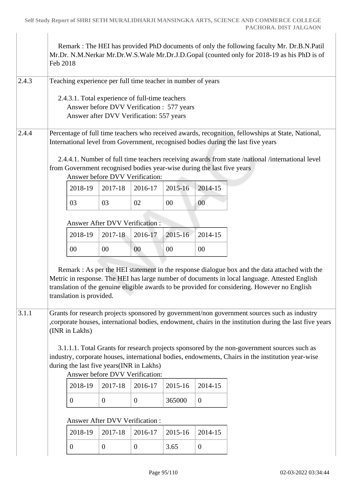$\begin{array}{c} \hline \end{array}$ 

 $\begin{array}{c} \hline \end{array}$ 

|       | Feb 2018                                                                                                                                                                                                                                                                         |                                                                                                                                                                                                                                                                                                                             |                |                |         |                | Remark : The HEI has provided PhD documents of only the following faculty Mr. Dr.B.N.Patil<br>Mr.Dr. N.M.Nerkar Mr.Dr.W.S.Wale Mr.Dr.J.D.Gopal (counted only for 2018-19 as his PhD is of                 |  |  |
|-------|----------------------------------------------------------------------------------------------------------------------------------------------------------------------------------------------------------------------------------------------------------------------------------|-----------------------------------------------------------------------------------------------------------------------------------------------------------------------------------------------------------------------------------------------------------------------------------------------------------------------------|----------------|----------------|---------|----------------|-----------------------------------------------------------------------------------------------------------------------------------------------------------------------------------------------------------|--|--|
| 2.4.3 | Teaching experience per full time teacher in number of years                                                                                                                                                                                                                     |                                                                                                                                                                                                                                                                                                                             |                |                |         |                |                                                                                                                                                                                                           |  |  |
|       | 2.4.3.1. Total experience of full-time teachers<br>Answer before DVV Verification : 577 years<br>Answer after DVV Verification: 557 years                                                                                                                                        |                                                                                                                                                                                                                                                                                                                             |                |                |         |                |                                                                                                                                                                                                           |  |  |
| 2.4.4 | Percentage of full time teachers who received awards, recognition, fellowships at State, National,<br>International level from Government, recognised bodies during the last five years                                                                                          |                                                                                                                                                                                                                                                                                                                             |                |                |         |                |                                                                                                                                                                                                           |  |  |
|       | 2.4.4.1. Number of full time teachers receiving awards from state /national /international level<br>from Government recognised bodies year-wise during the last five years<br>Answer before DVV Verification:                                                                    |                                                                                                                                                                                                                                                                                                                             |                |                |         |                |                                                                                                                                                                                                           |  |  |
|       |                                                                                                                                                                                                                                                                                  | 2018-19                                                                                                                                                                                                                                                                                                                     | 2017-18        | 2016-17        | 2015-16 | 2014-15        |                                                                                                                                                                                                           |  |  |
|       |                                                                                                                                                                                                                                                                                  | 03                                                                                                                                                                                                                                                                                                                          | 03             | 02             | 00      | $00\,$         |                                                                                                                                                                                                           |  |  |
|       |                                                                                                                                                                                                                                                                                  | Answer After DVV Verification:                                                                                                                                                                                                                                                                                              |                |                |         |                |                                                                                                                                                                                                           |  |  |
|       |                                                                                                                                                                                                                                                                                  | 2018-19                                                                                                                                                                                                                                                                                                                     | 2017-18        | 2016-17        | 2015-16 | 2014-15        |                                                                                                                                                                                                           |  |  |
|       |                                                                                                                                                                                                                                                                                  | $00\,$                                                                                                                                                                                                                                                                                                                      | 00             | 00             | 00      | $00\,$         |                                                                                                                                                                                                           |  |  |
|       |                                                                                                                                                                                                                                                                                  | Remark : As per the HEI statement in the response dialogue box and the data attached with the<br>Metric in response. The HEI has large number of documents in local language. Attested English<br>translation of the genuine eligible awards to be provided for considering. However no English<br>translation is provided. |                |                |         |                |                                                                                                                                                                                                           |  |  |
| 3.1.1 |                                                                                                                                                                                                                                                                                  | (INR in Lakhs)                                                                                                                                                                                                                                                                                                              |                |                |         |                | Grants for research projects sponsored by government/non government sources such as industry<br>, corporate houses, international bodies, endowment, chairs in the institution during the last five years |  |  |
|       | 3.1.1.1. Total Grants for research projects sponsored by the non-government sources such as<br>industry, corporate houses, international bodies, endowments, Chairs in the institution year-wise<br>during the last five years (INR in Lakhs)<br>Answer before DVV Verification: |                                                                                                                                                                                                                                                                                                                             |                |                |         |                |                                                                                                                                                                                                           |  |  |
|       |                                                                                                                                                                                                                                                                                  | 2018-19                                                                                                                                                                                                                                                                                                                     | 2017-18        | 2016-17        | 2015-16 | 2014-15        |                                                                                                                                                                                                           |  |  |
|       |                                                                                                                                                                                                                                                                                  | $\overline{0}$                                                                                                                                                                                                                                                                                                              | $\overline{0}$ | $\mathbf{0}$   | 365000  | $\mathbf{0}$   |                                                                                                                                                                                                           |  |  |
|       |                                                                                                                                                                                                                                                                                  | Answer After DVV Verification:                                                                                                                                                                                                                                                                                              |                |                |         |                |                                                                                                                                                                                                           |  |  |
|       |                                                                                                                                                                                                                                                                                  | 2018-19                                                                                                                                                                                                                                                                                                                     | 2017-18        | 2016-17        | 2015-16 | 2014-15        |                                                                                                                                                                                                           |  |  |
|       |                                                                                                                                                                                                                                                                                  | $\overline{0}$                                                                                                                                                                                                                                                                                                              | $\overline{0}$ | $\overline{0}$ | 3.65    | $\overline{0}$ |                                                                                                                                                                                                           |  |  |
|       |                                                                                                                                                                                                                                                                                  |                                                                                                                                                                                                                                                                                                                             |                |                |         |                |                                                                                                                                                                                                           |  |  |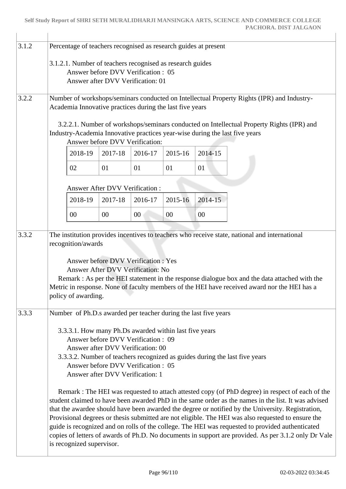| 3.1.2 | Percentage of teachers recognised as research guides at present         |                                                                        |                                       |                                                                                              |         |         |                                                                                                                                                                                                         |  |  |  |
|-------|-------------------------------------------------------------------------|------------------------------------------------------------------------|---------------------------------------|----------------------------------------------------------------------------------------------|---------|---------|---------------------------------------------------------------------------------------------------------------------------------------------------------------------------------------------------------|--|--|--|
|       | 3.1.2.1. Number of teachers recognised as research guides               |                                                                        |                                       |                                                                                              |         |         |                                                                                                                                                                                                         |  |  |  |
|       | Answer before DVV Verification: 05<br>Answer after DVV Verification: 01 |                                                                        |                                       |                                                                                              |         |         |                                                                                                                                                                                                         |  |  |  |
|       |                                                                         |                                                                        |                                       |                                                                                              |         |         |                                                                                                                                                                                                         |  |  |  |
| 3.2.2 |                                                                         |                                                                        |                                       | Academia Innovative practices during the last five years                                     |         |         | Number of workshops/seminars conducted on Intellectual Property Rights (IPR) and Industry-                                                                                                              |  |  |  |
|       |                                                                         |                                                                        |                                       |                                                                                              |         |         |                                                                                                                                                                                                         |  |  |  |
|       |                                                                         |                                                                        |                                       |                                                                                              |         |         | 3.2.2.1. Number of workshops/seminars conducted on Intellectual Property Rights (IPR) and<br>Industry-Academia Innovative practices year-wise during the last five years                                |  |  |  |
|       |                                                                         |                                                                        |                                       | Answer before DVV Verification:                                                              |         |         |                                                                                                                                                                                                         |  |  |  |
|       |                                                                         | 2018-19                                                                | 2017-18                               | 2016-17                                                                                      | 2015-16 | 2014-15 |                                                                                                                                                                                                         |  |  |  |
|       |                                                                         | 02                                                                     | 01                                    | 01                                                                                           | 01      | 01      |                                                                                                                                                                                                         |  |  |  |
|       |                                                                         |                                                                        | <b>Answer After DVV Verification:</b> |                                                                                              |         |         |                                                                                                                                                                                                         |  |  |  |
|       |                                                                         | 2018-19                                                                | 2017-18                               | 2016-17                                                                                      | 2015-16 | 2014-15 |                                                                                                                                                                                                         |  |  |  |
|       |                                                                         | 00                                                                     | 00                                    | 00                                                                                           | 00      | 00      |                                                                                                                                                                                                         |  |  |  |
|       |                                                                         |                                                                        |                                       |                                                                                              |         |         |                                                                                                                                                                                                         |  |  |  |
| 3.3.2 |                                                                         | recognition/awards                                                     |                                       |                                                                                              |         |         | The institution provides incentives to teachers who receive state, national and international                                                                                                           |  |  |  |
|       |                                                                         |                                                                        |                                       |                                                                                              |         |         |                                                                                                                                                                                                         |  |  |  |
|       |                                                                         |                                                                        |                                       | <b>Answer before DVV Verification: Yes</b><br>Answer After DVV Verification: No              |         |         |                                                                                                                                                                                                         |  |  |  |
|       |                                                                         |                                                                        |                                       |                                                                                              |         |         | Remark : As per the HEI statement in the response dialogue box and the data attached with the                                                                                                           |  |  |  |
|       |                                                                         | policy of awarding.                                                    |                                       |                                                                                              |         |         | Metric in response. None of faculty members of the HEI have received award nor the HEI has a                                                                                                            |  |  |  |
|       |                                                                         |                                                                        |                                       |                                                                                              |         |         |                                                                                                                                                                                                         |  |  |  |
| 3.3.3 |                                                                         |                                                                        |                                       | Number of Ph.D.s awarded per teacher during the last five years                              |         |         |                                                                                                                                                                                                         |  |  |  |
|       |                                                                         |                                                                        |                                       | 3.3.3.1. How many Ph.Ds awarded within last five years<br>Answer before DVV Verification: 09 |         |         |                                                                                                                                                                                                         |  |  |  |
|       |                                                                         |                                                                        |                                       | Answer after DVV Verification: 00                                                            |         |         |                                                                                                                                                                                                         |  |  |  |
|       |                                                                         |                                                                        |                                       |                                                                                              |         |         | 3.3.3.2. Number of teachers recognized as guides during the last five years                                                                                                                             |  |  |  |
|       |                                                                         | Answer before DVV Verification: 05<br>Answer after DVV Verification: 1 |                                       |                                                                                              |         |         |                                                                                                                                                                                                         |  |  |  |
|       |                                                                         |                                                                        |                                       |                                                                                              |         |         | Remark : The HEI was requested to attach attested copy (of PhD degree) in respect of each of the                                                                                                        |  |  |  |
|       |                                                                         |                                                                        |                                       |                                                                                              |         |         | student claimed to have been awarded PhD in the same order as the names in the list. It was advised                                                                                                     |  |  |  |
|       |                                                                         |                                                                        |                                       |                                                                                              |         |         | that the awardee should have been awarded the degree or notified by the University. Registration,<br>Provisional degrees or thesis submitted are not eligible. The HEI was also requested to ensure the |  |  |  |
|       |                                                                         |                                                                        |                                       |                                                                                              |         |         | guide is recognized and on rolls of the college. The HEI was requested to provided authenticated                                                                                                        |  |  |  |
|       |                                                                         | is recognized supervisor.                                              |                                       |                                                                                              |         |         | copies of letters of awards of Ph.D. No documents in support are provided. As per 3.1.2 only Dr Vale                                                                                                    |  |  |  |
|       |                                                                         |                                                                        |                                       |                                                                                              |         |         |                                                                                                                                                                                                         |  |  |  |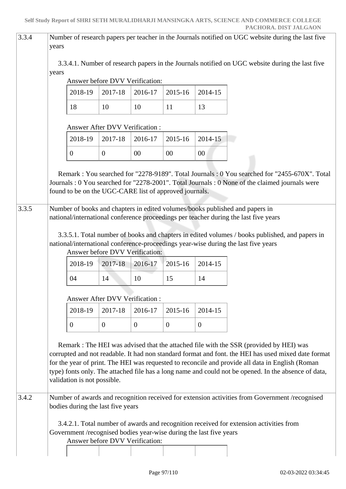| 3.3.4 | years | Number of research papers per teacher in the Journals notified on UGC website during the last five |                                       |                |                |                |                                                                                                                                                                                                                                                                                                                                                                                                           |  |  |
|-------|-------|----------------------------------------------------------------------------------------------------|---------------------------------------|----------------|----------------|----------------|-----------------------------------------------------------------------------------------------------------------------------------------------------------------------------------------------------------------------------------------------------------------------------------------------------------------------------------------------------------------------------------------------------------|--|--|
|       | years |                                                                                                    |                                       |                |                |                | 3.3.4.1. Number of research papers in the Journals notified on UGC website during the last five                                                                                                                                                                                                                                                                                                           |  |  |
|       |       |                                                                                                    | Answer before DVV Verification:       |                |                |                |                                                                                                                                                                                                                                                                                                                                                                                                           |  |  |
|       |       | 2018-19                                                                                            | 2017-18                               | 2016-17        | 2015-16        | 2014-15        |                                                                                                                                                                                                                                                                                                                                                                                                           |  |  |
|       |       | 18                                                                                                 | 10                                    | 10             | 11             | 13             |                                                                                                                                                                                                                                                                                                                                                                                                           |  |  |
|       |       |                                                                                                    | <b>Answer After DVV Verification:</b> |                |                |                |                                                                                                                                                                                                                                                                                                                                                                                                           |  |  |
|       |       | 2018-19                                                                                            | 2017-18                               | 2016-17        | 2015-16        | 2014-15        |                                                                                                                                                                                                                                                                                                                                                                                                           |  |  |
|       |       | $\overline{0}$                                                                                     | $\mathbf{0}$                          | 00             | 00             | 00             |                                                                                                                                                                                                                                                                                                                                                                                                           |  |  |
|       |       | found to be on the UGC-CARE list of approved journals.                                             |                                       |                |                |                | Remark: You searched for "2278-9189". Total Journals: 0 You searched for "2455-670X". Total<br>Journals : 0 You searched for "2278-2001". Total Journals : 0 None of the claimed journals were                                                                                                                                                                                                            |  |  |
| 3.3.5 |       |                                                                                                    |                                       |                |                |                | Number of books and chapters in edited volumes/books published and papers in<br>national/international conference proceedings per teacher during the last five years                                                                                                                                                                                                                                      |  |  |
|       |       |                                                                                                    |                                       |                |                |                |                                                                                                                                                                                                                                                                                                                                                                                                           |  |  |
|       |       |                                                                                                    |                                       |                |                |                | 3.3.5.1. Total number of books and chapters in edited volumes / books published, and papers in<br>national/international conference-proceedings year-wise during the last five years                                                                                                                                                                                                                      |  |  |
|       |       |                                                                                                    | Answer before DVV Verification:       |                |                |                |                                                                                                                                                                                                                                                                                                                                                                                                           |  |  |
|       |       | 2018-19                                                                                            | 2017-18                               | 2016-17        | 2015-16        | 2014-15        |                                                                                                                                                                                                                                                                                                                                                                                                           |  |  |
|       |       | 04                                                                                                 | 14                                    | 10             | 15             | 14             |                                                                                                                                                                                                                                                                                                                                                                                                           |  |  |
|       |       |                                                                                                    | <b>Answer After DVV Verification:</b> |                |                |                |                                                                                                                                                                                                                                                                                                                                                                                                           |  |  |
|       |       | 2018-19                                                                                            | 2017-18                               | 2016-17        | 2015-16        | 2014-15        |                                                                                                                                                                                                                                                                                                                                                                                                           |  |  |
|       |       | $\boldsymbol{0}$                                                                                   | $\overline{0}$                        | $\overline{0}$ | $\overline{0}$ | $\overline{0}$ |                                                                                                                                                                                                                                                                                                                                                                                                           |  |  |
|       |       | validation is not possible.                                                                        |                                       |                |                |                | Remark : The HEI was advised that the attached file with the SSR (provided by HEI) was<br>corrupted and not readable. It had non standard format and font. the HEI has used mixed date format<br>for the year of print. The HEI was requested to reconcile and provide all data in English (Roman<br>type) fonts only. The attached file has a long name and could not be opened. In the absence of data, |  |  |
| 3.4.2 |       | bodies during the last five years                                                                  |                                       |                |                |                | Number of awards and recognition received for extension activities from Government /recognised                                                                                                                                                                                                                                                                                                            |  |  |
|       |       | Government /recognised bodies year-wise during the last five years                                 |                                       |                |                |                | 3.4.2.1. Total number of awards and recognition received for extension activities from                                                                                                                                                                                                                                                                                                                    |  |  |
|       |       |                                                                                                    | Answer before DVV Verification:       |                |                |                |                                                                                                                                                                                                                                                                                                                                                                                                           |  |  |
|       |       |                                                                                                    |                                       |                |                |                |                                                                                                                                                                                                                                                                                                                                                                                                           |  |  |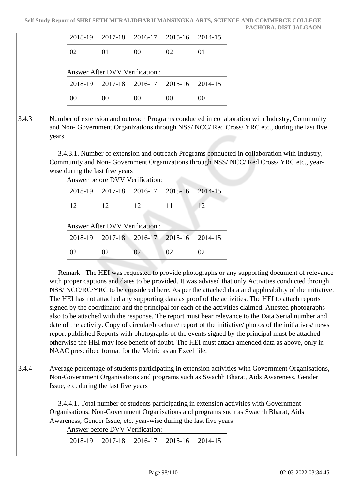|       |       | 2018-19                                                                                                                                         | 2017-18 | 2016-17 | 2015-16 | 2014-15 |                                                                                                                                                                                                                                                                                                                                                                                                                                                                                                                                                                                                                                                                                                                                                                                                                                                                                                                                                        |
|-------|-------|-------------------------------------------------------------------------------------------------------------------------------------------------|---------|---------|---------|---------|--------------------------------------------------------------------------------------------------------------------------------------------------------------------------------------------------------------------------------------------------------------------------------------------------------------------------------------------------------------------------------------------------------------------------------------------------------------------------------------------------------------------------------------------------------------------------------------------------------------------------------------------------------------------------------------------------------------------------------------------------------------------------------------------------------------------------------------------------------------------------------------------------------------------------------------------------------|
|       |       | 02                                                                                                                                              | 01      | $00\,$  | 02      | 01      |                                                                                                                                                                                                                                                                                                                                                                                                                                                                                                                                                                                                                                                                                                                                                                                                                                                                                                                                                        |
|       |       | <b>Answer After DVV Verification:</b>                                                                                                           |         |         |         |         |                                                                                                                                                                                                                                                                                                                                                                                                                                                                                                                                                                                                                                                                                                                                                                                                                                                                                                                                                        |
|       |       | 2018-19                                                                                                                                         | 2017-18 | 2016-17 | 2015-16 | 2014-15 |                                                                                                                                                                                                                                                                                                                                                                                                                                                                                                                                                                                                                                                                                                                                                                                                                                                                                                                                                        |
|       |       | $00\,$                                                                                                                                          | $00\,$  | $00\,$  | $00\,$  | $00\,$  |                                                                                                                                                                                                                                                                                                                                                                                                                                                                                                                                                                                                                                                                                                                                                                                                                                                                                                                                                        |
|       |       |                                                                                                                                                 |         |         |         |         |                                                                                                                                                                                                                                                                                                                                                                                                                                                                                                                                                                                                                                                                                                                                                                                                                                                                                                                                                        |
| 3.4.3 | years |                                                                                                                                                 |         |         |         |         | Number of extension and outreach Programs conducted in collaboration with Industry, Community<br>and Non-Government Organizations through NSS/NCC/Red Cross/YRC etc., during the last five                                                                                                                                                                                                                                                                                                                                                                                                                                                                                                                                                                                                                                                                                                                                                             |
|       |       | wise during the last five years<br>Answer before DVV Verification:                                                                              |         |         |         |         | 3.4.3.1. Number of extension and outreach Programs conducted in collaboration with Industry,<br>Community and Non-Government Organizations through NSS/ NCC/Red Cross/ YRC etc., year-                                                                                                                                                                                                                                                                                                                                                                                                                                                                                                                                                                                                                                                                                                                                                                 |
|       |       | 2018-19                                                                                                                                         | 2017-18 | 2016-17 | 2015-16 | 2014-15 |                                                                                                                                                                                                                                                                                                                                                                                                                                                                                                                                                                                                                                                                                                                                                                                                                                                                                                                                                        |
|       |       | 12                                                                                                                                              | 12      | 12      | 11      | 12      |                                                                                                                                                                                                                                                                                                                                                                                                                                                                                                                                                                                                                                                                                                                                                                                                                                                                                                                                                        |
|       |       | <b>Answer After DVV Verification:</b>                                                                                                           |         |         |         |         |                                                                                                                                                                                                                                                                                                                                                                                                                                                                                                                                                                                                                                                                                                                                                                                                                                                                                                                                                        |
|       |       | 2018-19                                                                                                                                         | 2017-18 | 2016-17 | 2015-16 | 2014-15 |                                                                                                                                                                                                                                                                                                                                                                                                                                                                                                                                                                                                                                                                                                                                                                                                                                                                                                                                                        |
|       |       | 02                                                                                                                                              | 02      | 02      | 02      | 02      |                                                                                                                                                                                                                                                                                                                                                                                                                                                                                                                                                                                                                                                                                                                                                                                                                                                                                                                                                        |
|       |       | NAAC prescribed format for the Metric as an Excel file.                                                                                         |         |         |         |         | Remark : The HEI was requested to provide photographs or any supporting document of relevance<br>with proper captions and dates to be provided. It was advised that only Activities conducted through<br>NSS/NCC/RC/YRC to be considered here. As per the attached data and applicability of the initiative.<br>The HEI has not attached any supporting data as proof of the activities. The HEI to attach reports<br>signed by the coordinator and the principal for each of the activities claimed. Attested photographs<br>also to be attached with the response. The report must bear relevance to the Data Serial number and<br>date of the activity. Copy of circular/brochure/ report of the initiative/ photos of the initiatives/ news<br>report published Reports with photographs of the events signed by the principal must be attached<br>otherwise the HEI may lose benefit of doubt. The HEI must attach amended data as above, only in |
| 3.4.4 |       | Issue, etc. during the last five years<br>Awareness, Gender Issue, etc. year-wise during the last five years<br>Answer before DVV Verification: |         |         |         |         | Average percentage of students participating in extension activities with Government Organisations,<br>Non-Government Organisations and programs such as Swachh Bharat, Aids Awareness, Gender<br>3.4.4.1. Total number of students participating in extension activities with Government<br>Organisations, Non-Government Organisations and programs such as Swachh Bharat, Aids                                                                                                                                                                                                                                                                                                                                                                                                                                                                                                                                                                      |
|       |       | 2018-19                                                                                                                                         | 2017-18 | 2016-17 | 2015-16 | 2014-15 |                                                                                                                                                                                                                                                                                                                                                                                                                                                                                                                                                                                                                                                                                                                                                                                                                                                                                                                                                        |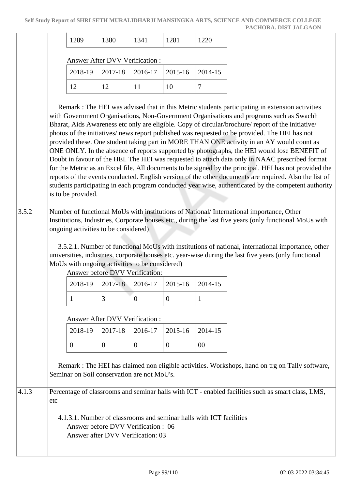| ر ن سه | $\Omega$<br>1000 | ~ |  |  |
|--------|------------------|---|--|--|
|--------|------------------|---|--|--|

#### Answer After DVV Verification :

|  | $2018-19$   2017-18   2016-17   2015-16   2014-15 |    |  |
|--|---------------------------------------------------|----|--|
|  |                                                   | 10 |  |

 Remark : The HEI was advised that in this Metric students participating in extension activities with Government Organisations, Non-Government Organisations and programs such as Swachh Bharat, Aids Awareness etc only are eligible. Copy of circular/brochure/ report of the initiative/ photos of the initiatives/ news report published was requested to be provided. The HEI has not provided these. One student taking part in MORE THAN ONE activity in an AY would count as ONE ONLY. In the absence of reports supported by photographs, the HEI would lose BENEFIT of Doubt in favour of the HEI. The HEI was requested to attach data only in NAAC prescribed format for the Metric as an Excel file. All documents to be signed by the principal. HEI has not provided the reports of the events conducted. English version of the other documents are required. Also the list of students participating in each program conducted year wise, authenticated by the competent authority is to be provided.

# 3.5.2 Number of functional MoUs with institutions of National/ International importance, Other Institutions, Industries, Corporate houses etc., during the last five years (only functional MoUs with ongoing activities to be considered)

 3.5.2.1. Number of functional MoUs with institutions of national, international importance, other universities, industries, corporate houses etc. year-wise during the last five years (only functional MoUs with ongoing activities to be considered)

Answer before DVV Verification:

| $2018-19$   2017-18   2016-17   2015-16   2014-15 |  |  |
|---------------------------------------------------|--|--|
|                                                   |  |  |

Answer After DVV Verification :

|  | $2018-19$ $2017-18$ $2016-17$ $2015-16$ $2014-15$ |    |
|--|---------------------------------------------------|----|
|  |                                                   | 00 |

 Remark : The HEI has claimed non eligible activities. Workshops, hand on trg on Tally software, Seminar on Soil conservation are not MoU's.

4.1.3 Percentage of classrooms and seminar halls with ICT - enabled facilities such as smart class, LMS, etc

> 4.1.3.1. Number of classrooms and seminar halls with ICT facilities Answer before DVV Verification : 06 Answer after DVV Verification: 03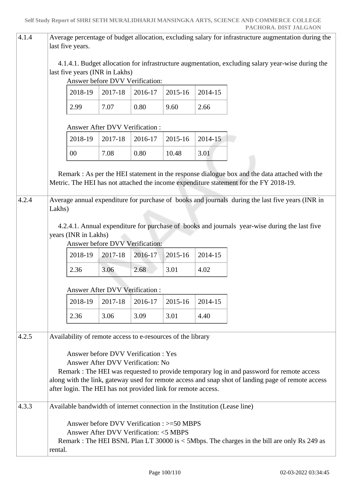| 4.1.4 | Average percentage of budget allocation, excluding salary for infrastructure augmentation during the<br>last five years. |                                                                                      |         |         |         |                                                                                                                                                                                                 |  |  |  |
|-------|--------------------------------------------------------------------------------------------------------------------------|--------------------------------------------------------------------------------------|---------|---------|---------|-------------------------------------------------------------------------------------------------------------------------------------------------------------------------------------------------|--|--|--|
|       | last five years (INR in Lakhs)                                                                                           | Answer before DVV Verification:                                                      |         |         |         | 4.1.4.1. Budget allocation for infrastructure augmentation, excluding salary year-wise during the                                                                                               |  |  |  |
|       | 2018-19                                                                                                                  | 2017-18                                                                              | 2016-17 | 2015-16 | 2014-15 |                                                                                                                                                                                                 |  |  |  |
|       | 2.99                                                                                                                     | 7.07                                                                                 | 0.80    | 9.60    | 2.66    |                                                                                                                                                                                                 |  |  |  |
|       |                                                                                                                          | Answer After DVV Verification:                                                       |         |         |         |                                                                                                                                                                                                 |  |  |  |
|       | 2018-19                                                                                                                  | 2017-18                                                                              | 2016-17 | 2015-16 | 2014-15 |                                                                                                                                                                                                 |  |  |  |
|       | $00\,$                                                                                                                   | 7.08                                                                                 | 0.80    | 10.48   | 3.01    |                                                                                                                                                                                                 |  |  |  |
|       |                                                                                                                          |                                                                                      |         |         |         | Remark : As per the HEI statement in the response dialogue box and the data attached with the<br>Metric. The HEI has not attached the income expenditure statement for the FY 2018-19.          |  |  |  |
| 4.2.4 | Lakhs)                                                                                                                   |                                                                                      |         |         |         | Average annual expenditure for purchase of books and journals during the last five years (INR in                                                                                                |  |  |  |
|       | years (INR in Lakhs)                                                                                                     | Answer before DVV Verification:                                                      |         |         |         | 4.2.4.1. Annual expenditure for purchase of books and journals year-wise during the last five                                                                                                   |  |  |  |
|       | 2018-19                                                                                                                  | 2017-18                                                                              | 2016-17 | 2015-16 | 2014-15 |                                                                                                                                                                                                 |  |  |  |
|       | 2.36                                                                                                                     | 3.06                                                                                 | 2.68    | 3.01    | 4.02    |                                                                                                                                                                                                 |  |  |  |
|       | <b>Answer After DVV Verification:</b>                                                                                    |                                                                                      |         |         |         |                                                                                                                                                                                                 |  |  |  |
|       | 2018-19                                                                                                                  | 2017-18                                                                              | 2016-17 | 2015-16 | 2014-15 |                                                                                                                                                                                                 |  |  |  |
|       | 2.36                                                                                                                     | 3.06                                                                                 | 3.09    | 3.01    | 4.40    |                                                                                                                                                                                                 |  |  |  |
| 4.2.5 | Availability of remote access to e-resources of the library                                                              |                                                                                      |         |         |         |                                                                                                                                                                                                 |  |  |  |
|       | after login. The HEI has not provided link for remote access.                                                            | Answer before DVV Verification : Yes<br>Answer After DVV Verification: No            |         |         |         | Remark : The HEI was requested to provide temporary log in and password for remote access<br>along with the link, gateway used for remote access and snap shot of landing page of remote access |  |  |  |
| 4.3.3 | Available bandwidth of internet connection in the Institution (Lease line)                                               |                                                                                      |         |         |         |                                                                                                                                                                                                 |  |  |  |
|       | rental.                                                                                                                  | Answer before DVV Verification : >=50 MBPS<br>Answer After DVV Verification: <5 MBPS |         |         |         | Remark : The HEI BSNL Plan LT 30000 is < 5Mbps. The charges in the bill are only Rs 249 as                                                                                                      |  |  |  |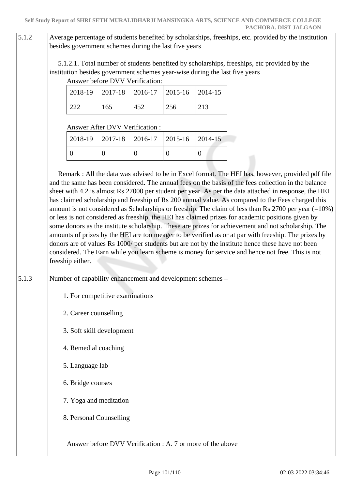# 5.1.2 Average percentage of students benefited by scholarships, freeships, etc. provided by the institution besides government schemes during the last five years

 5.1.2.1. Total number of students benefited by scholarships, freeships, etc provided by the institution besides government schemes year-wise during the last five years

| Answer before DVV Verification: |     |                                                   |     |     |  |  |  |  |
|---------------------------------|-----|---------------------------------------------------|-----|-----|--|--|--|--|
|                                 |     | $2018-19$   2017-18   2016-17   2015-16   2014-15 |     |     |  |  |  |  |
|                                 | 165 | 452                                               | 256 | 213 |  |  |  |  |

## Answer After DVV Verification :

| $2018-19$   2017-18   2016-17   2015-16   2014-15 |  |  |
|---------------------------------------------------|--|--|
|                                                   |  |  |

 Remark : All the data was advised to be in Excel format. The HEI has, however, provided pdf file and the same has been considered. The annual fees on the basis of the fees collection in the balance sheet with 4.2 is almost Rs 27000 per student per year. As per the data attached in response, the HEI has claimed scholarship and freeship of Rs 200 annual value. As compared to the Fees charged this amount is not considered as Scholarships or freeship. The claim of less than Rs 2700 per year (=10%) or less is not considered as freeship. the HEI has claimed prizes for academic positions given by some donors as the institute scholarship. These are prizes for achievement and not scholarship. The amounts of prizes by the HEI are too meager to be verified as or at par with freeship. The prizes by donors are of values Rs 1000/ per students but are not by the institute hence these have not been considered. The Earn while you learn scheme is money for service and hence not free. This is not freeship either.

# 5.1.3 Number of capability enhancement and development schemes –

- 1. For competitive examinations
- 2. Career counselling
- 3. Soft skill development
- 4. Remedial coaching
- 5. Language lab
- 6. Bridge courses
- 7. Yoga and meditation
- 8. Personal Counselling

Answer before DVV Verification : A. 7 or more of the above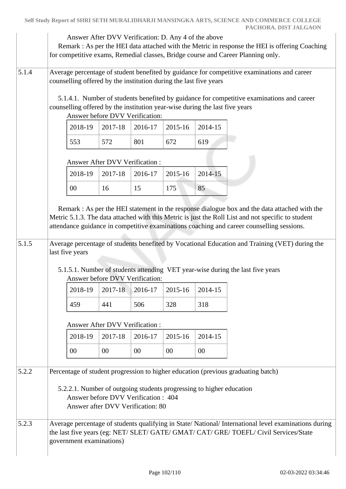|       |                          |                                       | Answer After DVV Verification: D. Any 4 of the above                                                                                             |         |         | Remark : As per the HEI data attached with the Metric in response the HEI is offering Coaching<br>for competitive exams, Remedial classes, Bridge course and Career Planning only.                                                                                                                                                                                                                                                                                                   |
|-------|--------------------------|---------------------------------------|--------------------------------------------------------------------------------------------------------------------------------------------------|---------|---------|--------------------------------------------------------------------------------------------------------------------------------------------------------------------------------------------------------------------------------------------------------------------------------------------------------------------------------------------------------------------------------------------------------------------------------------------------------------------------------------|
| 5.1.4 |                          |                                       | counselling offered by the institution during the last five years                                                                                |         |         | Average percentage of student benefited by guidance for competitive examinations and career                                                                                                                                                                                                                                                                                                                                                                                          |
|       |                          |                                       | counselling offered by the institution year-wise during the last five years<br>Answer before DVV Verification:                                   |         |         | 5.1.4.1. Number of students benefited by guidance for competitive examinations and career                                                                                                                                                                                                                                                                                                                                                                                            |
|       | 2018-19                  | 2017-18                               | 2016-17                                                                                                                                          | 2015-16 | 2014-15 |                                                                                                                                                                                                                                                                                                                                                                                                                                                                                      |
|       | 553                      | 572                                   | 801                                                                                                                                              | 672     | 619     |                                                                                                                                                                                                                                                                                                                                                                                                                                                                                      |
|       |                          | <b>Answer After DVV Verification:</b> |                                                                                                                                                  |         |         |                                                                                                                                                                                                                                                                                                                                                                                                                                                                                      |
|       | 2018-19                  | 2017-18                               | 2016-17                                                                                                                                          | 2015-16 | 2014-15 |                                                                                                                                                                                                                                                                                                                                                                                                                                                                                      |
|       | 00                       | 16                                    | 15                                                                                                                                               | 175     | 85      |                                                                                                                                                                                                                                                                                                                                                                                                                                                                                      |
| 5.1.5 | last five years          |                                       | Answer before DVV Verification:                                                                                                                  |         |         | Remark : As per the HEI statement in the response dialogue box and the data attached with the<br>Metric 5.1.3. The data attached with this Metric is just the Roll List and not specific to student<br>attendance guidance in competitive examinations coaching and career counselling sessions.<br>Average percentage of students benefited by Vocational Education and Training (VET) during the<br>5.1.5.1. Number of students attending VET year-wise during the last five years |
|       | 2018-19                  | 2017-18                               | 2016-17                                                                                                                                          | 2015-16 | 2014-15 |                                                                                                                                                                                                                                                                                                                                                                                                                                                                                      |
|       | 459                      | 441                                   | 506                                                                                                                                              | 328     | 318     |                                                                                                                                                                                                                                                                                                                                                                                                                                                                                      |
|       |                          | <b>Answer After DVV Verification:</b> |                                                                                                                                                  |         |         |                                                                                                                                                                                                                                                                                                                                                                                                                                                                                      |
|       | 2018-19                  | 2017-18                               | 2016-17                                                                                                                                          | 2015-16 | 2014-15 |                                                                                                                                                                                                                                                                                                                                                                                                                                                                                      |
|       | $00\,$                   | 00                                    | 00                                                                                                                                               | 00      | 00      |                                                                                                                                                                                                                                                                                                                                                                                                                                                                                      |
| 5.2.2 |                          |                                       | 5.2.2.1. Number of outgoing students progressing to higher education<br>Answer before DVV Verification: 404<br>Answer after DVV Verification: 80 |         |         | Percentage of student progression to higher education (previous graduating batch)                                                                                                                                                                                                                                                                                                                                                                                                    |
| 5.2.3 | government examinations) |                                       |                                                                                                                                                  |         |         | Average percentage of students qualifying in State/National/International level examinations during<br>the last five years (eg: NET/ SLET/ GATE/ GMAT/ CAT/ GRE/ TOEFL/ Civil Services/State                                                                                                                                                                                                                                                                                         |

**Self Study Report of SHRI SETH MURALIDHARJI MANSINGKA ARTS, SCIENCE AND COMMERCE COLLEGE**

**PACHORA. DIST JALGAON**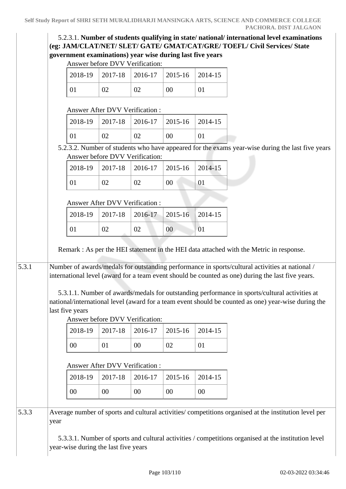# 5.2.3.1. **Number of students qualifying in state/ national/ international level examinations (eg: JAM/CLAT/NET/ SLET/ GATE/ GMAT/CAT/GRE/ TOEFL/ Civil Services/ State government examinations) year wise during last five years**

Answer before DVV Verification:

|    | $2018-19$   2017-18   2016-17   2015-16   2014-15 |    |    |
|----|---------------------------------------------------|----|----|
| 01 | 02                                                | 00 | 01 |

#### Answer After DVV Verification :

|  |    | $ 2018-19 $ $ 2017-18 $ $ 2016-17 $ $ 2015-16 $ $ 2014-15 $ |    |  |
|--|----|-------------------------------------------------------------|----|--|
|  | 02 |                                                             | 00 |  |

 5.2.3.2. Number of students who have appeared for the exams year-wise during the last five years Answer before DVV Verification:

|  |    | $2018-19$   2017-18   2016-17   2015-16   2014-15 |  |
|--|----|---------------------------------------------------|--|
|  | 02 | 00                                                |  |

## Answer After DVV Verification :

|          |    | $2018-19$ 2017-18 2016-17 2015-16 2014-15 |    |  |
|----------|----|-------------------------------------------|----|--|
| $\Omega$ | 02 | 02                                        | 00 |  |

Remark : As per the HEI statement in the HEI data attached with the Metric in response.

5.3.1 Number of awards/medals for outstanding performance in sports/cultural activities at national / international level (award for a team event should be counted as one) during the last five years.

> 5.3.1.1. Number of awards/medals for outstanding performance in sports/cultural activities at national/international level (award for a team event should be counted as one) year-wise during the last five years

Answer before DVV Verification:

|    | $2018-19$   2017-18   2016-17   2015-16   2014-15 |  |
|----|---------------------------------------------------|--|
| 00 | $00\,$                                            |  |

# Answer After DVV Verification :

|    |    | $2018-19$   2017-18   2016-17   2015-16   2014-15 |    |    |
|----|----|---------------------------------------------------|----|----|
| 00 | 00 | 00                                                | 00 | 00 |

5.3.3 Average number of sports and cultural activities/ competitions organised at the institution level per year

> 5.3.3.1. Number of sports and cultural activities / competitions organised at the institution level year-wise during the last five years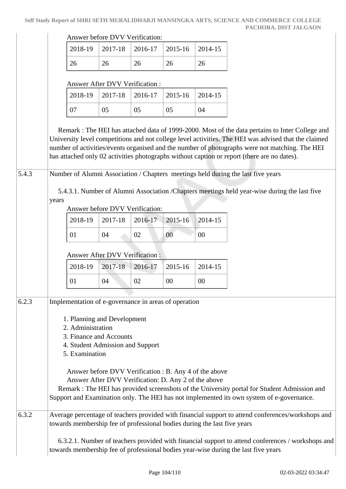Answer before DVV Verification:

|  | $2018-19$   2017-18   2016-17   2015-16   2014-15 |  |  |
|--|---------------------------------------------------|--|--|
|  | 26                                                |  |  |

#### Answer After DVV Verification :

|          |    | $2018-19$   2017-18   2016-17   2015-16   2014-15 |    |    |
|----------|----|---------------------------------------------------|----|----|
| $\Omega$ | 05 | 05                                                | 05 | 94 |

 Remark : The HEI has attached data of 1999-2000. Most of the data pertains to Inter College and University level competitions and not college level activities. The HEI was advised that the claimed number of activities/events organised and the number of photographs were not matching. The HEI has attached only 02 activities photographs without caption or report (there are no dates).

5.4.3 Number of Alumni Association / Chapters meetings held during the last five years

 5.4.3.1. Number of Alumni Association /Chapters meetings held year-wise during the last five years

Answer before DVV Verification:

|    | $2018-19$ $2017-18$ $2016-17$ $2015-16$ $2014-15$ |    |    |    |
|----|---------------------------------------------------|----|----|----|
| 01 | 04                                                | 02 | 00 | 00 |

#### Answer After DVV Verification :

|    |    | 2018-19   2017-18   2016-17   2015-16   2014-15 |    |
|----|----|-------------------------------------------------|----|
| 04 | ገገ | 00                                              | 00 |

# 6.2.3 Implementation of e-governance in areas of operation 1. Planning and Development 2. Administration 3. Finance and Accounts 4. Student Admission and Support 5. Examination Answer before DVV Verification : B. Any 4 of the above Answer After DVV Verification: D. Any 2 of the above Remark : The HEI has provided screenshots of the University portal for Student Admission and Support and Examination only. The HEI has not implemented its own system of e-governance. 6.3.2 Average percentage of teachers provided with financial support to attend conferences/workshops and

towards membership fee of professional bodies during the last five years

 6.3.2.1. Number of teachers provided with financial support to attend conferences / workshops and towards membership fee of professional bodies year-wise during the last five years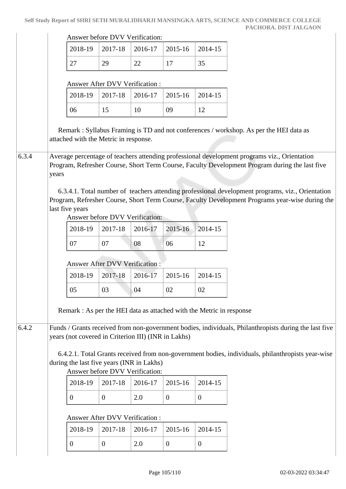| Answer before DVV Verification: |  |
|---------------------------------|--|
|---------------------------------|--|

|  |    | $2018-19$   2017-18   2016-17   2015-16   2014-15 |    |
|--|----|---------------------------------------------------|----|
|  | ാവ |                                                   | 35 |

#### Answer After DVV Verification :

|  |  | $2018-19$   2017-18   2016-17   2015-16   2014-15 |  |
|--|--|---------------------------------------------------|--|
|  |  | 09                                                |  |

 Remark : Syllabus Framing is TD and not conferences / workshop. As per the HEI data as attached with the Metric in response.

6.3.4 Average percentage of teachers attending professional development programs viz., Orientation Program, Refresher Course, Short Term Course, Faculty Development Program during the last five years

> 6.3.4.1. Total number of teachers attending professional development programs, viz., Orientation Program, Refresher Course, Short Term Course, Faculty Development Programs year-wise during the last five years

Answer before DVV Verification:

|  | $2018-19$ 2017-18 2016-17 2015-16 2014-15 |    |  |
|--|-------------------------------------------|----|--|
|  | 08                                        | 06 |  |

## Answer After DVV Verification :

| 2018-19 |    | $\mid$ 2017-18 $\mid$ 2016-17 $\mid$ 2015-16 $\mid$ 2014-15 |    |    |
|---------|----|-------------------------------------------------------------|----|----|
| 05      | 03 | 04                                                          | 02 | 02 |

Remark : As per the HEI data as attached with the Metric in response

6.4.2 Funds / Grants received from non-government bodies, individuals, Philanthropists during the last five years (not covered in Criterion III) (INR in Lakhs)

 6.4.2.1. Total Grants received from non-government bodies, individuals, philanthropists year-wise during the last five years (INR in Lakhs)

## Answer before DVV Verification:

|  | $2018-19$   2017-18   2016-17   2015-16   2014-15 |  |
|--|---------------------------------------------------|--|
|  |                                                   |  |

#### Answer After DVV Verification :

|  | $2018-19$   2017-18   2016-17   2015-16   2014-15 |  |
|--|---------------------------------------------------|--|
|  |                                                   |  |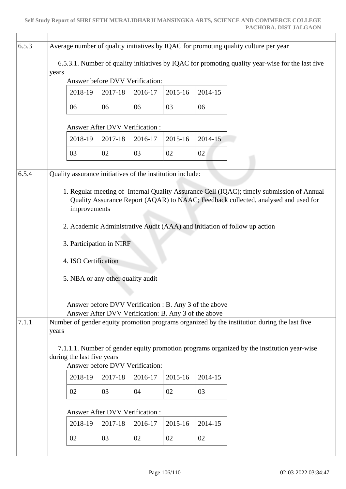| 6.5.3 |                                                                                                                                                      |                                                                                                                                                                                                 |                                       |         |         |         |  |  |  |  |  |
|-------|------------------------------------------------------------------------------------------------------------------------------------------------------|-------------------------------------------------------------------------------------------------------------------------------------------------------------------------------------------------|---------------------------------------|---------|---------|---------|--|--|--|--|--|
|       | Average number of quality initiatives by IQAC for promoting quality culture per year                                                                 |                                                                                                                                                                                                 |                                       |         |         |         |  |  |  |  |  |
|       |                                                                                                                                                      | 6.5.3.1. Number of quality initiatives by IQAC for promoting quality year-wise for the last five                                                                                                |                                       |         |         |         |  |  |  |  |  |
|       | years<br>Answer before DVV Verification:                                                                                                             |                                                                                                                                                                                                 |                                       |         |         |         |  |  |  |  |  |
|       |                                                                                                                                                      | 2018-19                                                                                                                                                                                         | 2017-18                               | 2016-17 | 2015-16 | 2014-15 |  |  |  |  |  |
|       |                                                                                                                                                      | 06                                                                                                                                                                                              | 06                                    | 06      | 03      | 06      |  |  |  |  |  |
|       |                                                                                                                                                      | Answer After DVV Verification:                                                                                                                                                                  |                                       |         |         |         |  |  |  |  |  |
|       |                                                                                                                                                      | 2018-19                                                                                                                                                                                         | 2017-18                               | 2016-17 | 2015-16 | 2014-15 |  |  |  |  |  |
|       |                                                                                                                                                      | 03                                                                                                                                                                                              | 02                                    | 03      | 02      | 02      |  |  |  |  |  |
| 6.5.4 |                                                                                                                                                      | Quality assurance initiatives of the institution include:                                                                                                                                       |                                       |         |         |         |  |  |  |  |  |
|       |                                                                                                                                                      |                                                                                                                                                                                                 |                                       |         |         |         |  |  |  |  |  |
|       |                                                                                                                                                      | 1. Regular meeting of Internal Quality Assurance Cell (IQAC); timely submission of Annual<br>Quality Assurance Report (AQAR) to NAAC; Feedback collected, analysed and used for<br>improvements |                                       |         |         |         |  |  |  |  |  |
|       |                                                                                                                                                      | 2. Academic Administrative Audit (AAA) and initiation of follow up action                                                                                                                       |                                       |         |         |         |  |  |  |  |  |
|       |                                                                                                                                                      | 3. Participation in NIRF                                                                                                                                                                        |                                       |         |         |         |  |  |  |  |  |
|       | 4. ISO Certification                                                                                                                                 |                                                                                                                                                                                                 |                                       |         |         |         |  |  |  |  |  |
|       | 5. NBA or any other quality audit                                                                                                                    |                                                                                                                                                                                                 |                                       |         |         |         |  |  |  |  |  |
|       |                                                                                                                                                      |                                                                                                                                                                                                 |                                       |         |         |         |  |  |  |  |  |
|       | Answer before DVV Verification : B. Any 3 of the above                                                                                               |                                                                                                                                                                                                 |                                       |         |         |         |  |  |  |  |  |
| 7.1.1 | Answer After DVV Verification: B. Any 3 of the above<br>Number of gender equity promotion programs organized by the institution during the last five |                                                                                                                                                                                                 |                                       |         |         |         |  |  |  |  |  |
|       | years                                                                                                                                                |                                                                                                                                                                                                 |                                       |         |         |         |  |  |  |  |  |
|       | 7.1.1.1. Number of gender equity promotion programs organized by the institution year-wise                                                           |                                                                                                                                                                                                 |                                       |         |         |         |  |  |  |  |  |
|       |                                                                                                                                                      | during the last five years<br>Answer before DVV Verification:                                                                                                                                   |                                       |         |         |         |  |  |  |  |  |
|       |                                                                                                                                                      | 2018-19                                                                                                                                                                                         | 2017-18                               | 2016-17 | 2015-16 | 2014-15 |  |  |  |  |  |
|       |                                                                                                                                                      | 02                                                                                                                                                                                              | 03                                    | 04      | 02      | 03      |  |  |  |  |  |
|       |                                                                                                                                                      |                                                                                                                                                                                                 |                                       |         |         |         |  |  |  |  |  |
|       |                                                                                                                                                      |                                                                                                                                                                                                 | <b>Answer After DVV Verification:</b> |         |         |         |  |  |  |  |  |
|       |                                                                                                                                                      | 2018-19                                                                                                                                                                                         | 2017-18                               | 2016-17 | 2015-16 | 2014-15 |  |  |  |  |  |
|       |                                                                                                                                                      | 02                                                                                                                                                                                              | 03                                    | 02      | 02      | 02      |  |  |  |  |  |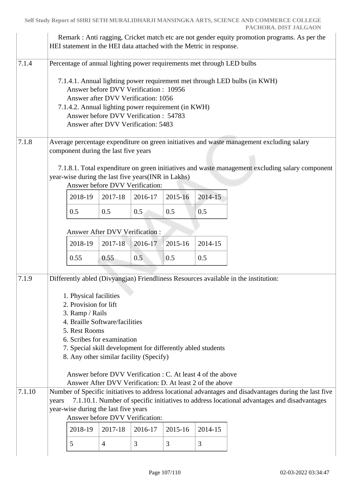|        | Remark : Anti ragging, Cricket match etc are not gender equity promotion programs. As per the<br>HEI statement in the HEI data attached with the Metric in response.                                           |                        |                                                                                       |         |                                                     |                                                                        |                                                                                                 |  |  |  |
|--------|----------------------------------------------------------------------------------------------------------------------------------------------------------------------------------------------------------------|------------------------|---------------------------------------------------------------------------------------|---------|-----------------------------------------------------|------------------------------------------------------------------------|-------------------------------------------------------------------------------------------------|--|--|--|
| 7.1.4  |                                                                                                                                                                                                                |                        |                                                                                       |         |                                                     | Percentage of annual lighting power requirements met through LED bulbs | 7.1.4.1. Annual lighting power requirement met through LED bulbs (in KWH)                       |  |  |  |
|        | Answer before DVV Verification: 10956<br>Answer after DVV Verification: 1056                                                                                                                                   |                        |                                                                                       |         |                                                     |                                                                        |                                                                                                 |  |  |  |
|        |                                                                                                                                                                                                                |                        | Answer before DVV Verification: 54783<br>Answer after DVV Verification: 5483          |         | 7.1.4.2. Annual lighting power requirement (in KWH) |                                                                        |                                                                                                 |  |  |  |
| 7.1.8  |                                                                                                                                                                                                                |                        | component during the last five years                                                  |         |                                                     |                                                                        | Average percentage expenditure on green initiatives and waste management excluding salary       |  |  |  |
|        |                                                                                                                                                                                                                |                        | year-wise during the last five years(INR in Lakhs)<br>Answer before DVV Verification: |         |                                                     |                                                                        | 7.1.8.1. Total expenditure on green initiatives and waste management excluding salary component |  |  |  |
|        |                                                                                                                                                                                                                | 2018-19                | 2017-18                                                                               | 2016-17 | 2015-16                                             | 2014-15                                                                |                                                                                                 |  |  |  |
|        |                                                                                                                                                                                                                | 0.5                    | 0.5                                                                                   | 0.5     | 0.5                                                 | 0.5                                                                    |                                                                                                 |  |  |  |
|        | <b>Answer After DVV Verification:</b>                                                                                                                                                                          |                        |                                                                                       |         |                                                     |                                                                        |                                                                                                 |  |  |  |
|        |                                                                                                                                                                                                                | 2018-19                | 2017-18                                                                               | 2016-17 | 2015-16                                             | 2014-15                                                                |                                                                                                 |  |  |  |
|        |                                                                                                                                                                                                                | 0.55                   | 0.55                                                                                  | 0.5     | 0.5                                                 | 0.5                                                                    |                                                                                                 |  |  |  |
| 7.1.9  |                                                                                                                                                                                                                |                        |                                                                                       |         |                                                     |                                                                        | Differently abled (Divyangjan) Friendliness Resources available in the institution:             |  |  |  |
|        |                                                                                                                                                                                                                | 1. Physical facilities |                                                                                       |         |                                                     |                                                                        |                                                                                                 |  |  |  |
|        |                                                                                                                                                                                                                | 2. Provision for lift  |                                                                                       |         |                                                     |                                                                        |                                                                                                 |  |  |  |
|        | 3. Ramp / Rails<br>4. Braille Software/facilities                                                                                                                                                              |                        |                                                                                       |         |                                                     |                                                                        |                                                                                                 |  |  |  |
|        | 5. Rest Rooms<br>6. Scribes for examination                                                                                                                                                                    |                        |                                                                                       |         |                                                     |                                                                        |                                                                                                 |  |  |  |
|        | 7. Special skill development for differently abled students                                                                                                                                                    |                        |                                                                                       |         |                                                     |                                                                        |                                                                                                 |  |  |  |
|        | 8. Any other similar facility (Specify)                                                                                                                                                                        |                        |                                                                                       |         |                                                     |                                                                        |                                                                                                 |  |  |  |
|        |                                                                                                                                                                                                                |                        |                                                                                       |         |                                                     | Answer before DVV Verification : C. At least 4 of the above            |                                                                                                 |  |  |  |
| 7.1.10 |                                                                                                                                                                                                                |                        |                                                                                       |         |                                                     | Answer After DVV Verification: D. At least 2 of the above              |                                                                                                 |  |  |  |
|        | Number of Specific initiatives to address locational advantages and disadvantages during the last five<br>7.1.10.1. Number of specific initiatives to address locational advantages and disadvantages<br>years |                        |                                                                                       |         |                                                     |                                                                        |                                                                                                 |  |  |  |
|        |                                                                                                                                                                                                                |                        | year-wise during the last five years<br>Answer before DVV Verification:               |         |                                                     |                                                                        |                                                                                                 |  |  |  |
|        |                                                                                                                                                                                                                | 2018-19                | 2017-18                                                                               | 2016-17 | 2015-16                                             | 2014-15                                                                |                                                                                                 |  |  |  |
|        |                                                                                                                                                                                                                | 5                      | $\overline{4}$                                                                        | 3       | 3                                                   | 3                                                                      |                                                                                                 |  |  |  |
|        |                                                                                                                                                                                                                |                        |                                                                                       |         |                                                     |                                                                        |                                                                                                 |  |  |  |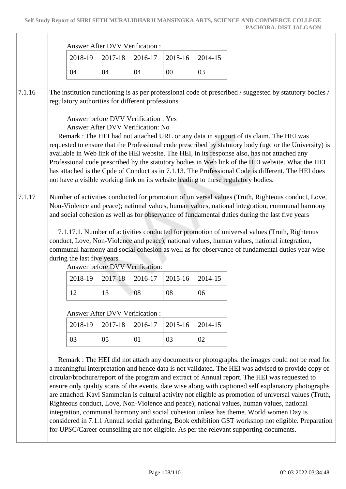|        | Answer After DVV Verification :                                                                                                                             |                                                                                                                                                                                                                                                                                                                                                                                                                                                                                                                                                                                                                                       |                                                                           |                                                                                                |         |         |                                                                                                                                                                                                                                                                                                                                                                                                                                                                                                                                                                                                    |  |  |  |
|--------|-------------------------------------------------------------------------------------------------------------------------------------------------------------|---------------------------------------------------------------------------------------------------------------------------------------------------------------------------------------------------------------------------------------------------------------------------------------------------------------------------------------------------------------------------------------------------------------------------------------------------------------------------------------------------------------------------------------------------------------------------------------------------------------------------------------|---------------------------------------------------------------------------|------------------------------------------------------------------------------------------------|---------|---------|----------------------------------------------------------------------------------------------------------------------------------------------------------------------------------------------------------------------------------------------------------------------------------------------------------------------------------------------------------------------------------------------------------------------------------------------------------------------------------------------------------------------------------------------------------------------------------------------------|--|--|--|
|        |                                                                                                                                                             | 2018-19                                                                                                                                                                                                                                                                                                                                                                                                                                                                                                                                                                                                                               | 2017-18                                                                   | 2016-17                                                                                        | 2015-16 | 2014-15 |                                                                                                                                                                                                                                                                                                                                                                                                                                                                                                                                                                                                    |  |  |  |
|        |                                                                                                                                                             | 04                                                                                                                                                                                                                                                                                                                                                                                                                                                                                                                                                                                                                                    | 04                                                                        | 04                                                                                             | $00\,$  | 03      |                                                                                                                                                                                                                                                                                                                                                                                                                                                                                                                                                                                                    |  |  |  |
| 7.1.16 | The institution functioning is as per professional code of prescribed / suggested by statutory bodies /<br>regulatory authorities for different professions |                                                                                                                                                                                                                                                                                                                                                                                                                                                                                                                                                                                                                                       |                                                                           |                                                                                                |         |         |                                                                                                                                                                                                                                                                                                                                                                                                                                                                                                                                                                                                    |  |  |  |
|        |                                                                                                                                                             |                                                                                                                                                                                                                                                                                                                                                                                                                                                                                                                                                                                                                                       | Answer before DVV Verification : Yes<br>Answer After DVV Verification: No |                                                                                                |         |         | Remark : The HEI had not attached URL or any data in support of its claim. The HEI was<br>requested to ensure that the Professional code prescribed by statutory body (ugc or the University) is<br>available in Web link of the HEI website. The HEI, in its response also, has not attached any<br>Professional code prescribed by the statutory bodies in Web link of the HEI website. What the HEI<br>has attached is the Cpde of Conduct as in 7.1.13. The Professional Code is different. The HEI does<br>not have a visible working link on its website leading to these regulatory bodies. |  |  |  |
| 7.1.17 |                                                                                                                                                             | Number of activities conducted for promotion of universal values (Truth, Righteous conduct, Love,<br>Non-Violence and peace); national values, human values, national integration, communal harmony<br>and social cohesion as well as for observance of fundamental duties during the last five years<br>7.1.17.1. Number of activities conducted for promotion of universal values (Truth, Righteous<br>conduct, Love, Non-Violence and peace); national values, human values, national integration,<br>communal harmony and social cohesion as well as for observance of fundamental duties year-wise<br>during the last five years |                                                                           |                                                                                                |         |         |                                                                                                                                                                                                                                                                                                                                                                                                                                                                                                                                                                                                    |  |  |  |
|        |                                                                                                                                                             | 2018-19                                                                                                                                                                                                                                                                                                                                                                                                                                                                                                                                                                                                                               | Answer before DVV Verification:<br>2017-18                                | 2016-17                                                                                        | 2015-16 | 2014-15 |                                                                                                                                                                                                                                                                                                                                                                                                                                                                                                                                                                                                    |  |  |  |
|        |                                                                                                                                                             | 12                                                                                                                                                                                                                                                                                                                                                                                                                                                                                                                                                                                                                                    | 13                                                                        | 08                                                                                             | 08      | 06      |                                                                                                                                                                                                                                                                                                                                                                                                                                                                                                                                                                                                    |  |  |  |
|        | Answer After DVV Verification:                                                                                                                              |                                                                                                                                                                                                                                                                                                                                                                                                                                                                                                                                                                                                                                       |                                                                           |                                                                                                |         |         |                                                                                                                                                                                                                                                                                                                                                                                                                                                                                                                                                                                                    |  |  |  |
|        |                                                                                                                                                             | 2018-19                                                                                                                                                                                                                                                                                                                                                                                                                                                                                                                                                                                                                               | 2017-18                                                                   | 2016-17                                                                                        | 2015-16 | 2014-15 |                                                                                                                                                                                                                                                                                                                                                                                                                                                                                                                                                                                                    |  |  |  |
|        |                                                                                                                                                             | 03                                                                                                                                                                                                                                                                                                                                                                                                                                                                                                                                                                                                                                    | 05                                                                        | 01                                                                                             | 03      | 02      |                                                                                                                                                                                                                                                                                                                                                                                                                                                                                                                                                                                                    |  |  |  |
|        |                                                                                                                                                             |                                                                                                                                                                                                                                                                                                                                                                                                                                                                                                                                                                                                                                       |                                                                           | Remark : The HEI did not attach any documents or photographs. the images could not be read for |         |         |                                                                                                                                                                                                                                                                                                                                                                                                                                                                                                                                                                                                    |  |  |  |

considered in 7.1.1 Annual social gathering, Book exhibition GST workshop not eligible. Preparation for UPSC/Career counselling are not eligible. As per the relevant supporting documents.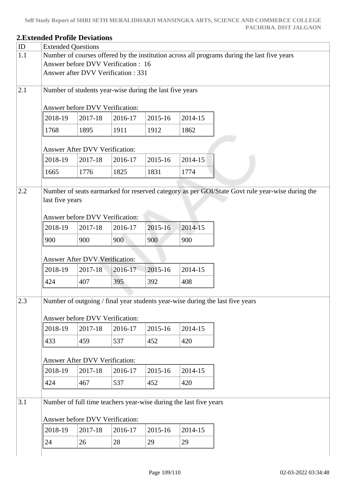## **2.Extended Profile Deviations** ID Extended Questions 1.1 Number of courses offered by the institution across all programs during the last five years Answer before DVV Verification : 16 Answer after DVV Verification : 331 2.1 Number of students year-wise during the last five years Answer before DVV Verification: 2018-19 2017-18 2016-17 2015-16 2014-15 1768 1895 1911 1912 1862 Answer After DVV Verification: 2018-19 2017-18 2016-17 2015-16 2014-15 1665 1776 1825 1831 1774 2.2 Number of seats earmarked for reserved category as per GOI/State Govt rule year-wise during the last five years Answer before DVV Verification: 2018-19 2017-18 2016-17 2015-16 2014-15 900 900 900 900 900 Answer After DVV Verification: 2018-19 2017-18 2016-17 2015-16 2014-15 424 407 395 392 408 2.3 Number of outgoing / final year students year-wise during the last five years Answer before DVV Verification: 2018-19 2017-18 2016-17 2015-16 2014-15 433 | 459 | 537 | 452 | 420 Answer After DVV Verification: 2018-19 2017-18 2016-17 2015-16 2014-15 424 | 467 | 537 | 452 | 420 3.1 Number of full time teachers year-wise during the last five years Answer before DVV Verification: 2018-19 2017-18 2016-17 2015-16 2014-15 24 26 28 29 29